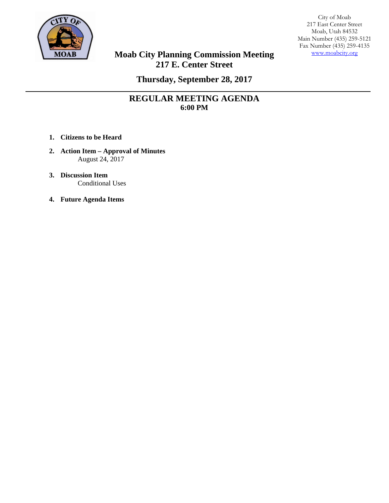

City of Moab 217 East Center Street Moab, Utah 84532 Main Number (435) 259-5121 Fax Number (435) 259-4135 www.moabcity.org

# **Moab City Planning Commission Meeting 217 E. Center Street**

**Thursday, September 28, 2017** 

# **REGULAR MEETING AGENDA 6:00 PM**

- **1. Citizens to be Heard**
- **2. Action Item Approval of Minutes**  August 24, 2017
- **3. Discussion Item**  Conditional Uses
- **4. Future Agenda Items**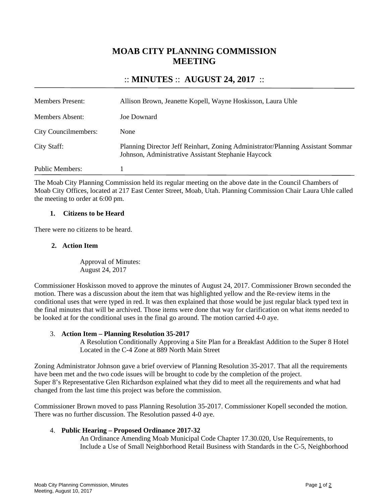# **MOAB CITY PLANNING COMMISSION MEETING**

## :: **MINUTES** :: **AUGUST 24, 2017** ::

| <b>Members Present:</b>     | Allison Brown, Jeanette Kopell, Wayne Hoskisson, Laura Uhle                                                                            |
|-----------------------------|----------------------------------------------------------------------------------------------------------------------------------------|
| Members Absent:             | Joe Downard                                                                                                                            |
| <b>City Councilmembers:</b> | None                                                                                                                                   |
| City Staff:                 | Planning Director Jeff Reinhart, Zoning Administrator/Planning Assistant Sommar<br>Johnson, Administrative Assistant Stephanie Haycock |
| Public Members:             |                                                                                                                                        |

The Moab City Planning Commission held its regular meeting on the above date in the Council Chambers of Moab City Offices, located at 217 East Center Street, Moab, Utah. Planning Commission Chair Laura Uhle called the meeting to order at 6:00 pm.

#### **1. Citizens to be Heard**

There were no citizens to be heard.

### **2. Action Item**

Approval of Minutes: August 24, 2017

Commissioner Hoskisson moved to approve the minutes of August 24, 2017. Commissioner Brown seconded the motion. There was a discussion about the item that was highlighted yellow and the Re-review items in the conditional uses that were typed in red. It was then explained that those would be just regular black typed text in the final minutes that will be archived. Those items were done that way for clarification on what items needed to be looked at for the conditional uses in the final go around. The motion carried 4-0 aye.

### 3. **Action Item – Planning Resolution 35-2017**

A Resolution Conditionally Approving a Site Plan for a Breakfast Addition to the Super 8 Hotel Located in the C-4 Zone at 889 North Main Street

Zoning Administrator Johnson gave a brief overview of Planning Resolution 35-2017. That all the requirements have been met and the two code issues will be brought to code by the completion of the project. Super 8's Representative Glen Richardson explained what they did to meet all the requirements and what had changed from the last time this project was before the commission.

Commissioner Brown moved to pass Planning Resolution 35-2017. Commissioner Kopell seconded the motion. There was no further discussion. The Resolution passed 4-0 aye.

### 4. **Public Hearing – Proposed Ordinance 2017-32**

An Ordinance Amending Moab Municipal Code Chapter 17.30.020, Use Requirements, to Include a Use of Small Neighborhood Retail Business with Standards in the C-5, Neighborhood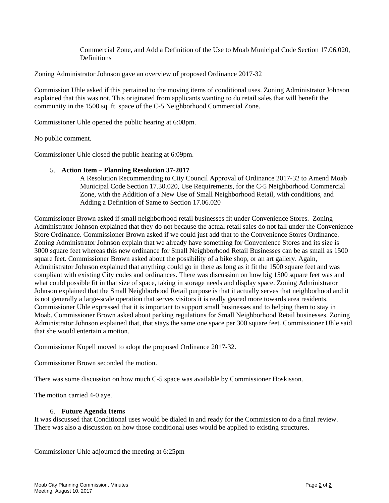Commercial Zone, and Add a Definition of the Use to Moab Municipal Code Section 17.06.020, Definitions

Zoning Administrator Johnson gave an overview of proposed Ordinance 2017-32

Commission Uhle asked if this pertained to the moving items of conditional uses. Zoning Administrator Johnson explained that this was not. This originated from applicants wanting to do retail sales that will benefit the community in the 1500 sq. ft. space of the C-5 Neighborhood Commercial Zone.

Commissioner Uhle opened the public hearing at 6:08pm.

No public comment.

Commissioner Uhle closed the public hearing at 6:09pm.

#### 5. **Action Item – Planning Resolution 37-2017**

A Resolution Recommending to City Council Approval of Ordinance 2017-32 to Amend Moab Municipal Code Section 17.30.020, Use Requirements, for the C-5 Neighborhood Commercial Zone, with the Addition of a New Use of Small Neighborhood Retail, with conditions, and Adding a Definition of Same to Section 17.06.020

Commissioner Brown asked if small neighborhood retail businesses fit under Convenience Stores. Zoning Administrator Johnson explained that they do not because the actual retail sales do not fall under the Convenience Store Ordinance. Commissioner Brown asked if we could just add that to the Convenience Stores Ordinance. Zoning Administrator Johnson explain that we already have something for Convenience Stores and its size is 3000 square feet whereas this new ordinance for Small Neighborhood Retail Businesses can be as small as 1500 square feet. Commissioner Brown asked about the possibility of a bike shop, or an art gallery. Again, Administrator Johnson explained that anything could go in there as long as it fit the 1500 square feet and was compliant with existing City codes and ordinances. There was discussion on how big 1500 square feet was and what could possible fit in that size of space, taking in storage needs and display space. Zoning Administrator Johnson explained that the Small Neighborhood Retail purpose is that it actually serves that neighborhood and it is not generally a large-scale operation that serves visitors it is really geared more towards area residents. Commissioner Uhle expressed that it is important to support small businesses and to helping them to stay in Moab. Commissioner Brown asked about parking regulations for Small Neighborhood Retail businesses. Zoning Administrator Johnson explained that, that stays the same one space per 300 square feet. Commissioner Uhle said that she would entertain a motion.

Commissioner Kopell moved to adopt the proposed Ordinance 2017-32.

Commissioner Brown seconded the motion.

There was some discussion on how much C-5 space was available by Commissioner Hoskisson.

The motion carried 4-0 aye.

#### 6. **Future Agenda Items**

It was discussed that Conditional uses would be dialed in and ready for the Commission to do a final review. There was also a discussion on how those conditional uses would be applied to existing structures.

Commissioner Uhle adjourned the meeting at 6:25pm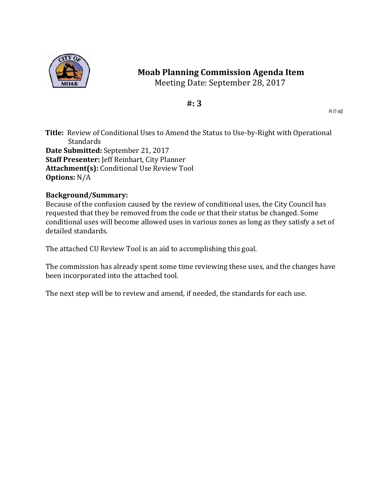

# **Moab Planning Commission Agenda Item**

Meeting Date: September 28, 2017

# **#: 3**

Pl-17-140

**Title:** Review of Conditional Uses to Amend the Status to Use-by-Right with Operational Standards **Date Submitted:** September 21, 2017 **Staff Presenter:** Jeff Reinhart, City Planner Attachment(s): Conditional Use Review Tool **Options:** N/A 

## **Background/Summary:**

Because of the confusion caused by the review of conditional uses, the City Council has requested that they be removed from the code or that their status be changed. Some conditional uses will become allowed uses in various zones as long as they satisfy a set of detailed standards.

The attached CU Review Tool is an aid to accomplishing this goal.

The commission has already spent some time reviewing these uses, and the changes have been incorporated into the attached tool.

The next step will be to review and amend, if needed, the standards for each use.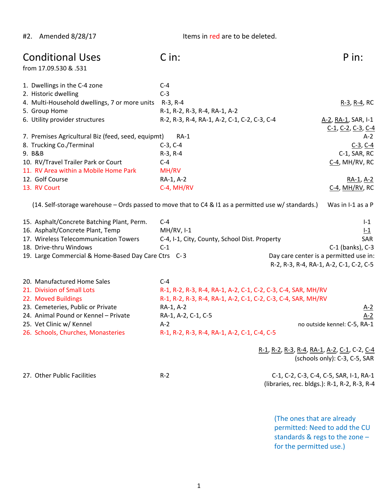#2. Amended 8/28/17 Items in red are to be deleted.

| <b>Conditional Uses</b><br>from 17.09.530 & .531                                                    | C in:                                                         | P in:                                                                                           |
|-----------------------------------------------------------------------------------------------------|---------------------------------------------------------------|-------------------------------------------------------------------------------------------------|
| 1. Dwellings in the C-4 zone                                                                        | $C-4$                                                         |                                                                                                 |
| 2. Historic dwelling                                                                                | $C-3$                                                         |                                                                                                 |
| 4. Multi-Household dwellings, 7 or more units R-3, R-4                                              |                                                               | $R-3$ , $R-4$ , RC                                                                              |
| 5. Group Home                                                                                       | R-1, R-2, R-3, R-4, RA-1, A-2                                 |                                                                                                 |
| 6. Utility provider structures                                                                      | R-2, R-3, R-4, RA-1, A-2, C-1, C-2, C-3, C-4                  | A-2, RA-1, SAR, I-1                                                                             |
|                                                                                                     |                                                               | $C-1$ , $C-2$ , $C-3$ , $C-4$                                                                   |
| 7. Premises Agricultural Biz (feed, seed, equipmt)                                                  | $RA-1$                                                        | $A-2$                                                                                           |
| 8. Trucking Co./Terminal                                                                            | $C-3, C-4$                                                    | $C-3$ , $C-4$                                                                                   |
| 9. B&B                                                                                              | $R-3, R-4$                                                    | C-1, SAR, RC                                                                                    |
| 10. RV/Travel Trailer Park or Court                                                                 | $C-4$                                                         | C-4, MH/RV, RC                                                                                  |
| 11. RV Area within a Mobile Home Park                                                               | MH/RV                                                         |                                                                                                 |
| 12. Golf Course                                                                                     | RA-1, A-2                                                     | <u>RA-1, A-2</u>                                                                                |
| 13. RV Court                                                                                        | C-4, MH/RV                                                    | $C-4$ , MH/RV, RC                                                                               |
| (14. Self-storage warehouse - Ords passed to move that to C4 & I1 as a permitted use w/ standards.) |                                                               | Was in I-1 as a P                                                                               |
| 15. Asphalt/Concrete Batching Plant, Perm.                                                          | $C-4$                                                         | $I-1$                                                                                           |
| 16. Asphalt/Concrete Plant, Temp                                                                    | $MH/RV, I-1$                                                  | $L_1$                                                                                           |
| 17. Wireless Telecommunication Towers                                                               | C-4, I-1, City, County, School Dist. Property                 | <b>SAR</b>                                                                                      |
| 18. Drive-thru Windows                                                                              | $C-1$                                                         | C-1 (banks), C-3                                                                                |
| 19. Large Commercial & Home-Based Day Care Ctrs C-3                                                 |                                                               | Day care center is a permitted use in:                                                          |
|                                                                                                     |                                                               | R-2, R-3, R-4, RA-1, A-2, C-1, C-2, C-5                                                         |
|                                                                                                     |                                                               |                                                                                                 |
| 20. Manufactured Home Sales                                                                         | $C-4$                                                         |                                                                                                 |
| 21. Division of Small Lots                                                                          | R-1, R-2, R-3, R-4, RA-1, A-2, C-1, C-2, C-3, C-4, SAR, MH/RV |                                                                                                 |
| 22. Moved Buildings                                                                                 | R-1, R-2, R-3, R-4, RA-1, A-2, C-1, C-2, C-3, C-4, SAR, MH/RV |                                                                                                 |
| 23. Cemeteries, Public or Private                                                                   | RA-1, A-2                                                     | $A-2$                                                                                           |
| 24. Animal Pound or Kennel - Private                                                                | RA-1, A-2, C-1, C-5                                           | $A-2$                                                                                           |
| 25. Vet Clinic w/ Kennel                                                                            | $A-2$                                                         | no outside kennel: C-5, RA-1                                                                    |
| 26. Schools, Churches, Monasteries                                                                  | R-1, R-2, R-3, R-4, RA-1, A-2, C-1, C-4, C-5                  |                                                                                                 |
|                                                                                                     |                                                               | R-1, R-2, R-3, R-4, RA-1, A-2, C-1, C-2, C-4<br>(schools only): C-3, C-5, SAR                   |
| 27. Other Public Facilities                                                                         | $R-2$                                                         | C-1, C-2, C-3, C-4, C-5, SAR, I-1, RA-1<br>(libraries, rec. bldgs.): R-1, R-2, R-3, R-4         |
|                                                                                                     |                                                               | (The ones that are already<br>permitted: Need to add the CU<br>standards & regs to the zone $-$ |

standards & regs to the zone – for the permitted use.)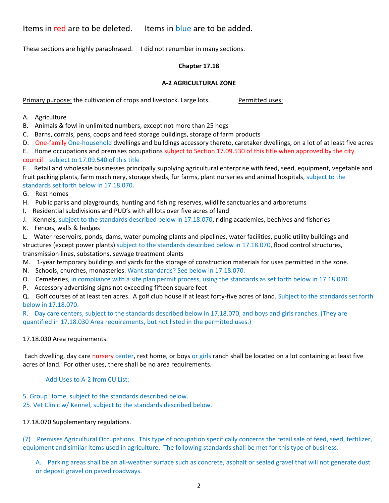Items in red are to be deleted. Items in blue are to be added.

These sections are highly paraphrased. I did not renumber in many sections.

#### **Chapter 17.18**

#### **A‐2 AGRICULTURAL ZONE**

Primary purpose: the cultivation of crops and livestock. Large lots. *Permitted uses:* 

A. Agriculture

- B. Animals & fowl in unlimited numbers, except not more than 25 hogs
- C. Barns, corrals, pens, coops and feed storage buildings, storage of farm products
- D. One-family One-household dwellings and buildings accessory thereto, caretaker dwellings, on a lot of at least five acres

E. Home occupations and premises occupations subject to Section 17.09.530 of this title when approved by the city council subject to 17.09.540 of this title

F. Retail and wholesale businesses principally supplying agricultural enterprise with feed, seed, equipment, vegetable and fruit packing plants, farm machinery, storage sheds, fur farms, plant nurseries and animal hospitals, subject to the standards set forth below in 17.18.070.

- G. Rest homes
- H. Public parks and playgrounds, hunting and fishing reserves, wildlife sanctuaries and arboretums
- I. Residential subdivisions and PUD's with all lots over five acres of land
- J. Kennels, subject to the standards described below in 17.18.070, riding academies, beehives and fisheries
- K. Fences, walls & hedges

L. Water reservoirs, ponds, dams, water pumping plants and pipelines, water facilities, public utility buildings and structures (except power plants) subject to the standards described below in 17.18.070, flood control structures, transmission lines, substations, sewage treatment plants

- M. 1-year temporary buildings and yards for the storage of construction materials for uses permitted in the zone.
- N. Schools, churches, monasteries. Want standards? See below in 17.18.070.
- O. Cemeteries, in compliance with a site plan permit process, using the standards as set forth below in 17.18.070.
- P. Accessory advertising signs not exceeding fifteen square feet

Q. Golf courses of at least ten acres. A golf club house if at least forty-five acres of land. Subject to the standards set forth below in 17.18.070.

R. Day care centers, subject to the standards described below in 17.18.070, and boys and girls ranches. (They are quantified in 17.18.030 Area requirements, but not listed in the permitted uses.)

### 17.18.030 Area requirements.

Each dwelling, day care nursery center, rest home, or boys or girls ranch shall be located on a lot containing at least five acres of land. For other uses, there shall be no area requirements.

### Add Uses to A‐2 from CU List:

5. Group Home, subject to the standards described below.

25. Vet Clinic w/ Kennel, subject to the standards described below.

### 17.18.070 Supplementary regulations.

(7) Premises Agricultural Occupations. This type of occupation specifically concerns the retail sale of feed, seed, fertilizer, equipment and similar items used in agriculture. The following standards shall be met for this type of business:

A. Parking areas shall be an all-weather surface such as concrete, asphalt or sealed gravel that will not generate dust or deposit gravel on paved roadways.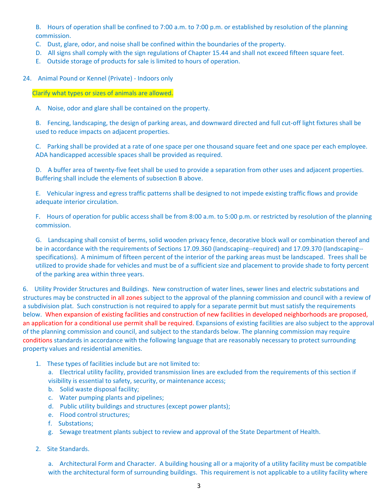B. Hours of operation shall be confined to 7:00 a.m. to 7:00 p.m. or established by resolution of the planning commission.

- C. Dust, glare, odor, and noise shall be confined within the boundaries of the property.
- D. All signs shall comply with the sign regulations of Chapter 15.44 and shall not exceed fifteen square feet.
- E. Outside storage of products for sale is limited to hours of operation.
- 24. Animal Pound or Kennel (Private) Indoors only

Clarify what types or sizes of animals are allowed.

A. Noise, odor and glare shall be contained on the property.

B. Fencing, landscaping, the design of parking areas, and downward directed and full cut-off light fixtures shall be used to reduce impacts on adjacent properties.

C. Parking shall be provided at a rate of one space per one thousand square feet and one space per each employee. ADA handicapped accessible spaces shall be provided as required.

D. A buffer area of twenty-five feet shall be used to provide a separation from other uses and adjacent properties. Buffering shall include the elements of subsection B above.

E. Vehicular ingress and egress traffic patterns shall be designed to not impede existing traffic flows and provide adequate interior circulation.

F. Hours of operation for public access shall be from 8:00 a.m. to 5:00 p.m. or restricted by resolution of the planning commission.

G. Landscaping shall consist of berms, solid wooden privacy fence, decorative block wall or combination thereof and be in accordance with the requirements of Sections 17.09.360 (landscaping--required) and 17.09.370 (landscaping-specifications). A minimum of fifteen percent of the interior of the parking areas must be landscaped. Trees shall be utilized to provide shade for vehicles and must be of a sufficient size and placement to provide shade to forty percent of the parking area within three years.

6. Utility Provider Structures and Buildings. New construction of water lines, sewer lines and electric substations and structures may be constructed in all zones subject to the approval of the planning commission and council with a review of a subdivision plat. Such construction is not required to apply for a separate permit but must satisfy the requirements below. When expansion of existing facilities and construction of new facilities in developed neighborhoods are proposed, an application for a conditional use permit shall be required. Expansions of existing facilities are also subject to the approval of the planning commission and council, and subject to the standards below. The planning commission may require conditions standards in accordance with the following language that are reasonably necessary to protect surrounding property values and residential amenities.

1. These types of facilities include but are not limited to:

a. Electrical utility facility, provided transmission lines are excluded from the requirements of this section if visibility is essential to safety, security, or maintenance access;

- b. Solid waste disposal facility;
- c. Water pumping plants and pipelines;
- d. Public utility buildings and structures (except power plants);
- e. Flood control structures;
- f. Substations;
- g. Sewage treatment plants subject to review and approval of the State Department of Health.
- 2. Site Standards.

a. Architectural Form and Character. A building housing all or a majority of a utility facility must be compatible with the architectural form of surrounding buildings. This requirement is not applicable to a utility facility where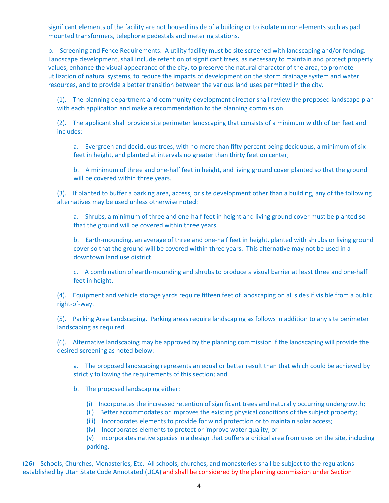significant elements of the facility are not housed inside of a building or to isolate minor elements such as pad mounted transformers, telephone pedestals and metering stations.

b. Screening and Fence Requirements. A utility facility must be site screened with landscaping and/or fencing. Landscape development, shall include retention of significant trees, as necessary to maintain and protect property values, enhance the visual appearance of the city, to preserve the natural character of the area, to promote utilization of natural systems, to reduce the impacts of development on the storm drainage system and water resources, and to provide a better transition between the various land uses permitted in the city.

(1). The planning department and community development director shall review the proposed landscape plan with each application and make a recommendation to the planning commission.

(2). The applicant shall provide site perimeter landscaping that consists of a minimum width of ten feet and includes:

a. Evergreen and deciduous trees, with no more than fifty percent being deciduous, a minimum of six feet in height, and planted at intervals no greater than thirty feet on center;

b. A minimum of three and one-half feet in height, and living ground cover planted so that the ground will be covered within three years.

(3). If planted to buffer a parking area, access, or site development other than a building, any of the following alternatives may be used unless otherwise noted:

a. Shrubs, a minimum of three and one-half feet in height and living ground cover must be planted so that the ground will be covered within three years.

b. Earth-mounding, an average of three and one-half feet in height, planted with shrubs or living ground cover so that the ground will be covered within three years. This alternative may not be used in a downtown land use district.

c. A combination of earth-mounding and shrubs to produce a visual barrier at least three and one-half feet in height.

(4). Equipment and vehicle storage yards require fifteen feet of landscaping on all sides if visible from a public right‐of‐way.

(5). Parking Area Landscaping. Parking areas require landscaping as follows in addition to any site perimeter landscaping as required.

(6). Alternative landscaping may be approved by the planning commission if the landscaping will provide the desired screening as noted below:

a. The proposed landscaping represents an equal or better result than that which could be achieved by strictly following the requirements of this section; and

b. The proposed landscaping either:

- (i) Incorporates the increased retention of significant trees and naturally occurring undergrowth;
- (ii) Better accommodates or improves the existing physical conditions of the subject property;
- (iii) Incorporates elements to provide for wind protection or to maintain solar access;
- (iv) Incorporates elements to protect or improve water quality; or

(v) Incorporates native species in a design that buffers a critical area from uses on the site, including parking.

(26) Schools, Churches, Monasteries, Etc. All schools, churches, and monasteries shall be subject to the regulations established by Utah State Code Annotated (UCA) and shall be considered by the planning commission under Section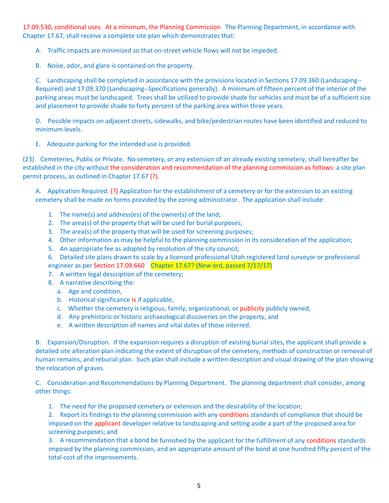17.09.530, conditional uses. At a minimum, the Planning Commission The Planning Department, in accordance with Chapter 17.67, shall receive a complete site plan which demonstrates that:

A. Traffic impacts are minimized so that on‐street vehicle flows will not be impeded.

B. Noise, odor, and glare is contained on the property.

C. Landscaping shall be completed in accordance with the provisions located in Sections 17.09.360 (Landscaping‐‐ Required) and 17.09.370 (Landscaping‐‐Specifications generally). A minimum of fifteen percent of the interior of the parking areas must be landscaped. Trees shall be utilized to provide shade for vehicles and must be of a sufficient size and placement to provide shade to forty percent of the parking area within three years.

D. Possible impacts on adjacent streets, sidewalks, and bike/pedestrian routes have been identified and reduced to minimum levels.

E. Adequate parking for the intended use is provided.

(23) Cemeteries, Public or Private. No cemetery, or any extension of an already existing cemetery, shall hereafter be established in the city without the consideration and recommendation of the planning commission as follows: a site plan permit process, as outlined in Chapter 17.67 (?).

A. Application Required. (?) Application for the establishment of a cemetery or for the extension to an existing cemetery shall be made on forms provided by the zoning administrator. The application shall include:

- 1. The name(s) and address(es) of the owner(s) of the land;
- 2. The area(s) of the property that will be used for burial purposes;
- 3. The area(s) of the property that will be used for screening purposes;
- 4. Other information as may be helpful to the planning commission in its consideration of the application;
- 5. An appropriate fee as adopted by resolution of the city council;
- 6. Detailed site plans drawn to scale by a licensed professional Utah registered land surveyor or professional engineer as per Section 17.09.660 Chapter 17.67? (New ord, passed 7/17/17)
- 7. A written legal description of the cemetery;
- 8. A narrative describing the:
	- a. Age and condition,
	- b. Historical significance is if applicable,
	- c. Whether the cemetery is religious, family, organizational, or publicity publicly owned,
	- d. Any prehistoric or historic archaeological discoveries on the property, and
	- e. A written description of names and vital dates of those interred.

B. Expansion/Disruption. If the expansion requires a disruption of existing burial sites, the applicant shall provide a detailed site alteration plan indicating the extent of disruption of the cemetery, methods of construction or removal of human remains, and reburial plan. Such plan shall include a written description and visual drawing of the plan showing the relocation of graves.

C. Consideration and Recommendations by Planning Department. The planning department shall consider, among other things:

1. The need for the proposed cemetery or extension and the desirability of the location;

2. Report its findings to the planning commission with any conditions standards of compliance that should be imposed on the applicant developer relative to landscaping and setting aside a part of the proposed area for screening purposes; and

3. A recommendation that a bond be furnished by the applicant for the fulfillment of any conditions standards imposed by the planning commission, and an appropriate amount of the bond at one hundred fifty percent of the total cost of the improvements.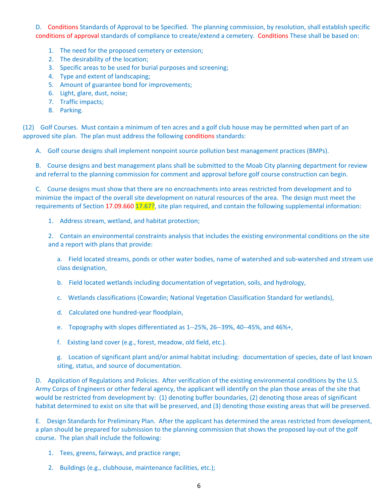D. Conditions Standards of Approval to be Specified. The planning commission, by resolution, shall establish specific conditions of approval standards of compliance to create/extend a cemetery. Conditions These shall be based on:

- 1. The need for the proposed cemetery or extension;
- 2. The desirability of the location;
- 3. Specific areas to be used for burial purposes and screening;
- 4. Type and extent of landscaping;
- 5. Amount of guarantee bond for improvements;
- 6. Light, glare, dust, noise;
- 7. Traffic impacts;
- 8. Parking.

(12) Golf Courses. Must contain a minimum of ten acres and a golf club house may be permitted when part of an approved site plan. The plan must address the following conditions standards:

A. Golf course designs shall implement nonpoint source pollution best management practices (BMPs).

B. Course designs and best management plans shall be submitted to the Moab City planning department for review and referral to the planning commission for comment and approval before golf course construction can begin.

C. Course designs must show that there are no encroachments into areas restricted from development and to minimize the impact of the overall site development on natural resources of the area. The design must meet the requirements of Section 17.09.660 17.67?, site plan required, and contain the following supplemental information:

1. Address stream, wetland, and habitat protection;

2. Contain an environmental constraints analysis that includes the existing environmental conditions on the site and a report with plans that provide:

a. Field located streams, ponds or other water bodies, name of watershed and sub-watershed and stream use class designation,

b. Field located wetlands including documentation of vegetation, soils, and hydrology,

c. Wetlands classifications (Cowardin; National Vegetation Classification Standard for wetlands),

- d. Calculated one hundred‐year floodplain,
- e. Topography with slopes differentiated as 1‐‐25%, 26‐‐39%, 40‐‐45%, and 46%+,
- f. Existing land cover (e.g., forest, meadow, old field, etc.).

g. Location of significant plant and/or animal habitat including: documentation of species, date of last known siting, status, and source of documentation.

D. Application of Regulations and Policies. After verification of the existing environmental conditions by the U.S. Army Corps of Engineers or other federal agency, the applicant will identify on the plan those areas of the site that would be restricted from development by: (1) denoting buffer boundaries, (2) denoting those areas of significant habitat determined to exist on site that will be preserved, and (3) denoting those existing areas that will be preserved.

E. Design Standards for Preliminary Plan. After the applicant has determined the areas restricted from development, a plan should be prepared for submission to the planning commission that shows the proposed lay‐out of the golf course. The plan shall include the following:

- 1. Tees, greens, fairways, and practice range;
- 2. Buildings (e.g., clubhouse, maintenance facilities, etc.);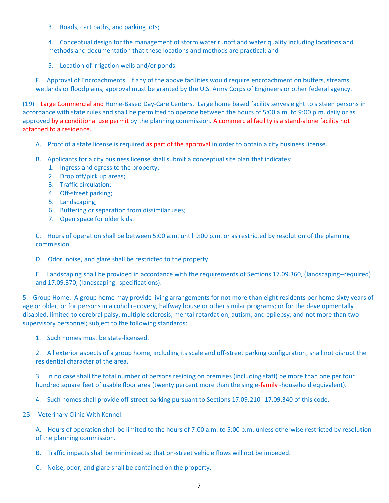3. Roads, cart paths, and parking lots;

4. Conceptual design for the management of storm water runoff and water quality including locations and methods and documentation that these locations and methods are practical; and

5. Location of irrigation wells and/or ponds.

F. Approval of Encroachments. If any of the above facilities would require encroachment on buffers, streams, wetlands or floodplains, approval must be granted by the U.S. Army Corps of Engineers or other federal agency.

(19) Large Commercial and Home‐Based Day‐Care Centers. Large home based facility serves eight to sixteen persons in accordance with state rules and shall be permitted to operate between the hours of 5:00 a.m. to 9:00 p.m. daily or as approved by a conditional use permit by the planning commission. A commercial facility is a stand-alone facility not attached to a residence.

- A. Proof of a state license is required as part of the approval in order to obtain a city business license.
- B. Applicants for a city business license shall submit a conceptual site plan that indicates:
	- 1. Ingress and egress to the property;
	- 2. Drop off/pick up areas;
	- 3. Traffic circulation;
	- 4. Off-street parking;
	- 5. Landscaping;
	- 6. Buffering or separation from dissimilar uses;
	- 7. Open space for older kids.

C. Hours of operation shall be between 5:00 a.m. until 9:00 p.m. or as restricted by resolution of the planning commission.

D. Odor, noise, and glare shall be restricted to the property.

E. Landscaping shall be provided in accordance with the requirements of Sections 17.09.360, (landscaping‐‐required) and 17.09.370, (landscaping‐‐specifications).

5. Group Home. A group home may provide living arrangements for not more than eight residents per home sixty years of age or older; or for persons in alcohol recovery, halfway house or other similar programs; or for the developmentally disabled, limited to cerebral palsy, multiple sclerosis, mental retardation, autism, and epilepsy; and not more than two supervisory personnel; subject to the following standards:

1. Such homes must be state-licensed.

2. All exterior aspects of a group home, including its scale and off-street parking configuration, shall not disrupt the residential character of the area.

3. In no case shall the total number of persons residing on premises (including staff) be more than one per four hundred square feet of usable floor area (twenty percent more than the single-family -household equivalent).

4. Such homes shall provide off-street parking pursuant to Sections 17.09.210--17.09.340 of this code.

25. Veterinary Clinic With Kennel.

A. Hours of operation shall be limited to the hours of 7:00 a.m. to 5:00 p.m. unless otherwise restricted by resolution of the planning commission.

- B. Traffic impacts shall be minimized so that on-street vehicle flows will not be impeded.
- C. Noise, odor, and glare shall be contained on the property.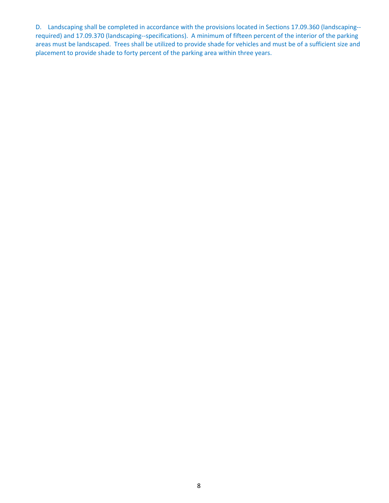D. Landscaping shall be completed in accordance with the provisions located in Sections 17.09.360 (landscaping-required) and 17.09.370 (landscaping‐‐specifications). A minimum of fifteen percent of the interior of the parking areas must be landscaped. Trees shall be utilized to provide shade for vehicles and must be of a sufficient size and placement to provide shade to forty percent of the parking area within three years.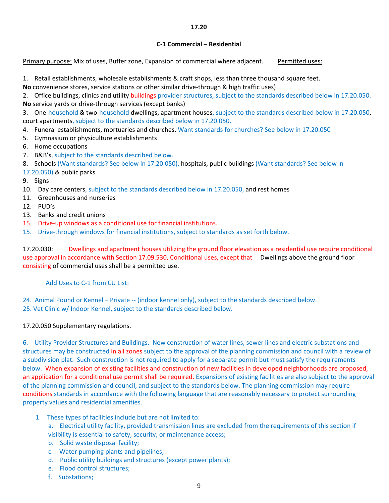#### **17.20**

#### **C‐1 Commercial – Residential**

Primary purpose: Mix of uses, Buffer zone, Expansion of commercial where adjacent. Permitted uses:

1. Retail establishments, wholesale establishments & craft shops, less than three thousand square feet.

**No** convenience stores, service stations or other similar drive‐through & high traffic uses)

2. Office buildings, clinics and utility buildings provider structures, subject to the standards described below in 17.20.050. **No** service yards or drive‐through services (except banks)

3. One-household & two-household dwellings, apartment houses, subject to the standards described below in 17.20.050, court apartments, subject to the standards described below in 17.20.050.

- 4. Funeral establishments, mortuaries and churches. Want standards for churches? See below in 17.20.050
- 5. Gymnasium or physiculture establishments
- 6. Home occupations
- 7. B&B's, subject to the standards described below.

8. Schools (Want standards? See below in 17.20.050), hospitals, public buildings (Want standards? See below in

- 17.20.050) & public parks
- 9. Signs
- 10. Day care centers, subject to the standards described below in 17.20.050, and rest homes
- 11. Greenhouses and nurseries
- 12. PUD's
- 13. Banks and credit unions
- 15. Drive-up windows as a conditional use for financial institutions.
- 15. Drive-through windows for financial institutions, subject to standards as set forth below.

17.20.030: Dwellings and apartment houses utilizing the ground floor elevation as a residential use require conditional use approval in accordance with Section 17.09.530, Conditional uses, except that Dwellings above the ground floor consisting of commercial uses shall be a permitted use.

Add Uses to C‐1 from CU List:

24. Animal Pound or Kennel – Private -- (indoor kennel only), subject to the standards described below. 25. Vet Clinic w/ Indoor Kennel, subject to the standards described below.

### 17.20.050 Supplementary regulations.

6. Utility Provider Structures and Buildings. New construction of water lines, sewer lines and electric substations and structures may be constructed in all zones subject to the approval of the planning commission and council with a review of a subdivision plat. Such construction is not required to apply for a separate permit but must satisfy the requirements below. When expansion of existing facilities and construction of new facilities in developed neighborhoods are proposed, an application for a conditional use permit shall be required. Expansions of existing facilities are also subject to the approval of the planning commission and council, and subject to the standards below. The planning commission may require conditions standards in accordance with the following language that are reasonably necessary to protect surrounding property values and residential amenities.

- 1. These types of facilities include but are not limited to:
	- a. Electrical utility facility, provided transmission lines are excluded from the requirements of this section if visibility is essential to safety, security, or maintenance access;
	- b. Solid waste disposal facility;
	- c. Water pumping plants and pipelines;
	- d. Public utility buildings and structures (except power plants);
	- e. Flood control structures;
	- f. Substations: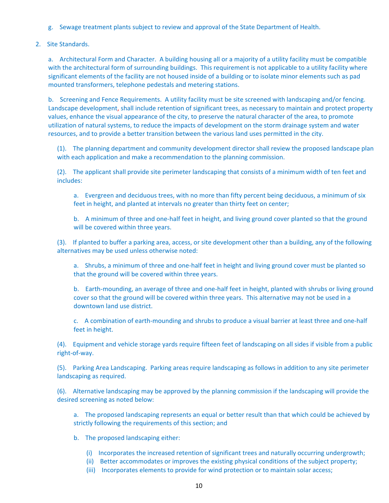- g. Sewage treatment plants subject to review and approval of the State Department of Health.
- 2. Site Standards.

a. Architectural Form and Character. A building housing all or a majority of a utility facility must be compatible with the architectural form of surrounding buildings. This requirement is not applicable to a utility facility where significant elements of the facility are not housed inside of a building or to isolate minor elements such as pad mounted transformers, telephone pedestals and metering stations.

b. Screening and Fence Requirements. A utility facility must be site screened with landscaping and/or fencing. Landscape development, shall include retention of significant trees, as necessary to maintain and protect property values, enhance the visual appearance of the city, to preserve the natural character of the area, to promote utilization of natural systems, to reduce the impacts of development on the storm drainage system and water resources, and to provide a better transition between the various land uses permitted in the city.

(1). The planning department and community development director shall review the proposed landscape plan with each application and make a recommendation to the planning commission.

(2). The applicant shall provide site perimeter landscaping that consists of a minimum width of ten feet and includes:

a. Evergreen and deciduous trees, with no more than fifty percent being deciduous, a minimum of six feet in height, and planted at intervals no greater than thirty feet on center;

b. A minimum of three and one-half feet in height, and living ground cover planted so that the ground will be covered within three years.

(3). If planted to buffer a parking area, access, or site development other than a building, any of the following alternatives may be used unless otherwise noted:

a. Shrubs, a minimum of three and one-half feet in height and living ground cover must be planted so that the ground will be covered within three years.

b. Earth-mounding, an average of three and one-half feet in height, planted with shrubs or living ground cover so that the ground will be covered within three years. This alternative may not be used in a downtown land use district.

c. A combination of earth-mounding and shrubs to produce a visual barrier at least three and one-half feet in height.

(4). Equipment and vehicle storage yards require fifteen feet of landscaping on all sides if visible from a public right‐of‐way.

(5). Parking Area Landscaping. Parking areas require landscaping as follows in addition to any site perimeter landscaping as required.

(6). Alternative landscaping may be approved by the planning commission if the landscaping will provide the desired screening as noted below:

a. The proposed landscaping represents an equal or better result than that which could be achieved by strictly following the requirements of this section; and

- b. The proposed landscaping either:
	- (i) Incorporates the increased retention of significant trees and naturally occurring undergrowth;
	- (ii) Better accommodates or improves the existing physical conditions of the subject property;
	- (iii) Incorporates elements to provide for wind protection or to maintain solar access;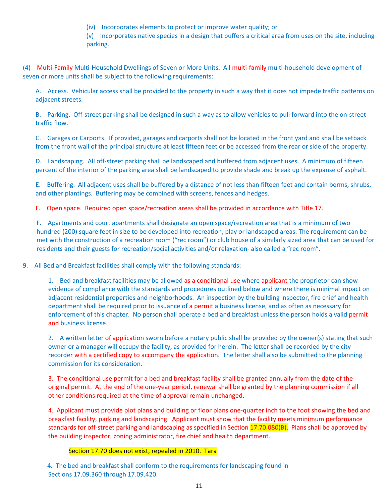(iv) Incorporates elements to protect or improve water quality; or

(v) Incorporates native species in a design that buffers a critical area from uses on the site, including parking.

(4) Multi‐Family Multi‐Household Dwellings of Seven or More Units. All multi‐family multi‐household development of seven or more units shall be subject to the following requirements:

A. Access. Vehicular access shall be provided to the property in such a way that it does not impede traffic patterns on adjacent streets.

B. Parking. Off-street parking shall be designed in such a way as to allow vehicles to pull forward into the on-street traffic flow.

C. Garages or Carports. If provided, garages and carports shall not be located in the front yard and shall be setback from the front wall of the principal structure at least fifteen feet or be accessed from the rear or side of the property.

D. Landscaping. All off-street parking shall be landscaped and buffered from adjacent uses. A minimum of fifteen percent of the interior of the parking area shall be landscaped to provide shade and break up the expanse of asphalt.

E. Buffering. All adjacent uses shall be buffered by a distance of not less than fifteen feet and contain berms, shrubs, and other plantings. Buffering may be combined with screens, fences and hedges.

F. Open space. Required open space/recreation areas shall be provided in accordance with Title 17.

F. Apartments and court apartments shall designate an open space/recreation area that is a minimum of two hundred (200) square feet in size to be developed into recreation, play or landscaped areas. The requirement can be met with the construction of a recreation room ("rec room") or club house of a similarly sized area that can be used for residents and their guests for recreation/social activities and/or relaxation‐ also called a "rec room".

9. All Bed and Breakfast facilities shall comply with the following standards:

1. Bed and breakfast facilities may be allowed as a conditional use where applicant the proprietor can show evidence of compliance with the standards and procedures outlined below and where there is minimal impact on adjacent residential properties and neighborhoods. An inspection by the building inspector, fire chief and health department shall be required prior to issuance of a permit a business license, and as often as necessary for enforcement of this chapter. No person shall operate a bed and breakfast unless the person holds a valid permit and business license.

2. A written letter of application sworn before a notary public shall be provided by the owner(s) stating that such owner or a manager will occupy the facility, as provided for herein. The letter shall be recorded by the city recorder with a certified copy to accompany the application. The letter shall also be submitted to the planning commission for its consideration.

3. The conditional use permit for a bed and breakfast facility shall be granted annually from the date of the original permit. At the end of the one‐year period, renewal shall be granted by the planning commission if all other conditions required at the time of approval remain unchanged.

4. Applicant must provide plot plans and building or floor plans one‐quarter inch to the foot showing the bed and breakfast facility, parking and landscaping. Applicant must show that the facility meets minimum performance standards for off-street parking and landscaping as specified in Section 17.70.080(B). Plans shall be approved by the building inspector, zoning administrator, fire chief and health department.

#### Section 17.70 does not exist, repealed in 2010. Tara

 4. The bed and breakfast shall conform to the requirements for landscaping found in Sections 17.09.360 through 17.09.420.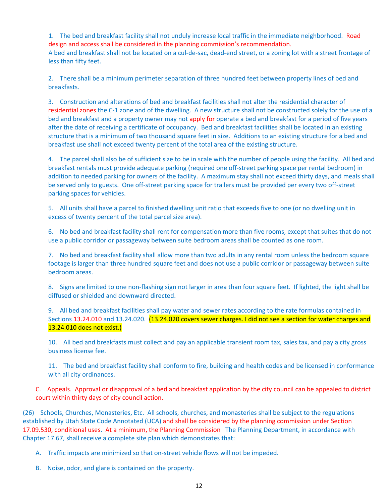1. The bed and breakfast facility shall not unduly increase local traffic in the immediate neighborhood. Road design and access shall be considered in the planning commission's recommendation. A bed and breakfast shall not be located on a cul-de-sac, dead-end street, or a zoning lot with a street frontage of less than fifty feet.

2. There shall be a minimum perimeter separation of three hundred feet between property lines of bed and breakfasts.

3. Construction and alterations of bed and breakfast facilities shall not alter the residential character of residential zones the C‐1 zone and of the dwelling. A new structure shall not be constructed solely for the use of a bed and breakfast and a property owner may not apply for operate a bed and breakfast for a period of five years after the date of receiving a certificate of occupancy. Bed and breakfast facilities shall be located in an existing structure that is a minimum of two thousand square feet in size. Additions to an existing structure for a bed and breakfast use shall not exceed twenty percent of the total area of the existing structure.

4. The parcel shall also be of sufficient size to be in scale with the number of people using the facility. All bed and breakfast rentals must provide adequate parking (required one off‐street parking space per rental bedroom) in addition to needed parking for owners of the facility. A maximum stay shall not exceed thirty days, and meals shall be served only to guests. One off‐street parking space for trailers must be provided per every two off‐street parking spaces for vehicles.

5. All units shall have a parcel to finished dwelling unit ratio that exceeds five to one (or no dwelling unit in excess of twenty percent of the total parcel size area).

6. No bed and breakfast facility shall rent for compensation more than five rooms, except that suites that do not use a public corridor or passageway between suite bedroom areas shall be counted as one room.

7. No bed and breakfast facility shall allow more than two adults in any rental room unless the bedroom square footage is larger than three hundred square feet and does not use a public corridor or passageway between suite bedroom areas.

8. Signs are limited to one non-flashing sign not larger in area than four square feet. If lighted, the light shall be diffused or shielded and downward directed.

9. All bed and breakfast facilities shall pay water and sewer rates according to the rate formulas contained in Sections 13.24.010 and 13.24.020. (13.24.020 covers sewer charges. I did not see a section for water charges and 13.24.010 does not exist.)

10. All bed and breakfasts must collect and pay an applicable transient room tax, sales tax, and pay a city gross business license fee.

11. The bed and breakfast facility shall conform to fire, building and health codes and be licensed in conformance with all city ordinances.

C. Appeals. Approval or disapproval of a bed and breakfast application by the city council can be appealed to district court within thirty days of city council action.

(26) Schools, Churches, Monasteries, Etc. All schools, churches, and monasteries shall be subject to the regulations established by Utah State Code Annotated (UCA) and shall be considered by the planning commission under Section 17.09.530, conditional uses. At a minimum, the Planning Commission The Planning Department, in accordance with Chapter 17.67, shall receive a complete site plan which demonstrates that:

A. Traffic impacts are minimized so that on‐street vehicle flows will not be impeded.

B. Noise, odor, and glare is contained on the property.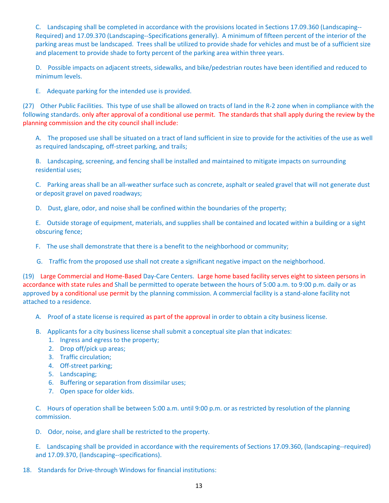C. Landscaping shall be completed in accordance with the provisions located in Sections 17.09.360 (Landscaping‐‐ Required) and 17.09.370 (Landscaping‐‐Specifications generally). A minimum of fifteen percent of the interior of the parking areas must be landscaped. Trees shall be utilized to provide shade for vehicles and must be of a sufficient size and placement to provide shade to forty percent of the parking area within three years.

D. Possible impacts on adjacent streets, sidewalks, and bike/pedestrian routes have been identified and reduced to minimum levels.

E. Adequate parking for the intended use is provided.

(27) Other Public Facilities. This type of use shall be allowed on tracts of land in the R‐2 zone when in compliance with the following standards. only after approval of a conditional use permit. The standards that shall apply during the review by the planning commission and the city council shall include:

A. The proposed use shall be situated on a tract of land sufficient in size to provide for the activities of the use as well as required landscaping, off‐street parking, and trails;

B. Landscaping, screening, and fencing shall be installed and maintained to mitigate impacts on surrounding residential uses;

C. Parking areas shall be an all‐weather surface such as concrete, asphalt or sealed gravel that will not generate dust or deposit gravel on paved roadways;

D. Dust, glare, odor, and noise shall be confined within the boundaries of the property;

E. Outside storage of equipment, materials, and supplies shall be contained and located within a building or a sight obscuring fence;

- F. The use shall demonstrate that there is a benefit to the neighborhood or community;
- G. Traffic from the proposed use shall not create a significant negative impact on the neighborhood.

(19) Large Commercial and Home‐Based Day‐Care Centers. Large home based facility serves eight to sixteen persons in accordance with state rules and Shall be permitted to operate between the hours of 5:00 a.m. to 9:00 p.m. daily or as approved by a conditional use permit by the planning commission. A commercial facility is a stand-alone facility not attached to a residence.

- A. Proof of a state license is required as part of the approval in order to obtain a city business license.
- B. Applicants for a city business license shall submit a conceptual site plan that indicates:
	- 1. Ingress and egress to the property;
	- 2. Drop off/pick up areas;
	- 3. Traffic circulation;
	- 4. Off-street parking;
	- 5. Landscaping;
	- 6. Buffering or separation from dissimilar uses;
	- 7. Open space for older kids.

C. Hours of operation shall be between 5:00 a.m. until 9:00 p.m. or as restricted by resolution of the planning commission.

D. Odor, noise, and glare shall be restricted to the property.

E. Landscaping shall be provided in accordance with the requirements of Sections 17.09.360, (landscaping‐‐required) and 17.09.370, (landscaping‐‐specifications).

18. Standards for Drive-through Windows for financial institutions: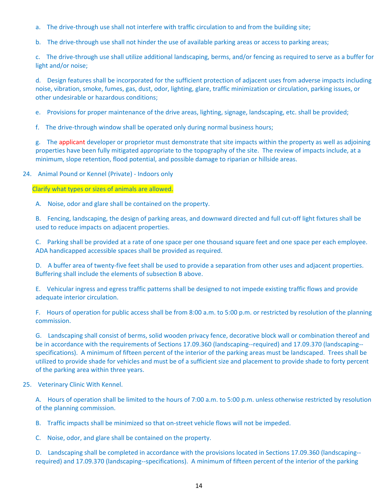- a. The drive-through use shall not interfere with traffic circulation to and from the building site;
- b. The drive-through use shall not hinder the use of available parking areas or access to parking areas;

c. The drive‐through use shall utilize additional landscaping, berms, and/or fencing as required to serve as a buffer for light and/or noise;

d. Design features shall be incorporated for the sufficient protection of adjacent uses from adverse impacts including noise, vibration, smoke, fumes, gas, dust, odor, lighting, glare, traffic minimization or circulation, parking issues, or other undesirable or hazardous conditions;

e. Provisions for proper maintenance of the drive areas, lighting, signage, landscaping, etc. shall be provided;

f. The drive-through window shall be operated only during normal business hours;

g. The applicant developer or proprietor must demonstrate that site impacts within the property as well as adjoining properties have been fully mitigated appropriate to the topography of the site. The review of impacts include, at a minimum, slope retention, flood potential, and possible damage to riparian or hillside areas.

24. Animal Pound or Kennel (Private) - Indoors only

Clarify what types or sizes of animals are allowed.

A. Noise, odor and glare shall be contained on the property.

B. Fencing, landscaping, the design of parking areas, and downward directed and full cut-off light fixtures shall be used to reduce impacts on adjacent properties.

C. Parking shall be provided at a rate of one space per one thousand square feet and one space per each employee. ADA handicapped accessible spaces shall be provided as required.

D. A buffer area of twenty-five feet shall be used to provide a separation from other uses and adjacent properties. Buffering shall include the elements of subsection B above.

E. Vehicular ingress and egress traffic patterns shall be designed to not impede existing traffic flows and provide adequate interior circulation.

F. Hours of operation for public access shall be from 8:00 a.m. to 5:00 p.m. or restricted by resolution of the planning commission.

G. Landscaping shall consist of berms, solid wooden privacy fence, decorative block wall or combination thereof and be in accordance with the requirements of Sections 17.09.360 (landscaping--required) and 17.09.370 (landscaping-specifications). A minimum of fifteen percent of the interior of the parking areas must be landscaped. Trees shall be utilized to provide shade for vehicles and must be of a sufficient size and placement to provide shade to forty percent of the parking area within three years.

#### 25. Veterinary Clinic With Kennel.

A. Hours of operation shall be limited to the hours of 7:00 a.m. to 5:00 p.m. unless otherwise restricted by resolution of the planning commission.

B. Traffic impacts shall be minimized so that on-street vehicle flows will not be impeded.

C. Noise, odor, and glare shall be contained on the property.

D. Landscaping shall be completed in accordance with the provisions located in Sections 17.09.360 (landscaping-required) and 17.09.370 (landscaping‐‐specifications). A minimum of fifteen percent of the interior of the parking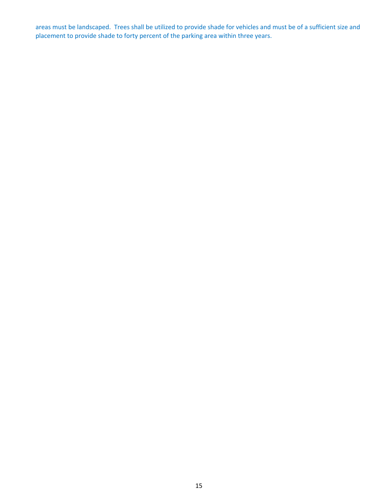areas must be landscaped. Trees shall be utilized to provide shade for vehicles and must be of a sufficient size and placement to provide shade to forty percent of the parking area within three years.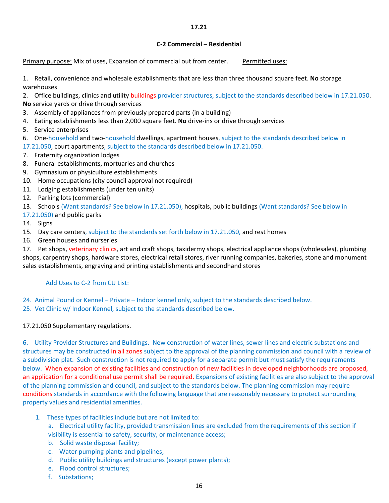#### **17.21**

#### **C‐2 Commercial – Residential**

Primary purpose: Mix of uses, Expansion of commercial out from center. Permitted uses:

1. Retail, convenience and wholesale establishments that are less than three thousand square feet. **No** storage warehouses

2. Office buildings, clinics and utility buildings provider structures, subject to the standards described below in 17.21.050.

- **No** service yards or drive through services
- 3. Assembly of appliances from previously prepared parts (in a building)
- 4. Eating establishments less than 2,000 square feet. **No** drive‐ins or drive through services
- 5. Service enterprises
- 6. One-household and two-household dwellings, apartment houses, subject to the standards described below in
- 17.21.050, court apartments, subject to the standards described below in 17.21.050.
- 7. Fraternity organization lodges
- 8. Funeral establishments, mortuaries and churches
- 9. Gymnasium or physiculture establishments
- 10. Home occupations (city council approval not required)
- 11. Lodging establishments (under ten units)
- 12. Parking lots (commercial)

13. Schools (Want standards? See below in 17.21.050), hospitals, public buildings (Want standards? See below in

- 17.21.050) and public parks
- 14. Signs
- 15. Day care centers, subject to the standards set forth below in 17.21.050, and rest homes
- 16. Green houses and nurseries

17. Pet shops, veterinary clinics, art and craft shops, taxidermy shops, electrical appliance shops (wholesales), plumbing shops, carpentry shops, hardware stores, electrical retail stores, river running companies, bakeries, stone and monument sales establishments, engraving and printing establishments and secondhand stores

### Add Uses to C‐2 from CU List:

- 24. Animal Pound or Kennel Private Indoor kennel only, subject to the standards described below.
- 25. Vet Clinic w/ Indoor Kennel, subject to the standards described below.

### 17.21.050 Supplementary regulations.

6. Utility Provider Structures and Buildings. New construction of water lines, sewer lines and electric substations and structures may be constructed in all zones subject to the approval of the planning commission and council with a review of a subdivision plat. Such construction is not required to apply for a separate permit but must satisfy the requirements below. When expansion of existing facilities and construction of new facilities in developed neighborhoods are proposed, an application for a conditional use permit shall be required. Expansions of existing facilities are also subject to the approval of the planning commission and council, and subject to the standards below. The planning commission may require conditions standards in accordance with the following language that are reasonably necessary to protect surrounding property values and residential amenities.

- 1. These types of facilities include but are not limited to:
	- a. Electrical utility facility, provided transmission lines are excluded from the requirements of this section if visibility is essential to safety, security, or maintenance access;
	- b. Solid waste disposal facility;
	- c. Water pumping plants and pipelines;
	- d. Public utility buildings and structures (except power plants);
	- e. Flood control structures;
	- f. Substations;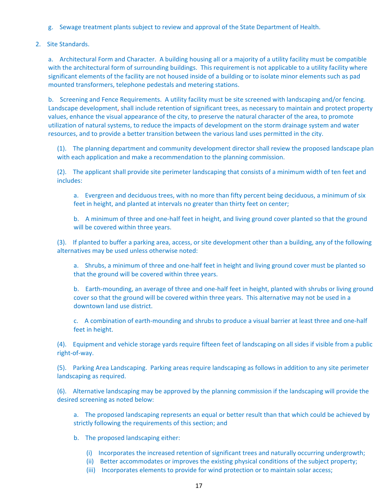- g. Sewage treatment plants subject to review and approval of the State Department of Health.
- 2. Site Standards.

a. Architectural Form and Character. A building housing all or a majority of a utility facility must be compatible with the architectural form of surrounding buildings. This requirement is not applicable to a utility facility where significant elements of the facility are not housed inside of a building or to isolate minor elements such as pad mounted transformers, telephone pedestals and metering stations.

b. Screening and Fence Requirements. A utility facility must be site screened with landscaping and/or fencing. Landscape development, shall include retention of significant trees, as necessary to maintain and protect property values, enhance the visual appearance of the city, to preserve the natural character of the area, to promote utilization of natural systems, to reduce the impacts of development on the storm drainage system and water resources, and to provide a better transition between the various land uses permitted in the city.

(1). The planning department and community development director shall review the proposed landscape plan with each application and make a recommendation to the planning commission.

(2). The applicant shall provide site perimeter landscaping that consists of a minimum width of ten feet and includes:

a. Evergreen and deciduous trees, with no more than fifty percent being deciduous, a minimum of six feet in height, and planted at intervals no greater than thirty feet on center;

b. A minimum of three and one-half feet in height, and living ground cover planted so that the ground will be covered within three years.

(3). If planted to buffer a parking area, access, or site development other than a building, any of the following alternatives may be used unless otherwise noted:

a. Shrubs, a minimum of three and one-half feet in height and living ground cover must be planted so that the ground will be covered within three years.

b. Earth-mounding, an average of three and one-half feet in height, planted with shrubs or living ground cover so that the ground will be covered within three years. This alternative may not be used in a downtown land use district.

c. A combination of earth-mounding and shrubs to produce a visual barrier at least three and one-half feet in height.

(4). Equipment and vehicle storage yards require fifteen feet of landscaping on all sides if visible from a public right‐of‐way.

(5). Parking Area Landscaping. Parking areas require landscaping as follows in addition to any site perimeter landscaping as required.

(6). Alternative landscaping may be approved by the planning commission if the landscaping will provide the desired screening as noted below:

a. The proposed landscaping represents an equal or better result than that which could be achieved by strictly following the requirements of this section; and

- b. The proposed landscaping either:
	- (i) Incorporates the increased retention of significant trees and naturally occurring undergrowth;
	- (ii) Better accommodates or improves the existing physical conditions of the subject property;
	- (iii) Incorporates elements to provide for wind protection or to maintain solar access;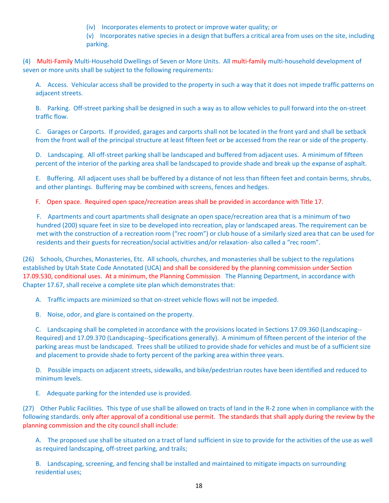- (iv) Incorporates elements to protect or improve water quality; or
- (v) Incorporates native species in a design that buffers a critical area from uses on the site, including parking.

(4) Multi‐Family Multi‐Household Dwellings of Seven or More Units. All multi‐family multi‐household development of seven or more units shall be subject to the following requirements:

A. Access. Vehicular access shall be provided to the property in such a way that it does not impede traffic patterns on adjacent streets.

B. Parking. Off-street parking shall be designed in such a way as to allow vehicles to pull forward into the on-street traffic flow.

C. Garages or Carports. If provided, garages and carports shall not be located in the front yard and shall be setback from the front wall of the principal structure at least fifteen feet or be accessed from the rear or side of the property.

D. Landscaping. All off-street parking shall be landscaped and buffered from adjacent uses. A minimum of fifteen percent of the interior of the parking area shall be landscaped to provide shade and break up the expanse of asphalt.

E. Buffering. All adjacent uses shall be buffered by a distance of not less than fifteen feet and contain berms, shrubs, and other plantings. Buffering may be combined with screens, fences and hedges.

F. Open space. Required open space/recreation areas shall be provided in accordance with Title 17.

F. Apartments and court apartments shall designate an open space/recreation area that is a minimum of two hundred (200) square feet in size to be developed into recreation, play or landscaped areas. The requirement can be met with the construction of a recreation room ("rec room") or club house of a similarly sized area that can be used for residents and their guests for recreation/social activities and/or relaxation‐ also called a "rec room".

(26) Schools, Churches, Monasteries, Etc. All schools, churches, and monasteries shall be subject to the regulations established by Utah State Code Annotated (UCA) and shall be considered by the planning commission under Section 17.09.530, conditional uses. At a minimum, the Planning Commission The Planning Department, in accordance with Chapter 17.67, shall receive a complete site plan which demonstrates that:

A. Traffic impacts are minimized so that on-street vehicle flows will not be impeded.

B. Noise, odor, and glare is contained on the property.

C. Landscaping shall be completed in accordance with the provisions located in Sections 17.09.360 (Landscaping‐‐ Required) and 17.09.370 (Landscaping‐‐Specifications generally). A minimum of fifteen percent of the interior of the parking areas must be landscaped. Trees shall be utilized to provide shade for vehicles and must be of a sufficient size and placement to provide shade to forty percent of the parking area within three years.

D. Possible impacts on adjacent streets, sidewalks, and bike/pedestrian routes have been identified and reduced to minimum levels.

E. Adequate parking for the intended use is provided.

(27) Other Public Facilities. This type of use shall be allowed on tracts of land in the R‐2 zone when in compliance with the following standards. only after approval of a conditional use permit. The standards that shall apply during the review by the planning commission and the city council shall include:

A. The proposed use shall be situated on a tract of land sufficient in size to provide for the activities of the use as well as required landscaping, off‐street parking, and trails;

B. Landscaping, screening, and fencing shall be installed and maintained to mitigate impacts on surrounding residential uses;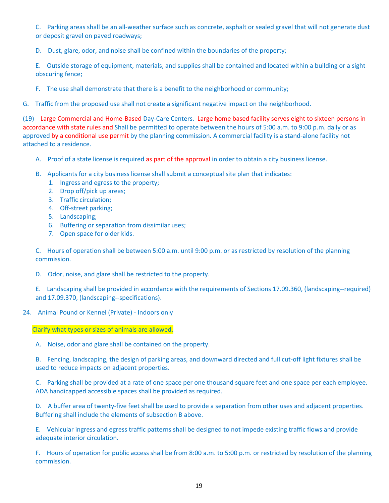C. Parking areas shall be an all‐weather surface such as concrete, asphalt or sealed gravel that will not generate dust or deposit gravel on paved roadways;

D. Dust, glare, odor, and noise shall be confined within the boundaries of the property;

E. Outside storage of equipment, materials, and supplies shall be contained and located within a building or a sight obscuring fence;

F. The use shall demonstrate that there is a benefit to the neighborhood or community;

G. Traffic from the proposed use shall not create a significant negative impact on the neighborhood.

(19) Large Commercial and Home‐Based Day‐Care Centers. Large home based facility serves eight to sixteen persons in accordance with state rules and Shall be permitted to operate between the hours of 5:00 a.m. to 9:00 p.m. daily or as approved by a conditional use permit by the planning commission. A commercial facility is a stand-alone facility not attached to a residence.

- A. Proof of a state license is required as part of the approval in order to obtain a city business license.
- B. Applicants for a city business license shall submit a conceptual site plan that indicates:
	- 1. Ingress and egress to the property;
	- 2. Drop off/pick up areas;
	- 3. Traffic circulation;
	- 4. Off-street parking;
	- 5. Landscaping;
	- 6. Buffering or separation from dissimilar uses;
	- 7. Open space for older kids.

C. Hours of operation shall be between 5:00 a.m. until 9:00 p.m. or as restricted by resolution of the planning commission.

D. Odor, noise, and glare shall be restricted to the property.

E. Landscaping shall be provided in accordance with the requirements of Sections 17.09.360, (landscaping‐‐required) and 17.09.370, (landscaping‐‐specifications).

#### 24. Animal Pound or Kennel (Private) - Indoors only

Clarify what types or sizes of animals are allowed.

A. Noise, odor and glare shall be contained on the property.

B. Fencing, landscaping, the design of parking areas, and downward directed and full cut-off light fixtures shall be used to reduce impacts on adjacent properties.

C. Parking shall be provided at a rate of one space per one thousand square feet and one space per each employee. ADA handicapped accessible spaces shall be provided as required.

D. A buffer area of twenty-five feet shall be used to provide a separation from other uses and adjacent properties. Buffering shall include the elements of subsection B above.

E. Vehicular ingress and egress traffic patterns shall be designed to not impede existing traffic flows and provide adequate interior circulation.

F. Hours of operation for public access shall be from 8:00 a.m. to 5:00 p.m. or restricted by resolution of the planning commission.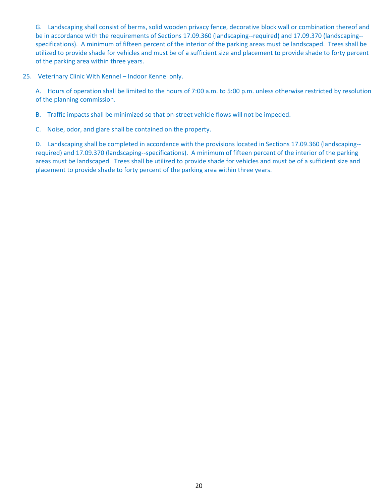G. Landscaping shall consist of berms, solid wooden privacy fence, decorative block wall or combination thereof and be in accordance with the requirements of Sections 17.09.360 (landscaping--required) and 17.09.370 (landscaping-specifications). A minimum of fifteen percent of the interior of the parking areas must be landscaped. Trees shall be utilized to provide shade for vehicles and must be of a sufficient size and placement to provide shade to forty percent of the parking area within three years.

25. Veterinary Clinic With Kennel – Indoor Kennel only.

A. Hours of operation shall be limited to the hours of 7:00 a.m. to 5:00 p.m. unless otherwise restricted by resolution of the planning commission.

B. Traffic impacts shall be minimized so that on-street vehicle flows will not be impeded.

C. Noise, odor, and glare shall be contained on the property.

D. Landscaping shall be completed in accordance with the provisions located in Sections 17.09.360 (landscaping-required) and 17.09.370 (landscaping‐‐specifications). A minimum of fifteen percent of the interior of the parking areas must be landscaped. Trees shall be utilized to provide shade for vehicles and must be of a sufficient size and placement to provide shade to forty percent of the parking area within three years.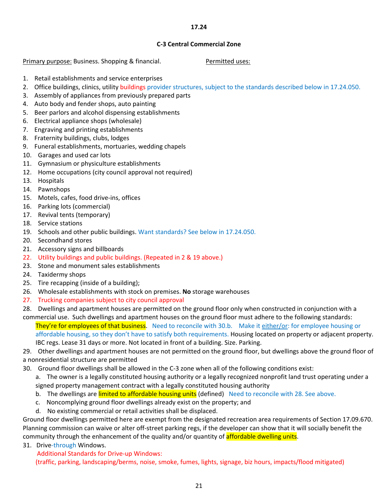#### **17.24**

#### **C‐3 Central Commercial Zone**

Primary purpose: Business. Shopping & financial. *Permitted uses: Permitted uses:* 

- 1. Retail establishments and service enterprises
- 2. Office buildings, clinics, utility buildings provider structures, subject to the standards described below in 17.24.050.
- 3. Assembly of appliances from previously prepared parts
- 4. Auto body and fender shops, auto painting
- 5. Beer parlors and alcohol dispensing establishments
- 6. Electrical appliance shops (wholesale)
- 7. Engraving and printing establishments
- 8. Fraternity buildings, clubs, lodges
- 9. Funeral establishments, mortuaries, wedding chapels
- 10. Garages and used car lots
- 11. Gymnasium or physiculture establishments
- 12. Home occupations (city council approval not required)
- 13. Hospitals
- 14. Pawnshops
- 15. Motels, cafes, food drive-ins, offices
- 16. Parking lots (commercial)
- 17. Revival tents (temporary)
- 18. Service stations
- 19. Schools and other public buildings. Want standards? See below in 17.24.050.
- 20. Secondhand stores
- 21. Accessory signs and billboards
- 22. Utility buildings and public buildings. (Repeated in 2 & 19 above.)
- 23. Stone and monument sales establishments
- 24. Taxidermy shops
- 25. Tire recapping (inside of a building);
- 26. Wholesale establishments with stock on premises. **No** storage warehouses
- 27. Trucking companies subject to city council approval
- 28. Dwellings and apartment houses are permitted on the ground floor only when constructed in conjunction with a
- commercial use. Such dwellings and apartment houses on the ground floor must adhere to the following standards:

They're for employees of that business. Need to reconcile with 30.b. Make it either/or: for employee housing or affordable housing, so they don't have to satisfy both requirements. Housing located on property or adjacent property. IBC regs. Lease 31 days or more. Not located in front of a building. Size. Parking.

29. Other dwellings and apartment houses are not permitted on the ground floor, but dwellings above the ground floor of a nonresidential structure are permitted

30. Ground floor dwellings shall be allowed in the C‐3 zone when all of the following conditions exist:

a. The owner is a legally constituted housing authority or a legally recognized nonprofit land trust operating under a signed property management contract with a legally constituted housing authority

- b. The dwellings are limited to affordable housing units (defined) Need to reconcile with 28. See above.
- c. Noncomplying ground floor dwellings already exist on the property; and
- d. No existing commercial or retail activities shall be displaced.

Ground floor dwellings permitted here are exempt from the designated recreation area requirements of Section 17.09.670. Planning commission can waive or alter off‐street parking regs, if the developer can show that it will socially benefit the community through the enhancement of the quality and/or quantity of **affordable dwelling units**.

31. Drive-through Windows.

Additional Standards for Drive‐up Windows:

(traffic, parking, landscaping/berms, noise, smoke, fumes, lights, signage, biz hours, impacts/flood mitigated)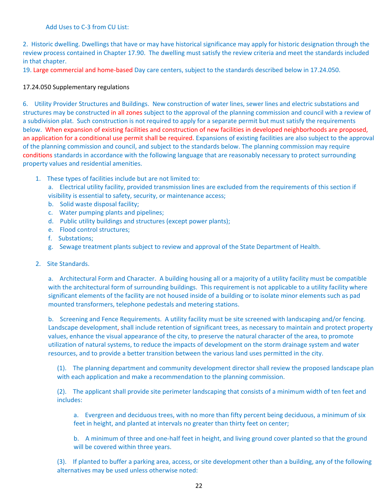#### Add Uses to C‐3 from CU List:

2. Historic dwelling. Dwellings that have or may have historical significance may apply for historic designation through the review process contained in Chapter 17.90. The dwelling must satisfy the review criteria and meet the standards included in that chapter.

19. Large commercial and home‐based Day care centers, subject to the standards described below in 17.24.050.

#### 17.24.050 Supplementary regulations

6. Utility Provider Structures and Buildings. New construction of water lines, sewer lines and electric substations and structures may be constructed in all zones subject to the approval of the planning commission and council with a review of a subdivision plat. Such construction is not required to apply for a separate permit but must satisfy the requirements below. When expansion of existing facilities and construction of new facilities in developed neighborhoods are proposed, an application for a conditional use permit shall be required. Expansions of existing facilities are also subject to the approval of the planning commission and council, and subject to the standards below. The planning commission may require conditions standards in accordance with the following language that are reasonably necessary to protect surrounding property values and residential amenities.

1. These types of facilities include but are not limited to:

a. Electrical utility facility, provided transmission lines are excluded from the requirements of this section if visibility is essential to safety, security, or maintenance access;

- b. Solid waste disposal facility;
- c. Water pumping plants and pipelines;
- d. Public utility buildings and structures (except power plants);
- e. Flood control structures:
- f. Substations;
- g. Sewage treatment plants subject to review and approval of the State Department of Health.
- 2. Site Standards.

a. Architectural Form and Character. A building housing all or a majority of a utility facility must be compatible with the architectural form of surrounding buildings. This requirement is not applicable to a utility facility where significant elements of the facility are not housed inside of a building or to isolate minor elements such as pad mounted transformers, telephone pedestals and metering stations.

b. Screening and Fence Requirements. A utility facility must be site screened with landscaping and/or fencing. Landscape development, shall include retention of significant trees, as necessary to maintain and protect property values, enhance the visual appearance of the city, to preserve the natural character of the area, to promote utilization of natural systems, to reduce the impacts of development on the storm drainage system and water resources, and to provide a better transition between the various land uses permitted in the city.

(1). The planning department and community development director shall review the proposed landscape plan with each application and make a recommendation to the planning commission.

(2). The applicant shall provide site perimeter landscaping that consists of a minimum width of ten feet and includes:

a. Evergreen and deciduous trees, with no more than fifty percent being deciduous, a minimum of six feet in height, and planted at intervals no greater than thirty feet on center;

b. A minimum of three and one-half feet in height, and living ground cover planted so that the ground will be covered within three years.

(3). If planted to buffer a parking area, access, or site development other than a building, any of the following alternatives may be used unless otherwise noted: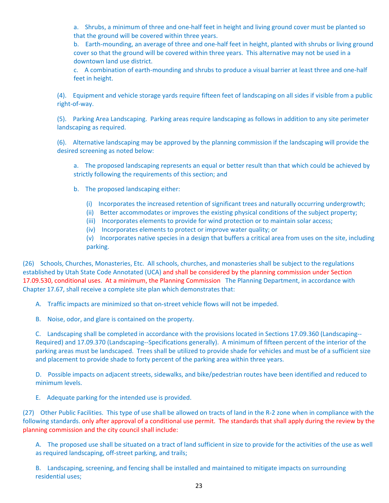a. Shrubs, a minimum of three and one-half feet in height and living ground cover must be planted so that the ground will be covered within three years.

b. Earth-mounding, an average of three and one-half feet in height, planted with shrubs or living ground cover so that the ground will be covered within three years. This alternative may not be used in a downtown land use district.

c. A combination of earth-mounding and shrubs to produce a visual barrier at least three and one-half feet in height.

(4). Equipment and vehicle storage yards require fifteen feet of landscaping on all sides if visible from a public right‐of‐way.

(5). Parking Area Landscaping. Parking areas require landscaping as follows in addition to any site perimeter landscaping as required.

(6). Alternative landscaping may be approved by the planning commission if the landscaping will provide the desired screening as noted below:

a. The proposed landscaping represents an equal or better result than that which could be achieved by strictly following the requirements of this section; and

- b. The proposed landscaping either:
	- (i) Incorporates the increased retention of significant trees and naturally occurring undergrowth;
	- (ii) Better accommodates or improves the existing physical conditions of the subject property;
	- (iii) Incorporates elements to provide for wind protection or to maintain solar access;
	- (iv) Incorporates elements to protect or improve water quality; or

(v) Incorporates native species in a design that buffers a critical area from uses on the site, including parking.

(26) Schools, Churches, Monasteries, Etc. All schools, churches, and monasteries shall be subject to the regulations established by Utah State Code Annotated (UCA) and shall be considered by the planning commission under Section 17.09.530, conditional uses. At a minimum, the Planning Commission The Planning Department, in accordance with Chapter 17.67, shall receive a complete site plan which demonstrates that:

A. Traffic impacts are minimized so that on-street vehicle flows will not be impeded.

B. Noise, odor, and glare is contained on the property.

C. Landscaping shall be completed in accordance with the provisions located in Sections 17.09.360 (Landscaping‐‐ Required) and 17.09.370 (Landscaping‐‐Specifications generally). A minimum of fifteen percent of the interior of the parking areas must be landscaped. Trees shall be utilized to provide shade for vehicles and must be of a sufficient size and placement to provide shade to forty percent of the parking area within three years.

D. Possible impacts on adjacent streets, sidewalks, and bike/pedestrian routes have been identified and reduced to minimum levels.

E. Adequate parking for the intended use is provided.

(27) Other Public Facilities. This type of use shall be allowed on tracts of land in the R‐2 zone when in compliance with the following standards. only after approval of a conditional use permit. The standards that shall apply during the review by the planning commission and the city council shall include:

A. The proposed use shall be situated on a tract of land sufficient in size to provide for the activities of the use as well as required landscaping, off‐street parking, and trails;

B. Landscaping, screening, and fencing shall be installed and maintained to mitigate impacts on surrounding residential uses;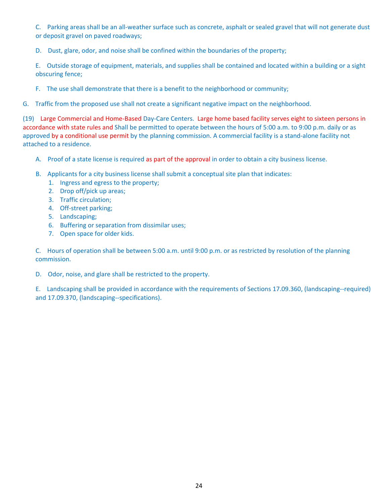C. Parking areas shall be an all‐weather surface such as concrete, asphalt or sealed gravel that will not generate dust or deposit gravel on paved roadways;

D. Dust, glare, odor, and noise shall be confined within the boundaries of the property;

E. Outside storage of equipment, materials, and supplies shall be contained and located within a building or a sight obscuring fence;

F. The use shall demonstrate that there is a benefit to the neighborhood or community;

G. Traffic from the proposed use shall not create a significant negative impact on the neighborhood.

(19) Large Commercial and Home‐Based Day‐Care Centers. Large home based facility serves eight to sixteen persons in accordance with state rules and Shall be permitted to operate between the hours of 5:00 a.m. to 9:00 p.m. daily or as approved by a conditional use permit by the planning commission. A commercial facility is a stand-alone facility not attached to a residence.

- A. Proof of a state license is required as part of the approval in order to obtain a city business license.
- B. Applicants for a city business license shall submit a conceptual site plan that indicates:
	- 1. Ingress and egress to the property;
	- 2. Drop off/pick up areas;
	- 3. Traffic circulation;
	- 4. Off-street parking;
	- 5. Landscaping;
	- 6. Buffering or separation from dissimilar uses;
	- 7. Open space for older kids.

C. Hours of operation shall be between 5:00 a.m. until 9:00 p.m. or as restricted by resolution of the planning commission.

D. Odor, noise, and glare shall be restricted to the property.

E. Landscaping shall be provided in accordance with the requirements of Sections 17.09.360, (landscaping‐‐required) and 17.09.370, (landscaping‐‐specifications).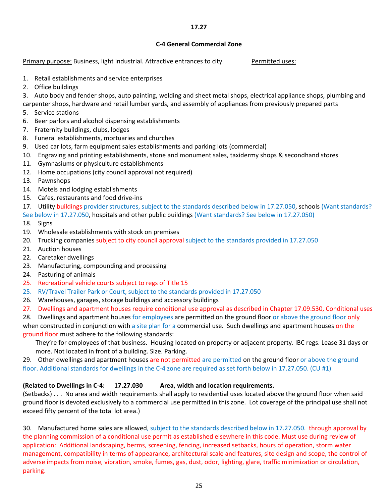#### **17.27**

#### **C‐4 General Commercial Zone**

Primary purpose: Business, light industrial. Attractive entrances to city. Permitted uses:

- 1. Retail establishments and service enterprises
- 2. Office buildings
- 3. Auto body and fender shops, auto painting, welding and sheet metal shops, electrical appliance shops, plumbing and
- carpenter shops, hardware and retail lumber yards, and assembly of appliances from previously prepared parts
- 5. Service stations
- 6. Beer parlors and alcohol dispensing establishments
- 7. Fraternity buildings, clubs, lodges
- 8. Funeral establishments, mortuaries and churches
- 9. Used car lots, farm equipment sales establishments and parking lots (commercial)
- 10. Engraving and printing establishments, stone and monument sales, taxidermy shops & secondhand stores
- 11. Gymnasiums or physiculture establishments
- 12. Home occupations (city council approval not required)
- 13. Pawnshops
- 14. Motels and lodging establishments
- 15. Cafes, restaurants and food drive-ins
- 17. Utility buildings provider structures, subject to the standards described below in 17.27.050, schools (Want standards?
- See below in 17.27.050, hospitals and other public buildings (Want standards? See below in 17.27.050)
- 18. Signs
- 19. Wholesale establishments with stock on premises
- 20. Trucking companies subject to city council approval subject to the standards provided in 17.27.050
- 21. Auction houses
- 22. Caretaker dwellings
- 23. Manufacturing, compounding and processing
- 24. Pasturing of animals
- 25. Recreational vehicle courts subject to regs of Title 15
- 25. RV/Travel Trailer Park or Court, subject to the standards provided in 17.27.050
- 26. Warehouses, garages, storage buildings and accessory buildings
- 27. Dwellings and apartment houses require conditional use approval as described in Chapter 17.09.530, Conditional uses
- 28. Dwellings and apartment houses for employees are permitted on the ground floor or above the ground floor only when constructed in conjunction with a site plan for a commercial use. Such dwellings and apartment houses on the ground floor must adhere to the following standards:
	- They're for employees of that business. Housing located on property or adjacent property. IBC regs. Lease 31 days or more. Not located in front of a building. Size. Parking.

29. Other dwellings and apartment houses are not permitted are permitted on the ground floor or above the ground floor. Additional standards for dwellings in the C‐4 zone are required as set forth below in 17.27.050. (CU #1)

### **(Related to Dwellings in C‐4: 17.27.030 Area, width and location requirements.**

(Setbacks) . . . No area and width requirements shall apply to residential uses located above the ground floor when said ground floor is devoted exclusively to a commercial use permitted in this zone. Lot coverage of the principal use shall not exceed fifty percent of the total lot area.)

30. Manufactured home sales are allowed, subject to the standards described below in 17.27.050. through approval by the planning commission of a conditional use permit as established elsewhere in this code. Must use during review of application: Additional landscaping, berms, screening, fencing, increased setbacks, hours of operation, storm water management, compatibility in terms of appearance, architectural scale and features, site design and scope, the control of adverse impacts from noise, vibration, smoke, fumes, gas, dust, odor, lighting, glare, traffic minimization or circulation, parking.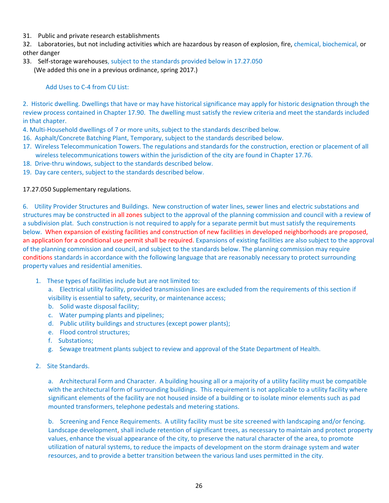31. Public and private research establishments

32. Laboratories, but not including activities which are hazardous by reason of explosion, fire, chemical, biochemical, or other danger

33. Self-storage warehouses, subject to the standards provided below in 17.27.050 (We added this one in a previous ordinance, spring 2017.)

Add Uses to C-4 from CU List:

2. Historic dwelling. Dwellings that have or may have historical significance may apply for historic designation through the review process contained in Chapter 17.90. The dwelling must satisfy the review criteria and meet the standards included in that chapter.

- 4. Multi-Household dwellings of 7 or more units, subject to the standards described below.
- 16. Asphalt/Concrete Batching Plant, Temporary, subject to the standards described below.
- 17. Wireless Telecommunication Towers. The regulations and standards for the construction, erection or placement of all wireless telecommunications towers within the jurisdiction of the city are found in Chapter 17.76.
- 18. Drive-thru windows, subject to the standards described below.
- 19. Day care centers, subject to the standards described below.

#### 17.27.050 Supplementary regulations.

6. Utility Provider Structures and Buildings. New construction of water lines, sewer lines and electric substations and structures may be constructed in all zones subject to the approval of the planning commission and council with a review of a subdivision plat. Such construction is not required to apply for a separate permit but must satisfy the requirements below. When expansion of existing facilities and construction of new facilities in developed neighborhoods are proposed, an application for a conditional use permit shall be required. Expansions of existing facilities are also subject to the approval of the planning commission and council, and subject to the standards below. The planning commission may require conditions standards in accordance with the following language that are reasonably necessary to protect surrounding property values and residential amenities.

- 1. These types of facilities include but are not limited to:
	- a. Electrical utility facility, provided transmission lines are excluded from the requirements of this section if visibility is essential to safety, security, or maintenance access;
	- b. Solid waste disposal facility;
	- c. Water pumping plants and pipelines;
	- d. Public utility buildings and structures (except power plants);
	- e. Flood control structures:
	- f. Substations:
	- g. Sewage treatment plants subject to review and approval of the State Department of Health.
- 2. Site Standards.

a. Architectural Form and Character. A building housing all or a majority of a utility facility must be compatible with the architectural form of surrounding buildings. This requirement is not applicable to a utility facility where significant elements of the facility are not housed inside of a building or to isolate minor elements such as pad mounted transformers, telephone pedestals and metering stations.

b. Screening and Fence Requirements. A utility facility must be site screened with landscaping and/or fencing. Landscape development, shall include retention of significant trees, as necessary to maintain and protect property values, enhance the visual appearance of the city, to preserve the natural character of the area, to promote utilization of natural systems, to reduce the impacts of development on the storm drainage system and water resources, and to provide a better transition between the various land uses permitted in the city.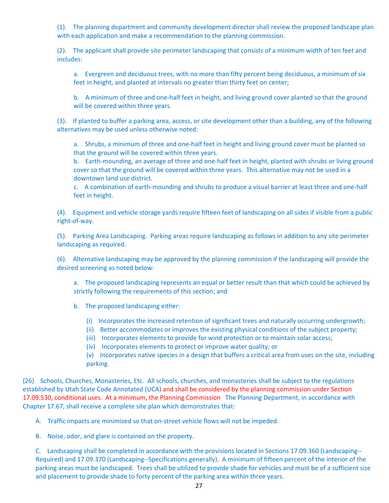(1). The planning department and community development director shall review the proposed landscape plan with each application and make a recommendation to the planning commission.

(2). The applicant shall provide site perimeter landscaping that consists of a minimum width of ten feet and includes:

a. Evergreen and deciduous trees, with no more than fifty percent being deciduous, a minimum of six feet in height, and planted at intervals no greater than thirty feet on center;

b. A minimum of three and one-half feet in height, and living ground cover planted so that the ground will be covered within three years.

(3). If planted to buffer a parking area, access, or site development other than a building, any of the following alternatives may be used unless otherwise noted:

a. Shrubs, a minimum of three and one-half feet in height and living ground cover must be planted so that the ground will be covered within three years.

b. Earth-mounding, an average of three and one-half feet in height, planted with shrubs or living ground cover so that the ground will be covered within three years. This alternative may not be used in a downtown land use district.

c. A combination of earth-mounding and shrubs to produce a visual barrier at least three and one-half feet in height.

(4). Equipment and vehicle storage yards require fifteen feet of landscaping on all sides if visible from a public right‐of‐way.

(5). Parking Area Landscaping. Parking areas require landscaping as follows in addition to any site perimeter landscaping as required.

(6). Alternative landscaping may be approved by the planning commission if the landscaping will provide the desired screening as noted below:

a. The proposed landscaping represents an equal or better result than that which could be achieved by strictly following the requirements of this section; and

b. The proposed landscaping either:

- (i) Incorporates the increased retention of significant trees and naturally occurring undergrowth;
- (ii) Better accommodates or improves the existing physical conditions of the subject property;
- (iii) Incorporates elements to provide for wind protection or to maintain solar access;
- (iv) Incorporates elements to protect or improve water quality; or

(v) Incorporates native species in a design that buffers a critical area from uses on the site, including parking.

(26) Schools, Churches, Monasteries, Etc. All schools, churches, and monasteries shall be subject to the regulations established by Utah State Code Annotated (UCA) and shall be considered by the planning commission under Section 17.09.530, conditional uses. At a minimum, the Planning Commission The Planning Department, in accordance with Chapter 17.67, shall receive a complete site plan which demonstrates that:

A. Traffic impacts are minimized so that on-street vehicle flows will not be impeded.

B. Noise, odor, and glare is contained on the property.

C. Landscaping shall be completed in accordance with the provisions located in Sections 17.09.360 (Landscaping‐‐ Required) and 17.09.370 (Landscaping‐‐Specifications generally). A minimum of fifteen percent of the interior of the parking areas must be landscaped. Trees shall be utilized to provide shade for vehicles and must be of a sufficient size and placement to provide shade to forty percent of the parking area within three years.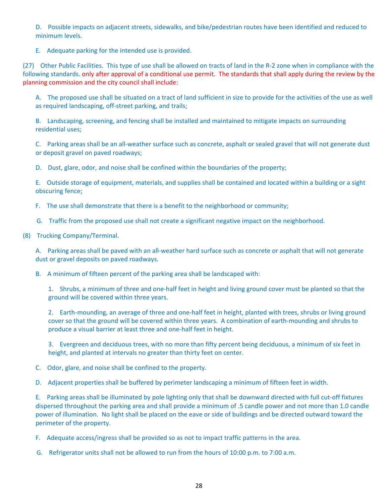D. Possible impacts on adjacent streets, sidewalks, and bike/pedestrian routes have been identified and reduced to minimum levels.

E. Adequate parking for the intended use is provided.

(27) Other Public Facilities. This type of use shall be allowed on tracts of land in the R‐2 zone when in compliance with the following standards. only after approval of a conditional use permit. The standards that shall apply during the review by the planning commission and the city council shall include:

A. The proposed use shall be situated on a tract of land sufficient in size to provide for the activities of the use as well as required landscaping, off‐street parking, and trails;

B. Landscaping, screening, and fencing shall be installed and maintained to mitigate impacts on surrounding residential uses;

C. Parking areas shall be an all‐weather surface such as concrete, asphalt or sealed gravel that will not generate dust or deposit gravel on paved roadways;

D. Dust, glare, odor, and noise shall be confined within the boundaries of the property;

E. Outside storage of equipment, materials, and supplies shall be contained and located within a building or a sight obscuring fence;

F. The use shall demonstrate that there is a benefit to the neighborhood or community;

G. Traffic from the proposed use shall not create a significant negative impact on the neighborhood.

(8) Trucking Company/Terminal.

A. Parking areas shall be paved with an all-weather hard surface such as concrete or asphalt that will not generate dust or gravel deposits on paved roadways.

B. A minimum of fifteen percent of the parking area shall be landscaped with:

1. Shrubs, a minimum of three and one-half feet in height and living ground cover must be planted so that the ground will be covered within three years.

2. Earth-mounding, an average of three and one-half feet in height, planted with trees, shrubs or living ground cover so that the ground will be covered within three years. A combination of earth-mounding and shrubs to produce a visual barrier at least three and one‐half feet in height.

3. Evergreen and deciduous trees, with no more than fifty percent being deciduous, a minimum of six feet in height, and planted at intervals no greater than thirty feet on center.

C. Odor, glare, and noise shall be confined to the property.

D. Adjacent properties shall be buffered by perimeter landscaping a minimum of fifteen feet in width.

E. Parking areas shall be illuminated by pole lighting only that shall be downward directed with full cut-off fixtures dispersed throughout the parking area and shall provide a minimum of .5 candle power and not more than 1.0 candle power of illumination. No light shall be placed on the eave or side of buildings and be directed outward toward the perimeter of the property.

F. Adequate access/ingress shall be provided so as not to impact traffic patterns in the area.

G. Refrigerator units shall not be allowed to run from the hours of 10:00 p.m. to 7:00 a.m.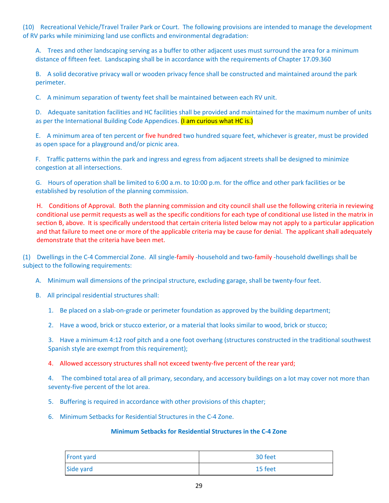(10) Recreational Vehicle/Travel Trailer Park or Court. The following provisions are intended to manage the development of RV parks while minimizing land use conflicts and environmental degradation:

A. Trees and other landscaping serving as a buffer to other adjacent uses must surround the area for a minimum distance of fifteen feet. Landscaping shall be in accordance with the requirements of Chapter 17.09.360

B. A solid decorative privacy wall or wooden privacy fence shall be constructed and maintained around the park perimeter.

C. A minimum separation of twenty feet shall be maintained between each RV unit.

D. Adequate sanitation facilities and HC facilities shall be provided and maintained for the maximum number of units as per the International Building Code Appendices. (I am curious what HC is.)

E. A minimum area of ten percent or five hundred two hundred square feet, whichever is greater, must be provided as open space for a playground and/or picnic area.

F. Traffic patterns within the park and ingress and egress from adjacent streets shall be designed to minimize congestion at all intersections.

G. Hours of operation shall be limited to 6:00 a.m. to 10:00 p.m. for the office and other park facilities or be established by resolution of the planning commission.

H. Conditions of Approval. Both the planning commission and city council shall use the following criteria in reviewing conditional use permit requests as well as the specific conditions for each type of conditional use listed in the matrix in section B, above. It is specifically understood that certain criteria listed below may not apply to a particular application and that failure to meet one or more of the applicable criteria may be cause for denial. The applicant shall adequately demonstrate that the criteria have been met.

(1) Dwellings in the C‐4 Commercial Zone. All single‐family ‐household and two‐family ‐household dwellings shall be subject to the following requirements:

- A. Minimum wall dimensions of the principal structure, excluding garage, shall be twenty‐four feet.
- B. All principal residential structures shall:
	- 1. Be placed on a slab-on-grade or perimeter foundation as approved by the building department;
	- 2. Have a wood, brick or stucco exterior, or a material that looks similar to wood, brick or stucco;

3. Have a minimum 4:12 roof pitch and a one foot overhang (structures constructed in the traditional southwest Spanish style are exempt from this requirement);

4. Allowed accessory structures shall not exceed twenty-five percent of the rear yard;

4. The combined total area of all primary, secondary, and accessory buildings on a lot may cover not more than seventy-five percent of the lot area.

- 5. Buffering is required in accordance with other provisions of this chapter;
- 6. Minimum Setbacks for Residential Structures in the C‐4 Zone.

#### **Minimum Setbacks for Residential Structures in the C‐4 Zone**

| <b>Front yard</b> | 30 feet |
|-------------------|---------|
| Side yard         | 15 feet |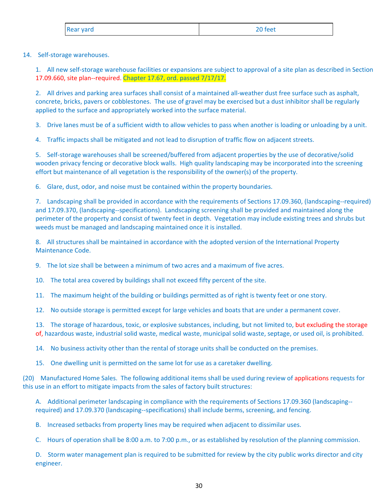| Rear yard | 20 feet |
|-----------|---------|
|-----------|---------|

14. Self-storage warehouses.

1. All new self-storage warehouse facilities or expansions are subject to approval of a site plan as described in Section 17.09.660, site plan‐‐required. Chapter 17.67, ord. passed 7/17/17.

2. All drives and parking area surfaces shall consist of a maintained all-weather dust free surface such as asphalt, concrete, bricks, pavers or cobblestones. The use of gravel may be exercised but a dust inhibitor shall be regularly applied to the surface and appropriately worked into the surface material.

3. Drive lanes must be of a sufficient width to allow vehicles to pass when another is loading or unloading by a unit.

4. Traffic impacts shall be mitigated and not lead to disruption of traffic flow on adjacent streets.

5. Self‐storage warehouses shall be screened/buffered from adjacent properties by the use of decorative/solid wooden privacy fencing or decorative block walls. High quality landscaping may be incorporated into the screening effort but maintenance of all vegetation is the responsibility of the owner(s) of the property.

6. Glare, dust, odor, and noise must be contained within the property boundaries.

7. Landscaping shall be provided in accordance with the requirements of Sections 17.09.360, (landscaping--required) and 17.09.370, (landscaping‐‐specifications). Landscaping screening shall be provided and maintained along the perimeter of the property and consist of twenty feet in depth. Vegetation may include existing trees and shrubs but weeds must be managed and landscaping maintained once it is installed.

8. All structures shall be maintained in accordance with the adopted version of the International Property Maintenance Code.

9. The lot size shall be between a minimum of two acres and a maximum of five acres.

10. The total area covered by buildings shall not exceed fifty percent of the site.

11. The maximum height of the building or buildings permitted as of right is twenty feet or one story.

12. No outside storage is permitted except for large vehicles and boats that are under a permanent cover.

13. The storage of hazardous, toxic, or explosive substances, including, but not limited to, but excluding the storage of, hazardous waste, industrial solid waste, medical waste, municipal solid waste, septage, or used oil, is prohibited.

14. No business activity other than the rental of storage units shall be conducted on the premises.

15. One dwelling unit is permitted on the same lot for use as a caretaker dwelling.

(20) Manufactured Home Sales. The following additional items shall be used during review of applications requests for this use in an effort to mitigate impacts from the sales of factory built structures:

A. Additional perimeter landscaping in compliance with the requirements of Sections 17.09.360 (landscaping-required) and 17.09.370 (landscaping‐‐specifications) shall include berms, screening, and fencing.

B. Increased setbacks from property lines may be required when adjacent to dissimilar uses.

C. Hours of operation shall be 8:00 a.m. to 7:00 p.m., or as established by resolution of the planning commission.

D. Storm water management plan is required to be submitted for review by the city public works director and city engineer.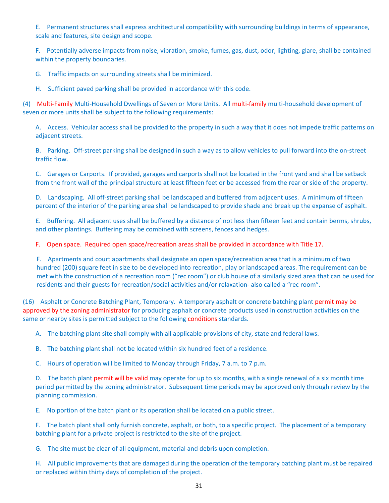E. Permanent structures shall express architectural compatibility with surrounding buildings in terms of appearance, scale and features, site design and scope.

F. Potentially adverse impacts from noise, vibration, smoke, fumes, gas, dust, odor, lighting, glare, shall be contained within the property boundaries.

G. Traffic impacts on surrounding streets shall be minimized.

H. Sufficient paved parking shall be provided in accordance with this code.

(4) Multi‐Family Multi‐Household Dwellings of Seven or More Units. All multi‐family multi‐household development of seven or more units shall be subject to the following requirements:

A. Access. Vehicular access shall be provided to the property in such a way that it does not impede traffic patterns on adjacent streets.

B. Parking. Off-street parking shall be designed in such a way as to allow vehicles to pull forward into the on-street traffic flow.

C. Garages or Carports. If provided, garages and carports shall not be located in the front yard and shall be setback from the front wall of the principal structure at least fifteen feet or be accessed from the rear or side of the property.

D. Landscaping. All off-street parking shall be landscaped and buffered from adjacent uses. A minimum of fifteen percent of the interior of the parking area shall be landscaped to provide shade and break up the expanse of asphalt.

E. Buffering. All adjacent uses shall be buffered by a distance of not less than fifteen feet and contain berms, shrubs, and other plantings. Buffering may be combined with screens, fences and hedges.

F. Open space. Required open space/recreation areas shall be provided in accordance with Title 17.

F. Apartments and court apartments shall designate an open space/recreation area that is a minimum of two hundred (200) square feet in size to be developed into recreation, play or landscaped areas. The requirement can be met with the construction of a recreation room ("rec room") or club house of a similarly sized area that can be used for residents and their guests for recreation/social activities and/or relaxation‐ also called a "rec room".

(16) Asphalt or Concrete Batching Plant, Temporary. A temporary asphalt or concrete batching plant permit may be approved by the zoning administrator for producing asphalt or concrete products used in construction activities on the same or nearby sites is permitted subject to the following conditions standards.

A. The batching plant site shall comply with all applicable provisions of city, state and federal laws.

B. The batching plant shall not be located within six hundred feet of a residence.

C. Hours of operation will be limited to Monday through Friday, 7 a.m. to 7 p.m.

D. The batch plant permit will be valid may operate for up to six months, with a single renewal of a six month time period permitted by the zoning administrator. Subsequent time periods may be approved only through review by the planning commission.

E. No portion of the batch plant or its operation shall be located on a public street.

F. The batch plant shall only furnish concrete, asphalt, or both, to a specific project. The placement of a temporary batching plant for a private project is restricted to the site of the project.

G. The site must be clear of all equipment, material and debris upon completion.

H. All public improvements that are damaged during the operation of the temporary batching plant must be repaired or replaced within thirty days of completion of the project.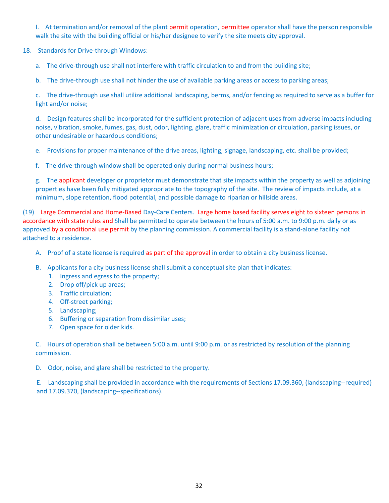I. At termination and/or removal of the plant permit operation, permittee operator shall have the person responsible walk the site with the building official or his/her designee to verify the site meets city approval.

- 18. Standards for Drive-through Windows:
	- a. The drive-through use shall not interfere with traffic circulation to and from the building site;

b. The drive-through use shall not hinder the use of available parking areas or access to parking areas;

c. The drive‐through use shall utilize additional landscaping, berms, and/or fencing as required to serve as a buffer for light and/or noise;

d. Design features shall be incorporated for the sufficient protection of adjacent uses from adverse impacts including noise, vibration, smoke, fumes, gas, dust, odor, lighting, glare, traffic minimization or circulation, parking issues, or other undesirable or hazardous conditions;

- e. Provisions for proper maintenance of the drive areas, lighting, signage, landscaping, etc. shall be provided;
- f. The drive-through window shall be operated only during normal business hours;

g. The applicant developer or proprietor must demonstrate that site impacts within the property as well as adjoining properties have been fully mitigated appropriate to the topography of the site. The review of impacts include, at a minimum, slope retention, flood potential, and possible damage to riparian or hillside areas.

(19) Large Commercial and Home‐Based Day‐Care Centers. Large home based facility serves eight to sixteen persons in accordance with state rules and Shall be permitted to operate between the hours of 5:00 a.m. to 9:00 p.m. daily or as approved by a conditional use permit by the planning commission. A commercial facility is a stand-alone facility not attached to a residence.

- A. Proof of a state license is required as part of the approval in order to obtain a city business license.
- B. Applicants for a city business license shall submit a conceptual site plan that indicates:
	- 1. Ingress and egress to the property;
	- 2. Drop off/pick up areas;
	- 3. Traffic circulation;
	- 4. Off-street parking;
	- 5. Landscaping;
	- 6. Buffering or separation from dissimilar uses;
	- 7. Open space for older kids.

C. Hours of operation shall be between 5:00 a.m. until 9:00 p.m. or as restricted by resolution of the planning commission.

D. Odor, noise, and glare shall be restricted to the property.

E. Landscaping shall be provided in accordance with the requirements of Sections 17.09.360, (landscaping‐‐required) and 17.09.370, (landscaping‐‐specifications).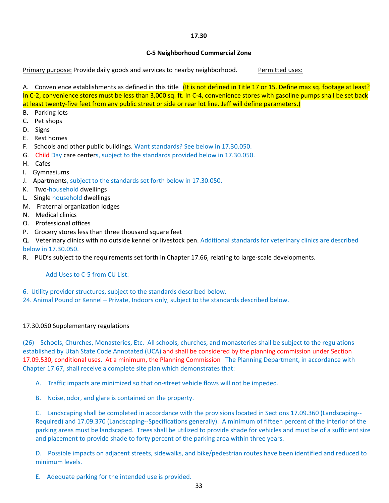## **17.30**

## **C‐5 Neighborhood Commercial Zone**

Primary purpose: Provide daily goods and services to nearby neighborhood. Permitted uses:

A. Convenience establishments as defined in this title (It is not defined in Title 17 or 15. Define max sq. footage at least? In C‐2, convenience stores must be less than 3,000 sq. ft. In C‐4, convenience stores with gasoline pumps shall be set back at least twenty‐five feet from any public street or side or rear lot line. Jeff will define parameters.)

- B. Parking lots
- C. Pet shops
- D. Signs
- E. Rest homes
- F. Schools and other public buildings. Want standards? See below in 17.30.050.
- G. Child Day care centers, subject to the standards provided below in 17.30.050.
- H. Cafes
- I. Gymnasiums
- J. Apartments, subject to the standards set forth below in 17.30.050.
- K. Two-household dwellings
- L. Single household dwellings
- M. Fraternal organization lodges
- N. Medical clinics
- O. Professional offices
- P. Grocery stores less than three thousand square feet

Q. Veterinary clinics with no outside kennel or livestock pen. Additional standards for veterinary clinics are described below in 17.30.050.

R. PUD's subject to the requirements set forth in Chapter 17.66, relating to large-scale developments.

## Add Uses to C‐5 from CU List:

- 6. Utility provider structures, subject to the standards described below.
- 24. Animal Pound or Kennel Private, Indoors only, subject to the standards described below.

## 17.30.050 Supplementary regulations

(26) Schools, Churches, Monasteries, Etc. All schools, churches, and monasteries shall be subject to the regulations established by Utah State Code Annotated (UCA) and shall be considered by the planning commission under Section 17.09.530, conditional uses. At a minimum, the Planning Commission The Planning Department, in accordance with Chapter 17.67, shall receive a complete site plan which demonstrates that:

A. Traffic impacts are minimized so that on‐street vehicle flows will not be impeded.

B. Noise, odor, and glare is contained on the property.

C. Landscaping shall be completed in accordance with the provisions located in Sections 17.09.360 (Landscaping‐‐ Required) and 17.09.370 (Landscaping‐‐Specifications generally). A minimum of fifteen percent of the interior of the parking areas must be landscaped. Trees shall be utilized to provide shade for vehicles and must be of a sufficient size and placement to provide shade to forty percent of the parking area within three years.

D. Possible impacts on adjacent streets, sidewalks, and bike/pedestrian routes have been identified and reduced to minimum levels.

E. Adequate parking for the intended use is provided.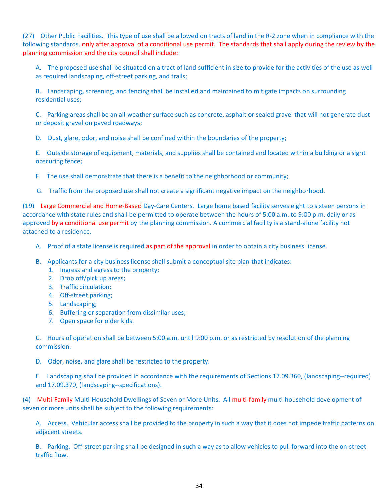(27) Other Public Facilities. This type of use shall be allowed on tracts of land in the R‐2 zone when in compliance with the following standards. only after approval of a conditional use permit. The standards that shall apply during the review by the planning commission and the city council shall include:

A. The proposed use shall be situated on a tract of land sufficient in size to provide for the activities of the use as well as required landscaping, off-street parking, and trails;

B. Landscaping, screening, and fencing shall be installed and maintained to mitigate impacts on surrounding residential uses;

C. Parking areas shall be an all‐weather surface such as concrete, asphalt or sealed gravel that will not generate dust or deposit gravel on paved roadways;

D. Dust, glare, odor, and noise shall be confined within the boundaries of the property;

E. Outside storage of equipment, materials, and supplies shall be contained and located within a building or a sight obscuring fence;

F. The use shall demonstrate that there is a benefit to the neighborhood or community;

G. Traffic from the proposed use shall not create a significant negative impact on the neighborhood.

(19) Large Commercial and Home‐Based Day‐Care Centers. Large home based facility serves eight to sixteen persons in accordance with state rules and shall be permitted to operate between the hours of 5:00 a.m. to 9:00 p.m. daily or as approved by a conditional use permit by the planning commission. A commercial facility is a stand-alone facility not attached to a residence.

- A. Proof of a state license is required as part of the approval in order to obtain a city business license.
- B. Applicants for a city business license shall submit a conceptual site plan that indicates:
	- 1. Ingress and egress to the property;
	- 2. Drop off/pick up areas;
	- 3. Traffic circulation;
	- 4. Off-street parking;
	- 5. Landscaping;
	- 6. Buffering or separation from dissimilar uses;
	- 7. Open space for older kids.

C. Hours of operation shall be between 5:00 a.m. until 9:00 p.m. or as restricted by resolution of the planning commission.

D. Odor, noise, and glare shall be restricted to the property.

E. Landscaping shall be provided in accordance with the requirements of Sections 17.09.360, (landscaping--required) and 17.09.370, (landscaping‐‐specifications).

(4) Multi‐Family Multi‐Household Dwellings of Seven or More Units. All multi‐family multi‐household development of seven or more units shall be subject to the following requirements:

A. Access. Vehicular access shall be provided to the property in such a way that it does not impede traffic patterns on adjacent streets.

B. Parking. Off-street parking shall be designed in such a way as to allow vehicles to pull forward into the on-street traffic flow.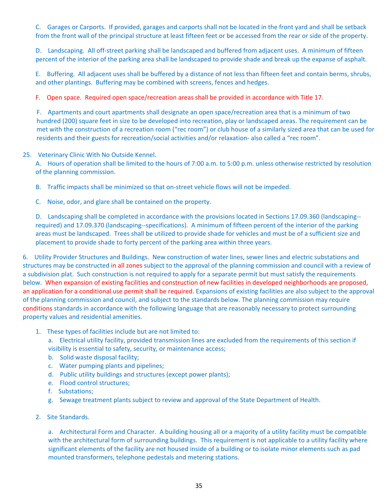C. Garages or Carports. If provided, garages and carports shall not be located in the front yard and shall be setback from the front wall of the principal structure at least fifteen feet or be accessed from the rear or side of the property.

D. Landscaping. All off-street parking shall be landscaped and buffered from adjacent uses. A minimum of fifteen percent of the interior of the parking area shall be landscaped to provide shade and break up the expanse of asphalt.

E. Buffering. All adjacent uses shall be buffered by a distance of not less than fifteen feet and contain berms, shrubs, and other plantings. Buffering may be combined with screens, fences and hedges.

F. Open space. Required open space/recreation areas shall be provided in accordance with Title 17.

F. Apartments and court apartments shall designate an open space/recreation area that is a minimum of two hundred (200) square feet in size to be developed into recreation, play or landscaped areas. The requirement can be met with the construction of a recreation room ("rec room") or club house of a similarly sized area that can be used for residents and their guests for recreation/social activities and/or relaxation‐ also called a "rec room".

#### 25. Veterinary Clinic With No Outside Kennel.

A. Hours of operation shall be limited to the hours of 7:00 a.m. to 5:00 p.m. unless otherwise restricted by resolution of the planning commission.

- B. Traffic impacts shall be minimized so that on-street vehicle flows will not be impeded.
- C. Noise, odor, and glare shall be contained on the property.

D. Landscaping shall be completed in accordance with the provisions located in Sections 17.09.360 (landscaping-required) and 17.09.370 (landscaping‐‐specifications). A minimum of fifteen percent of the interior of the parking areas must be landscaped. Trees shall be utilized to provide shade for vehicles and must be of a sufficient size and placement to provide shade to forty percent of the parking area within three years.

6. Utility Provider Structures and Buildings. New construction of water lines, sewer lines and electric substations and structures may be constructed in all zones subject to the approval of the planning commission and council with a review of a subdivision plat. Such construction is not required to apply for a separate permit but must satisfy the requirements below. When expansion of existing facilities and construction of new facilities in developed neighborhoods are proposed, an application for a conditional use permit shall be required. Expansions of existing facilities are also subject to the approval of the planning commission and council, and subject to the standards below. The planning commission may require conditions standards in accordance with the following language that are reasonably necessary to protect surrounding property values and residential amenities.

- 1. These types of facilities include but are not limited to:
	- a. Electrical utility facility, provided transmission lines are excluded from the requirements of this section if visibility is essential to safety, security, or maintenance access;
	- b. Solid waste disposal facility;
	- c. Water pumping plants and pipelines;
	- d. Public utility buildings and structures (except power plants);
	- e. Flood control structures;
	- f. Substations;
	- g. Sewage treatment plants subject to review and approval of the State Department of Health.
- 2. Site Standards.

a. Architectural Form and Character. A building housing all or a majority of a utility facility must be compatible with the architectural form of surrounding buildings. This requirement is not applicable to a utility facility where significant elements of the facility are not housed inside of a building or to isolate minor elements such as pad mounted transformers, telephone pedestals and metering stations.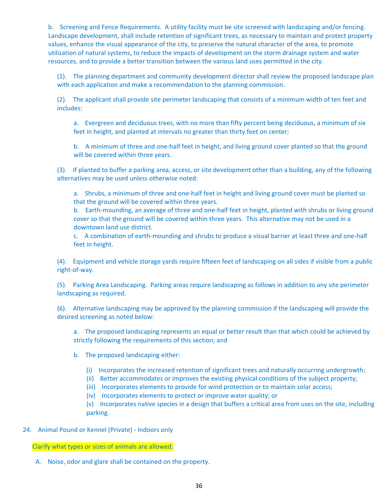b. Screening and Fence Requirements. A utility facility must be site screened with landscaping and/or fencing. Landscape development, shall include retention of significant trees, as necessary to maintain and protect property values, enhance the visual appearance of the city, to preserve the natural character of the area, to promote utilization of natural systems, to reduce the impacts of development on the storm drainage system and water resources, and to provide a better transition between the various land uses permitted in the city.

(1). The planning department and community development director shall review the proposed landscape plan with each application and make a recommendation to the planning commission.

(2). The applicant shall provide site perimeter landscaping that consists of a minimum width of ten feet and includes:

a. Evergreen and deciduous trees, with no more than fifty percent being deciduous, a minimum of six feet in height, and planted at intervals no greater than thirty feet on center;

b. A minimum of three and one-half feet in height, and living ground cover planted so that the ground will be covered within three years.

(3). If planted to buffer a parking area, access, or site development other than a building, any of the following alternatives may be used unless otherwise noted:

a. Shrubs, a minimum of three and one-half feet in height and living ground cover must be planted so that the ground will be covered within three years.

b. Earth-mounding, an average of three and one-half feet in height, planted with shrubs or living ground cover so that the ground will be covered within three years. This alternative may not be used in a downtown land use district.

c. A combination of earth-mounding and shrubs to produce a visual barrier at least three and one-half feet in height.

(4). Equipment and vehicle storage yards require fifteen feet of landscaping on all sides if visible from a public right‐of‐way.

(5). Parking Area Landscaping. Parking areas require landscaping as follows in addition to any site perimeter landscaping as required.

(6). Alternative landscaping may be approved by the planning commission if the landscaping will provide the desired screening as noted below:

a. The proposed landscaping represents an equal or better result than that which could be achieved by strictly following the requirements of this section; and

- b. The proposed landscaping either:
	- (i) Incorporates the increased retention of significant trees and naturally occurring undergrowth;
	- (ii) Better accommodates or improves the existing physical conditions of the subject property;
	- (iii) Incorporates elements to provide for wind protection or to maintain solar access;
	- (iv) Incorporates elements to protect or improve water quality; or

(v) Incorporates native species in a design that buffers a critical area from uses on the site, including parking.

24. Animal Pound or Kennel (Private) - Indoors only

Clarify what types or sizes of animals are allowed.

A. Noise, odor and glare shall be contained on the property.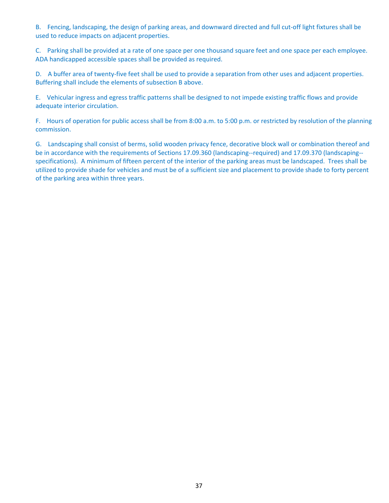B. Fencing, landscaping, the design of parking areas, and downward directed and full cut-off light fixtures shall be used to reduce impacts on adjacent properties.

C. Parking shall be provided at a rate of one space per one thousand square feet and one space per each employee. ADA handicapped accessible spaces shall be provided as required.

D. A buffer area of twenty-five feet shall be used to provide a separation from other uses and adjacent properties. Buffering shall include the elements of subsection B above.

E. Vehicular ingress and egress traffic patterns shall be designed to not impede existing traffic flows and provide adequate interior circulation.

F. Hours of operation for public access shall be from 8:00 a.m. to 5:00 p.m. or restricted by resolution of the planning commission.

G. Landscaping shall consist of berms, solid wooden privacy fence, decorative block wall or combination thereof and be in accordance with the requirements of Sections 17.09.360 (landscaping--required) and 17.09.370 (landscaping-specifications). A minimum of fifteen percent of the interior of the parking areas must be landscaped. Trees shall be utilized to provide shade for vehicles and must be of a sufficient size and placement to provide shade to forty percent of the parking area within three years.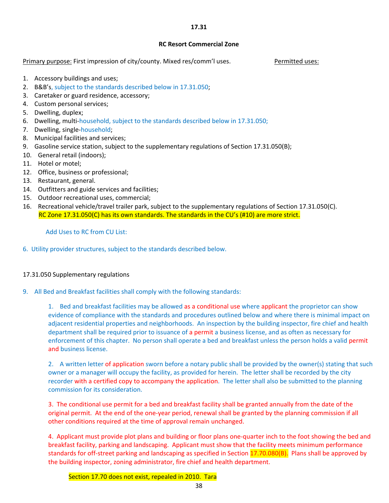## **17.31**

## **RC Resort Commercial Zone**

Primary purpose: First impression of city/county. Mixed res/comm'l uses. *Permitted uses:* 

- 1. Accessory buildings and uses;
- 2. B&B's, subject to the standards described below in 17.31.050;
- 3. Caretaker or guard residence, accessory;
- 4. Custom personal services;
- 5. Dwelling, duplex;
- 6. Dwelling, multi-household, subject to the standards described below in 17.31.050;
- 7. Dwelling, single-household;
- 8. Municipal facilities and services;
- 9. Gasoline service station, subject to the supplementary regulations of Section 17.31.050(B);
- 10. General retail (indoors);
- 11. Hotel or motel;
- 12. Office, business or professional;
- 13. Restaurant, general.
- 14. Outfitters and guide services and facilities;
- 15. Outdoor recreational uses, commercial;
- 16. Recreational vehicle/travel trailer park, subject to the supplementary regulations of Section 17.31.050(C). RC Zone 17.31.050(C) has its own standards. The standards in the CU's (#10) are more strict.

Add Uses to RC from CU List:

6. Utility provider structures, subject to the standards described below.

## 17.31.050 Supplementary regulations

9. All Bed and Breakfast facilities shall comply with the following standards:

1. Bed and breakfast facilities may be allowed as a conditional use where applicant the proprietor can show evidence of compliance with the standards and procedures outlined below and where there is minimal impact on adjacent residential properties and neighborhoods. An inspection by the building inspector, fire chief and health department shall be required prior to issuance of a permit a business license, and as often as necessary for enforcement of this chapter. No person shall operate a bed and breakfast unless the person holds a valid permit and business license.

2. A written letter of application sworn before a notary public shall be provided by the owner(s) stating that such owner or a manager will occupy the facility, as provided for herein. The letter shall be recorded by the city recorder with a certified copy to accompany the application. The letter shall also be submitted to the planning commission for its consideration.

3. The conditional use permit for a bed and breakfast facility shall be granted annually from the date of the original permit. At the end of the one‐year period, renewal shall be granted by the planning commission if all other conditions required at the time of approval remain unchanged.

4. Applicant must provide plot plans and building or floor plans one‐quarter inch to the foot showing the bed and breakfast facility, parking and landscaping. Applicant must show that the facility meets minimum performance standards for off-street parking and landscaping as specified in Section 17.70.080(B). Plans shall be approved by the building inspector, zoning administrator, fire chief and health department.

Section 17.70 does not exist, repealed in 2010. Tara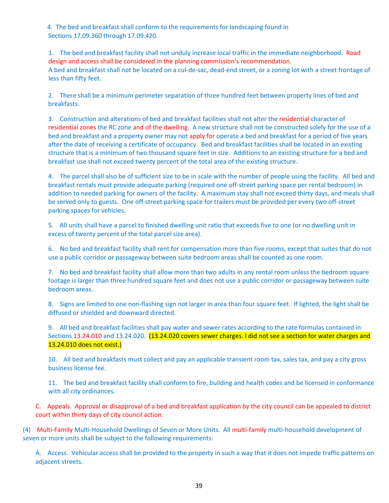4. The bed and breakfast shall conform to the requirements for landscaping found in Sections 17.09.360 through 17.09.420.

1. The bed and breakfast facility shall not unduly increase local traffic in the immediate neighborhood. Road design and access shall be considered in the planning commission's recommendation. A bed and breakfast shall not be located on a cul-de-sac, dead-end street, or a zoning lot with a street frontage of less than fifty feet.

2. There shall be a minimum perimeter separation of three hundred feet between property lines of bed and breakfasts.

3. Construction and alterations of bed and breakfast facilities shall not alter the residential character of residential zones the RC zone and of the dwelling. A new structure shall not be constructed solely for the use of a bed and breakfast and a property owner may not apply for operate a bed and breakfast for a period of five years after the date of receiving a certificate of occupancy. Bed and breakfast facilities shall be located in an existing structure that is a minimum of two thousand square feet in size. Additions to an existing structure for a bed and breakfast use shall not exceed twenty percent of the total area of the existing structure.

4. The parcel shall also be of sufficient size to be in scale with the number of people using the facility. All bed and breakfast rentals must provide adequate parking (required one off‐street parking space per rental bedroom) in addition to needed parking for owners of the facility. A maximum stay shall not exceed thirty days, and meals shall be served only to guests. One off‐street parking space for trailers must be provided per every two off‐street parking spaces for vehicles.

5. All units shall have a parcel to finished dwelling unit ratio that exceeds five to one (or no dwelling unit in excess of twenty percent of the total parcel size area).

6. No bed and breakfast facility shall rent for compensation more than five rooms, except that suites that do not use a public corridor or passageway between suite bedroom areas shall be counted as one room.

7. No bed and breakfast facility shall allow more than two adults in any rental room unless the bedroom square footage is larger than three hundred square feet and does not use a public corridor or passageway between suite bedroom areas.

8. Signs are limited to one non-flashing sign not larger in area than four square feet. If lighted, the light shall be diffused or shielded and downward directed.

9. All bed and breakfast facilities shall pay water and sewer rates according to the rate formulas contained in Sections 13.24.010 and 13.24.020. (13.24.020 covers sewer charges. I did not see a section for water charges and 13.24.010 does not exist.)

10. All bed and breakfasts must collect and pay an applicable transient room tax, sales tax, and pay a city gross business license fee.

11. The bed and breakfast facility shall conform to fire, building and health codes and be licensed in conformance with all city ordinances.

C. Appeals. Approval or disapproval of a bed and breakfast application by the city council can be appealed to district court within thirty days of city council action.

(4) Multi‐Family Multi‐Household Dwellings of Seven or More Units. All multi‐family multi‐household development of seven or more units shall be subject to the following requirements:

A. Access. Vehicular access shall be provided to the property in such a way that it does not impede traffic patterns on adjacent streets.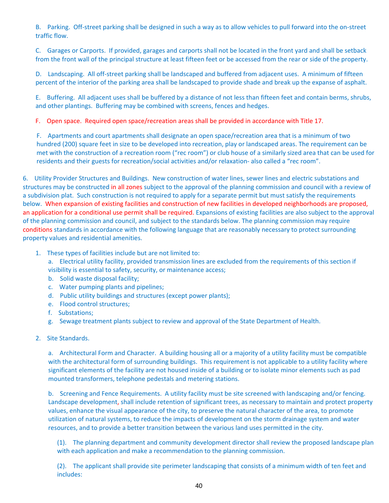B. Parking. Off-street parking shall be designed in such a way as to allow vehicles to pull forward into the on-street traffic flow.

C. Garages or Carports. If provided, garages and carports shall not be located in the front yard and shall be setback from the front wall of the principal structure at least fifteen feet or be accessed from the rear or side of the property.

D. Landscaping. All off-street parking shall be landscaped and buffered from adjacent uses. A minimum of fifteen percent of the interior of the parking area shall be landscaped to provide shade and break up the expanse of asphalt.

E. Buffering. All adjacent uses shall be buffered by a distance of not less than fifteen feet and contain berms, shrubs, and other plantings. Buffering may be combined with screens, fences and hedges.

F. Open space. Required open space/recreation areas shall be provided in accordance with Title 17.

F. Apartments and court apartments shall designate an open space/recreation area that is a minimum of two hundred (200) square feet in size to be developed into recreation, play or landscaped areas. The requirement can be met with the construction of a recreation room ("rec room") or club house of a similarly sized area that can be used for residents and their guests for recreation/social activities and/or relaxation‐ also called a "rec room".

6. Utility Provider Structures and Buildings. New construction of water lines, sewer lines and electric substations and structures may be constructed in all zones subject to the approval of the planning commission and council with a review of a subdivision plat. Such construction is not required to apply for a separate permit but must satisfy the requirements below. When expansion of existing facilities and construction of new facilities in developed neighborhoods are proposed, an application for a conditional use permit shall be required. Expansions of existing facilities are also subject to the approval of the planning commission and council, and subject to the standards below. The planning commission may require conditions standards in accordance with the following language that are reasonably necessary to protect surrounding property values and residential amenities.

- 1. These types of facilities include but are not limited to:
	- a. Electrical utility facility, provided transmission lines are excluded from the requirements of this section if visibility is essential to safety, security, or maintenance access;
	- b. Solid waste disposal facility;
	- c. Water pumping plants and pipelines;
	- d. Public utility buildings and structures (except power plants);
	- e. Flood control structures;
	- f. Substations:
	- g. Sewage treatment plants subject to review and approval of the State Department of Health.
- 2. Site Standards.

a. Architectural Form and Character. A building housing all or a majority of a utility facility must be compatible with the architectural form of surrounding buildings. This requirement is not applicable to a utility facility where significant elements of the facility are not housed inside of a building or to isolate minor elements such as pad mounted transformers, telephone pedestals and metering stations.

b. Screening and Fence Requirements. A utility facility must be site screened with landscaping and/or fencing. Landscape development, shall include retention of significant trees, as necessary to maintain and protect property values, enhance the visual appearance of the city, to preserve the natural character of the area, to promote utilization of natural systems, to reduce the impacts of development on the storm drainage system and water resources, and to provide a better transition between the various land uses permitted in the city.

(1). The planning department and community development director shall review the proposed landscape plan with each application and make a recommendation to the planning commission.

(2). The applicant shall provide site perimeter landscaping that consists of a minimum width of ten feet and includes: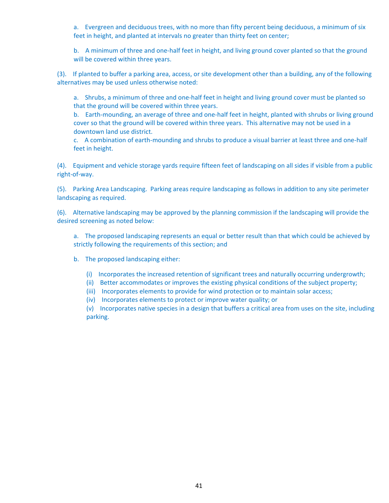a. Evergreen and deciduous trees, with no more than fifty percent being deciduous, a minimum of six feet in height, and planted at intervals no greater than thirty feet on center;

b. A minimum of three and one-half feet in height, and living ground cover planted so that the ground will be covered within three years.

(3). If planted to buffer a parking area, access, or site development other than a building, any of the following alternatives may be used unless otherwise noted:

a. Shrubs, a minimum of three and one-half feet in height and living ground cover must be planted so that the ground will be covered within three years.

b. Earth-mounding, an average of three and one-half feet in height, planted with shrubs or living ground cover so that the ground will be covered within three years. This alternative may not be used in a downtown land use district.

c. A combination of earth-mounding and shrubs to produce a visual barrier at least three and one-half feet in height.

(4). Equipment and vehicle storage yards require fifteen feet of landscaping on all sides if visible from a public right‐of‐way.

(5). Parking Area Landscaping. Parking areas require landscaping as follows in addition to any site perimeter landscaping as required.

(6). Alternative landscaping may be approved by the planning commission if the landscaping will provide the desired screening as noted below:

a. The proposed landscaping represents an equal or better result than that which could be achieved by strictly following the requirements of this section; and

- b. The proposed landscaping either:
	- (i) Incorporates the increased retention of significant trees and naturally occurring undergrowth;
	- (ii) Better accommodates or improves the existing physical conditions of the subject property;
	- (iii) Incorporates elements to provide for wind protection or to maintain solar access;

(iv) Incorporates elements to protect or improve water quality; or

(v) Incorporates native species in a design that buffers a critical area from uses on the site, including parking.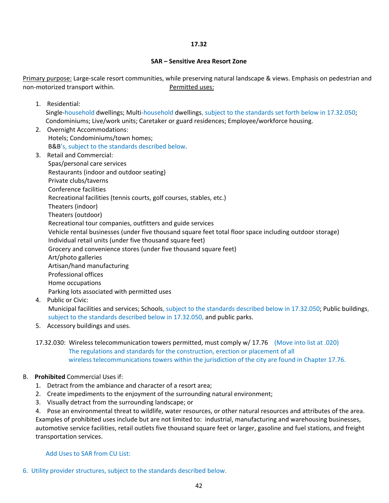## **17.32**

## **SAR – Sensitive Area Resort Zone**

Primary purpose: Large‐scale resort communities, while preserving natural landscape & views. Emphasis on pedestrian and non‐motorized transport within. Permitted uses:

1. Residential:

Single-household dwellings; Multi-household dwellings, subject to the standards set forth below in 17.32.050; Condominiums; Live/work units; Caretaker or guard residences; Employee/workforce housing.

- 2. Overnight Accommodations: Hotels; Condominiums/town homes; B&B's, subject to the standards described below.
- 3. Retail and Commercial: Spas/personal care services Restaurants (indoor and outdoor seating) Private clubs/taverns Conference facilities Recreational facilities (tennis courts, golf courses, stables, etc.) Theaters (indoor) Theaters (outdoor) Recreational tour companies, outfitters and guide services Vehicle rental businesses (under five thousand square feet total floor space including outdoor storage) Individual retail units (under five thousand square feet) Grocery and convenience stores (under five thousand square feet) Art/photo galleries Artisan/hand manufacturing Professional offices Home occupations Parking lots associated with permitted uses 4. Public or Civic:

Municipal facilities and services; Schools, subject to the standards described below in 17.32.050; Public buildings, subject to the standards described below in 17.32.050, and public parks.

- 5. Accessory buildings and uses.
- 17.32.030: Wireless telecommunication towers permitted, must comply w/ 17.76 (Move into list at .020) The regulations and standards for the construction, erection or placement of all wireless telecommunications towers within the jurisdiction of the city are found in Chapter 17.76.

## B. **Prohibited** Commercial Uses if:

- 1. Detract from the ambiance and character of a resort area;
- 2. Create impediments to the enjoyment of the surrounding natural environment;
- 3. Visually detract from the surrounding landscape; or

4. Pose an environmental threat to wildlife, water resources, or other natural resources and attributes of the area. Examples of prohibited uses include but are not limited to: industrial, manufacturing and warehousing businesses, automotive service facilities, retail outlets five thousand square feet or larger, gasoline and fuel stations, and freight transportation services.

Add Uses to SAR from CU List:

6. Utility provider structures, subject to the standards described below.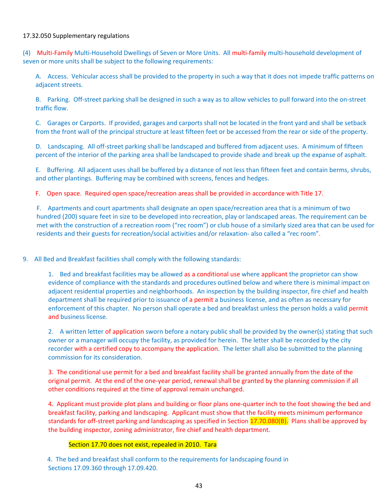## 17.32.050 Supplementary regulations

(4) Multi‐Family Multi‐Household Dwellings of Seven or More Units. All multi‐family multi‐household development of seven or more units shall be subject to the following requirements:

A. Access. Vehicular access shall be provided to the property in such a way that it does not impede traffic patterns on adjacent streets.

B. Parking. Off-street parking shall be designed in such a way as to allow vehicles to pull forward into the on-street traffic flow.

C. Garages or Carports. If provided, garages and carports shall not be located in the front yard and shall be setback from the front wall of the principal structure at least fifteen feet or be accessed from the rear or side of the property.

D. Landscaping. All off-street parking shall be landscaped and buffered from adjacent uses. A minimum of fifteen percent of the interior of the parking area shall be landscaped to provide shade and break up the expanse of asphalt.

E. Buffering. All adjacent uses shall be buffered by a distance of not less than fifteen feet and contain berms, shrubs, and other plantings. Buffering may be combined with screens, fences and hedges.

F. Open space. Required open space/recreation areas shall be provided in accordance with Title 17.

F. Apartments and court apartments shall designate an open space/recreation area that is a minimum of two hundred (200) square feet in size to be developed into recreation, play or landscaped areas. The requirement can be met with the construction of a recreation room ("rec room") or club house of a similarly sized area that can be used for residents and their guests for recreation/social activities and/or relaxation‐ also called a "rec room".

9. All Bed and Breakfast facilities shall comply with the following standards:

1. Bed and breakfast facilities may be allowed as a conditional use where applicant the proprietor can show evidence of compliance with the standards and procedures outlined below and where there is minimal impact on adjacent residential properties and neighborhoods. An inspection by the building inspector, fire chief and health department shall be required prior to issuance of a permit a business license, and as often as necessary for enforcement of this chapter. No person shall operate a bed and breakfast unless the person holds a valid permit and business license.

2. A written letter of application sworn before a notary public shall be provided by the owner(s) stating that such owner or a manager will occupy the facility, as provided for herein. The letter shall be recorded by the city recorder with a certified copy to accompany the application. The letter shall also be submitted to the planning commission for its consideration.

3. The conditional use permit for a bed and breakfast facility shall be granted annually from the date of the original permit. At the end of the one‐year period, renewal shall be granted by the planning commission if all other conditions required at the time of approval remain unchanged.

4. Applicant must provide plot plans and building or floor plans one‐quarter inch to the foot showing the bed and breakfast facility, parking and landscaping. Applicant must show that the facility meets minimum performance standards for off-street parking and landscaping as specified in Section 17.70.080(B). Plans shall be approved by the building inspector, zoning administrator, fire chief and health department.

## Section 17.70 does not exist, repealed in 2010. Tara

 4. The bed and breakfast shall conform to the requirements for landscaping found in Sections 17.09.360 through 17.09.420.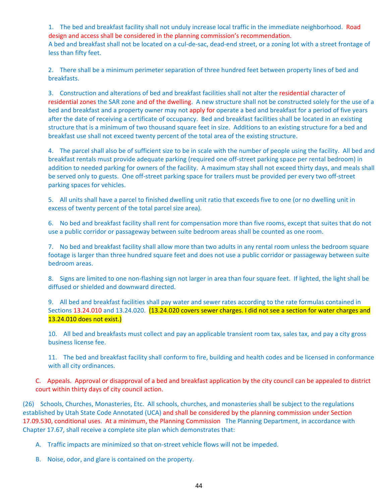1. The bed and breakfast facility shall not unduly increase local traffic in the immediate neighborhood. Road design and access shall be considered in the planning commission's recommendation. A bed and breakfast shall not be located on a cul-de-sac, dead-end street, or a zoning lot with a street frontage of less than fifty feet.

2. There shall be a minimum perimeter separation of three hundred feet between property lines of bed and breakfasts.

3. Construction and alterations of bed and breakfast facilities shall not alter the residential character of residential zones the SAR zone and of the dwelling. A new structure shall not be constructed solely for the use of a bed and breakfast and a property owner may not apply for operate a bed and breakfast for a period of five years after the date of receiving a certificate of occupancy. Bed and breakfast facilities shall be located in an existing structure that is a minimum of two thousand square feet in size. Additions to an existing structure for a bed and breakfast use shall not exceed twenty percent of the total area of the existing structure.

4. The parcel shall also be of sufficient size to be in scale with the number of people using the facility. All bed and breakfast rentals must provide adequate parking (required one off‐street parking space per rental bedroom) in addition to needed parking for owners of the facility. A maximum stay shall not exceed thirty days, and meals shall be served only to guests. One off‐street parking space for trailers must be provided per every two off‐street parking spaces for vehicles.

5. All units shall have a parcel to finished dwelling unit ratio that exceeds five to one (or no dwelling unit in excess of twenty percent of the total parcel size area).

6. No bed and breakfast facility shall rent for compensation more than five rooms, except that suites that do not use a public corridor or passageway between suite bedroom areas shall be counted as one room.

7. No bed and breakfast facility shall allow more than two adults in any rental room unless the bedroom square footage is larger than three hundred square feet and does not use a public corridor or passageway between suite bedroom areas.

8. Signs are limited to one non-flashing sign not larger in area than four square feet. If lighted, the light shall be diffused or shielded and downward directed.

9. All bed and breakfast facilities shall pay water and sewer rates according to the rate formulas contained in Sections 13.24.010 and 13.24.020. (13.24.020 covers sewer charges. I did not see a section for water charges and 13.24.010 does not exist.)

10. All bed and breakfasts must collect and pay an applicable transient room tax, sales tax, and pay a city gross business license fee.

11. The bed and breakfast facility shall conform to fire, building and health codes and be licensed in conformance with all city ordinances.

C. Appeals. Approval or disapproval of a bed and breakfast application by the city council can be appealed to district court within thirty days of city council action.

(26) Schools, Churches, Monasteries, Etc. All schools, churches, and monasteries shall be subject to the regulations established by Utah State Code Annotated (UCA) and shall be considered by the planning commission under Section 17.09.530, conditional uses. At a minimum, the Planning Commission The Planning Department, in accordance with Chapter 17.67, shall receive a complete site plan which demonstrates that:

A. Traffic impacts are minimized so that on‐street vehicle flows will not be impeded.

B. Noise, odor, and glare is contained on the property.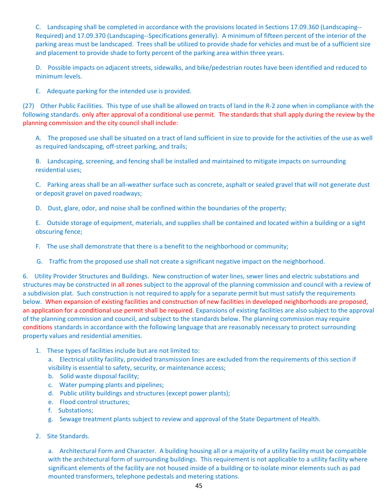C. Landscaping shall be completed in accordance with the provisions located in Sections 17.09.360 (Landscaping‐‐ Required) and 17.09.370 (Landscaping‐‐Specifications generally). A minimum of fifteen percent of the interior of the parking areas must be landscaped. Trees shall be utilized to provide shade for vehicles and must be of a sufficient size and placement to provide shade to forty percent of the parking area within three years.

D. Possible impacts on adjacent streets, sidewalks, and bike/pedestrian routes have been identified and reduced to minimum levels.

E. Adequate parking for the intended use is provided.

(27) Other Public Facilities. This type of use shall be allowed on tracts of land in the R‐2 zone when in compliance with the following standards. only after approval of a conditional use permit. The standards that shall apply during the review by the planning commission and the city council shall include:

A. The proposed use shall be situated on a tract of land sufficient in size to provide for the activities of the use as well as required landscaping, off‐street parking, and trails;

B. Landscaping, screening, and fencing shall be installed and maintained to mitigate impacts on surrounding residential uses;

C. Parking areas shall be an all‐weather surface such as concrete, asphalt or sealed gravel that will not generate dust or deposit gravel on paved roadways;

D. Dust, glare, odor, and noise shall be confined within the boundaries of the property;

E. Outside storage of equipment, materials, and supplies shall be contained and located within a building or a sight obscuring fence;

- F. The use shall demonstrate that there is a benefit to the neighborhood or community;
- G. Traffic from the proposed use shall not create a significant negative impact on the neighborhood.

6. Utility Provider Structures and Buildings. New construction of water lines, sewer lines and electric substations and structures may be constructed in all zones subject to the approval of the planning commission and council with a review of a subdivision plat. Such construction is not required to apply for a separate permit but must satisfy the requirements below. When expansion of existing facilities and construction of new facilities in developed neighborhoods are proposed, an application for a conditional use permit shall be required. Expansions of existing facilities are also subject to the approval of the planning commission and council, and subject to the standards below. The planning commission may require conditions standards in accordance with the following language that are reasonably necessary to protect surrounding property values and residential amenities.

1. These types of facilities include but are not limited to:

a. Electrical utility facility, provided transmission lines are excluded from the requirements of this section if visibility is essential to safety, security, or maintenance access;

- b. Solid waste disposal facility;
- c. Water pumping plants and pipelines;
- d. Public utility buildings and structures (except power plants);
- e. Flood control structures;
- f. Substations;
- g. Sewage treatment plants subject to review and approval of the State Department of Health.
- 2. Site Standards.

a. Architectural Form and Character. A building housing all or a majority of a utility facility must be compatible with the architectural form of surrounding buildings. This requirement is not applicable to a utility facility where significant elements of the facility are not housed inside of a building or to isolate minor elements such as pad mounted transformers, telephone pedestals and metering stations.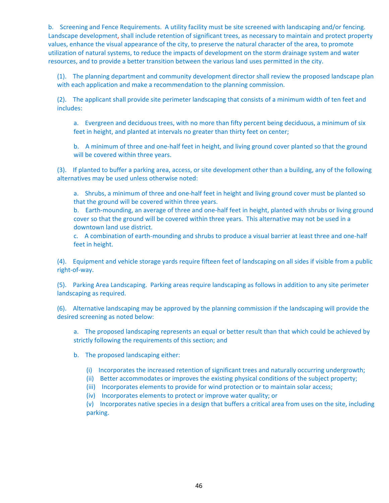b. Screening and Fence Requirements. A utility facility must be site screened with landscaping and/or fencing. Landscape development, shall include retention of significant trees, as necessary to maintain and protect property values, enhance the visual appearance of the city, to preserve the natural character of the area, to promote utilization of natural systems, to reduce the impacts of development on the storm drainage system and water resources, and to provide a better transition between the various land uses permitted in the city.

(1). The planning department and community development director shall review the proposed landscape plan with each application and make a recommendation to the planning commission.

(2). The applicant shall provide site perimeter landscaping that consists of a minimum width of ten feet and includes:

a. Evergreen and deciduous trees, with no more than fifty percent being deciduous, a minimum of six feet in height, and planted at intervals no greater than thirty feet on center;

b. A minimum of three and one-half feet in height, and living ground cover planted so that the ground will be covered within three years.

(3). If planted to buffer a parking area, access, or site development other than a building, any of the following alternatives may be used unless otherwise noted:

a. Shrubs, a minimum of three and one-half feet in height and living ground cover must be planted so that the ground will be covered within three years.

b. Earth-mounding, an average of three and one-half feet in height, planted with shrubs or living ground cover so that the ground will be covered within three years. This alternative may not be used in a downtown land use district.

c. A combination of earth-mounding and shrubs to produce a visual barrier at least three and one-half feet in height.

(4). Equipment and vehicle storage yards require fifteen feet of landscaping on all sides if visible from a public right‐of‐way.

(5). Parking Area Landscaping. Parking areas require landscaping as follows in addition to any site perimeter landscaping as required.

(6). Alternative landscaping may be approved by the planning commission if the landscaping will provide the desired screening as noted below:

a. The proposed landscaping represents an equal or better result than that which could be achieved by strictly following the requirements of this section; and

- b. The proposed landscaping either:
	- (i) Incorporates the increased retention of significant trees and naturally occurring undergrowth;
	- (ii) Better accommodates or improves the existing physical conditions of the subject property;
	- (iii) Incorporates elements to provide for wind protection or to maintain solar access;
	- (iv) Incorporates elements to protect or improve water quality; or

(v) Incorporates native species in a design that buffers a critical area from uses on the site, including parking.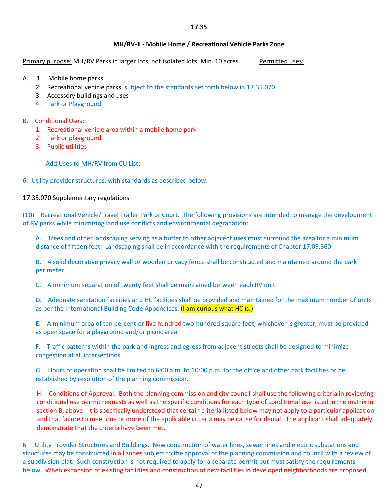## **MH/RV‐1 ‐ Mobile Home / Recreational Vehicle Parks Zone**

Primary purpose: MH/RV Parks in larger lots, not isolated lots. Min. 10 acres. Permitted uses:

- A. 1. Mobile home parks
	- 2. Recreational vehicle parks, subject to the standards set forth below in 17.35.070
	- 3. Accessory buildings and uses
	- 4. Park or Playground
- B. Conditional Uses:
	- 1. Recreational vehicle area within a mobile home park
	- 2. Park or playground
	- 3. Public utilities

Add Uses to MH/RV from CU List:

6. Utility provider structures, with standards as described below.

17.35.070 Supplementary regulations

(10) Recreational Vehicle/Travel Trailer Park or Court. The following provisions are intended to manage the development of RV parks while minimizing land use conflicts and environmental degradation:

A. Trees and other landscaping serving as a buffer to other adjacent uses must surround the area for a minimum distance of fifteen feet. Landscaping shall be in accordance with the requirements of Chapter 17.09.360

B. A solid decorative privacy wall or wooden privacy fence shall be constructed and maintained around the park perimeter.

C. A minimum separation of twenty feet shall be maintained between each RV unit.

D. Adequate sanitation facilities and HC facilities shall be provided and maintained for the maximum number of units as per the International Building Code Appendices. (I am curious what HC is.)

E. A minimum area of ten percent or five hundred two hundred square feet, whichever is greater, must be provided as open space for a playground and/or picnic area.

F. Traffic patterns within the park and ingress and egress from adjacent streets shall be designed to minimize congestion at all intersections.

G. Hours of operation shall be limited to 6:00 a.m. to 10:00 p.m. for the office and other park facilities or be established by resolution of the planning commission.

H. Conditions of Approval. Both the planning commission and city council shall use the following criteria in reviewing conditional use permit requests as well as the specific conditions for each type of conditional use listed in the matrix in section B, above. It is specifically understood that certain criteria listed below may not apply to a particular application and that failure to meet one or more of the applicable criteria may be cause for denial. The applicant shall adequately demonstrate that the criteria have been met.

6. Utility Provider Structures and Buildings. New construction of water lines, sewer lines and electric substations and structures may be constructed in all zones subject to the approval of the planning commission and council with a review of a subdivision plat. Such construction is not required to apply for a separate permit but must satisfy the requirements below. When expansion of existing facilities and construction of new facilities in developed neighborhoods are proposed,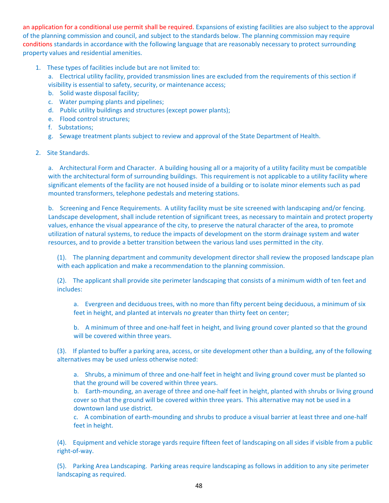an application for a conditional use permit shall be required. Expansions of existing facilities are also subject to the approval of the planning commission and council, and subject to the standards below. The planning commission may require conditions standards in accordance with the following language that are reasonably necessary to protect surrounding property values and residential amenities.

1. These types of facilities include but are not limited to:

a. Electrical utility facility, provided transmission lines are excluded from the requirements of this section if visibility is essential to safety, security, or maintenance access;

- b. Solid waste disposal facility;
- c. Water pumping plants and pipelines;
- d. Public utility buildings and structures (except power plants);
- e. Flood control structures;
- f. Substations:
- g. Sewage treatment plants subject to review and approval of the State Department of Health.
- 2. Site Standards.

a. Architectural Form and Character. A building housing all or a majority of a utility facility must be compatible with the architectural form of surrounding buildings. This requirement is not applicable to a utility facility where significant elements of the facility are not housed inside of a building or to isolate minor elements such as pad mounted transformers, telephone pedestals and metering stations.

b. Screening and Fence Requirements. A utility facility must be site screened with landscaping and/or fencing. Landscape development, shall include retention of significant trees, as necessary to maintain and protect property values, enhance the visual appearance of the city, to preserve the natural character of the area, to promote utilization of natural systems, to reduce the impacts of development on the storm drainage system and water resources, and to provide a better transition between the various land uses permitted in the city.

(1). The planning department and community development director shall review the proposed landscape plan with each application and make a recommendation to the planning commission.

(2). The applicant shall provide site perimeter landscaping that consists of a minimum width of ten feet and includes:

a. Evergreen and deciduous trees, with no more than fifty percent being deciduous, a minimum of six feet in height, and planted at intervals no greater than thirty feet on center;

b. A minimum of three and one-half feet in height, and living ground cover planted so that the ground will be covered within three years.

(3). If planted to buffer a parking area, access, or site development other than a building, any of the following alternatives may be used unless otherwise noted:

a. Shrubs, a minimum of three and one-half feet in height and living ground cover must be planted so that the ground will be covered within three years.

b. Earth-mounding, an average of three and one-half feet in height, planted with shrubs or living ground cover so that the ground will be covered within three years. This alternative may not be used in a downtown land use district.

c. A combination of earth-mounding and shrubs to produce a visual barrier at least three and one-half feet in height.

(4). Equipment and vehicle storage yards require fifteen feet of landscaping on all sides if visible from a public right‐of‐way.

(5). Parking Area Landscaping. Parking areas require landscaping as follows in addition to any site perimeter landscaping as required.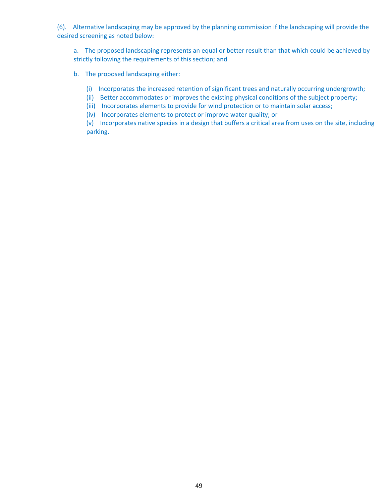(6). Alternative landscaping may be approved by the planning commission if the landscaping will provide the desired screening as noted below:

a. The proposed landscaping represents an equal or better result than that which could be achieved by strictly following the requirements of this section; and

- b. The proposed landscaping either:
	- (i) Incorporates the increased retention of significant trees and naturally occurring undergrowth;
	- (ii) Better accommodates or improves the existing physical conditions of the subject property;
	- (iii) Incorporates elements to provide for wind protection or to maintain solar access;
	- (iv) Incorporates elements to protect or improve water quality; or

(v) Incorporates native species in a design that buffers a critical area from uses on the site, including parking.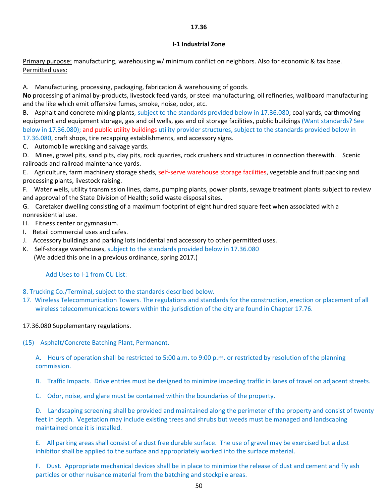## **17.36**

#### **I‐1 Industrial Zone**

Primary purpose: manufacturing, warehousing w/ minimum conflict on neighbors. Also for economic & tax base. Permitted uses:

A. Manufacturing, processing, packaging, fabrication & warehousing of goods.

**No** processing of animal by‐products, livestock feed yards, or steel manufacturing, oil refineries, wallboard manufacturing and the like which emit offensive fumes, smoke, noise, odor, etc.

B. Asphalt and concrete mixing plants, subject to the standards provided below in 17.36.080; coal yards, earthmoving equipment and equipment storage, gas and oil wells, gas and oil storage facilities, public buildings (Want standards? See below in 17.36.080); and public utility buildings utility provider structures, subject to the standards provided below in 17.36.080, craft shops, tire recapping establishments, and accessory signs.

C. Automobile wrecking and salvage yards.

D. Mines, gravel pits, sand pits, clay pits, rock quarries, rock crushers and structures in connection therewith. Scenic railroads and railroad maintenance yards.

E. Agriculture, farm machinery storage sheds, self‐serve warehouse storage facilities, vegetable and fruit packing and processing plants, livestock raising.

F. Water wells, utility transmission lines, dams, pumping plants, power plants, sewage treatment plants subject to review and approval of the State Division of Health; solid waste disposal sites.

G. Caretaker dwelling consisting of a maximum footprint of eight hundred square feet when associated with a nonresidential use.

H. Fitness center or gymnasium.

- I. Retail commercial uses and cafes.
- J. Accessory buildings and parking lots incidental and accessory to other permitted uses.
- K. Self-storage warehouses, subject to the standards provided below in 17.36.080 (We added this one in a previous ordinance, spring 2017.)

Add Uses to I-1 from CU List:

- 8. Trucking Co./Terminal, subject to the standards described below.
- 17. Wireless Telecommunication Towers. The regulations and standards for the construction, erection or placement of all wireless telecommunications towers within the jurisdiction of the city are found in Chapter 17.76.

## 17.36.080 Supplementary regulations.

(15) Asphalt/Concrete Batching Plant, Permanent.

A. Hours of operation shall be restricted to 5:00 a.m. to 9:00 p.m. or restricted by resolution of the planning commission.

B. Traffic Impacts. Drive entries must be designed to minimize impeding traffic in lanes of travel on adjacent streets.

C. Odor, noise, and glare must be contained within the boundaries of the property.

D. Landscaping screening shall be provided and maintained along the perimeter of the property and consist of twenty feet in depth. Vegetation may include existing trees and shrubs but weeds must be managed and landscaping maintained once it is installed.

E. All parking areas shall consist of a dust free durable surface. The use of gravel may be exercised but a dust inhibitor shall be applied to the surface and appropriately worked into the surface material.

F. Dust. Appropriate mechanical devices shall be in place to minimize the release of dust and cement and fly ash particles or other nuisance material from the batching and stockpile areas.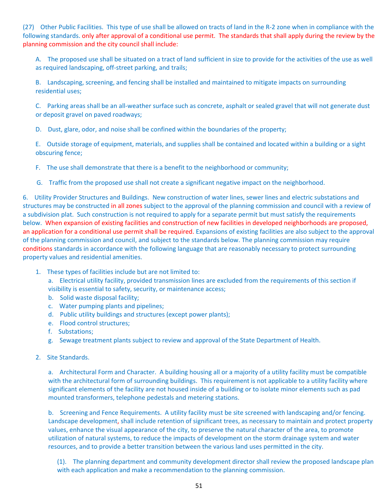(27) Other Public Facilities. This type of use shall be allowed on tracts of land in the R‐2 zone when in compliance with the following standards. only after approval of a conditional use permit. The standards that shall apply during the review by the planning commission and the city council shall include:

A. The proposed use shall be situated on a tract of land sufficient in size to provide for the activities of the use as well as required landscaping, off‐street parking, and trails;

B. Landscaping, screening, and fencing shall be installed and maintained to mitigate impacts on surrounding residential uses;

C. Parking areas shall be an all‐weather surface such as concrete, asphalt or sealed gravel that will not generate dust or deposit gravel on paved roadways;

D. Dust, glare, odor, and noise shall be confined within the boundaries of the property;

E. Outside storage of equipment, materials, and supplies shall be contained and located within a building or a sight obscuring fence;

F. The use shall demonstrate that there is a benefit to the neighborhood or community;

G. Traffic from the proposed use shall not create a significant negative impact on the neighborhood.

6. Utility Provider Structures and Buildings. New construction of water lines, sewer lines and electric substations and structures may be constructed in all zones subject to the approval of the planning commission and council with a review of a subdivision plat. Such construction is not required to apply for a separate permit but must satisfy the requirements below. When expansion of existing facilities and construction of new facilities in developed neighborhoods are proposed, an application for a conditional use permit shall be required. Expansions of existing facilities are also subject to the approval of the planning commission and council, and subject to the standards below. The planning commission may require conditions standards in accordance with the following language that are reasonably necessary to protect surrounding property values and residential amenities.

1. These types of facilities include but are not limited to:

a. Electrical utility facility, provided transmission lines are excluded from the requirements of this section if visibility is essential to safety, security, or maintenance access;

- b. Solid waste disposal facility;
- c. Water pumping plants and pipelines;
- d. Public utility buildings and structures (except power plants);
- e. Flood control structures;
- f. Substations;
- g. Sewage treatment plants subject to review and approval of the State Department of Health.
- 2. Site Standards.

a. Architectural Form and Character. A building housing all or a majority of a utility facility must be compatible with the architectural form of surrounding buildings. This requirement is not applicable to a utility facility where significant elements of the facility are not housed inside of a building or to isolate minor elements such as pad mounted transformers, telephone pedestals and metering stations.

b. Screening and Fence Requirements. A utility facility must be site screened with landscaping and/or fencing. Landscape development, shall include retention of significant trees, as necessary to maintain and protect property values, enhance the visual appearance of the city, to preserve the natural character of the area, to promote utilization of natural systems, to reduce the impacts of development on the storm drainage system and water resources, and to provide a better transition between the various land uses permitted in the city.

(1). The planning department and community development director shall review the proposed landscape plan with each application and make a recommendation to the planning commission.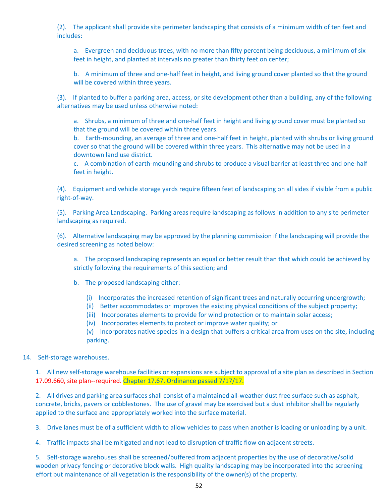(2). The applicant shall provide site perimeter landscaping that consists of a minimum width of ten feet and includes:

a. Evergreen and deciduous trees, with no more than fifty percent being deciduous, a minimum of six feet in height, and planted at intervals no greater than thirty feet on center;

b. A minimum of three and one-half feet in height, and living ground cover planted so that the ground will be covered within three years.

(3). If planted to buffer a parking area, access, or site development other than a building, any of the following alternatives may be used unless otherwise noted:

a. Shrubs, a minimum of three and one-half feet in height and living ground cover must be planted so that the ground will be covered within three years.

b. Earth-mounding, an average of three and one-half feet in height, planted with shrubs or living ground cover so that the ground will be covered within three years. This alternative may not be used in a downtown land use district.

c. A combination of earth-mounding and shrubs to produce a visual barrier at least three and one-half feet in height.

(4). Equipment and vehicle storage yards require fifteen feet of landscaping on all sides if visible from a public right‐of‐way.

(5). Parking Area Landscaping. Parking areas require landscaping as follows in addition to any site perimeter landscaping as required.

(6). Alternative landscaping may be approved by the planning commission if the landscaping will provide the desired screening as noted below:

a. The proposed landscaping represents an equal or better result than that which could be achieved by strictly following the requirements of this section; and

b. The proposed landscaping either:

- (i) Incorporates the increased retention of significant trees and naturally occurring undergrowth;
- (ii) Better accommodates or improves the existing physical conditions of the subject property;
- (iii) Incorporates elements to provide for wind protection or to maintain solar access;
- (iv) Incorporates elements to protect or improve water quality; or

(v) Incorporates native species in a design that buffers a critical area from uses on the site, including parking.

## 14. Self-storage warehouses.

1. All new self-storage warehouse facilities or expansions are subject to approval of a site plan as described in Section 17.09.660, site plan--required. Chapter 17.67. Ordinance passed 7/17/17.

2. All drives and parking area surfaces shall consist of a maintained all-weather dust free surface such as asphalt, concrete, bricks, pavers or cobblestones. The use of gravel may be exercised but a dust inhibitor shall be regularly applied to the surface and appropriately worked into the surface material.

3. Drive lanes must be of a sufficient width to allow vehicles to pass when another is loading or unloading by a unit.

4. Traffic impacts shall be mitigated and not lead to disruption of traffic flow on adjacent streets.

5. Self‐storage warehouses shall be screened/buffered from adjacent properties by the use of decorative/solid wooden privacy fencing or decorative block walls. High quality landscaping may be incorporated into the screening effort but maintenance of all vegetation is the responsibility of the owner(s) of the property.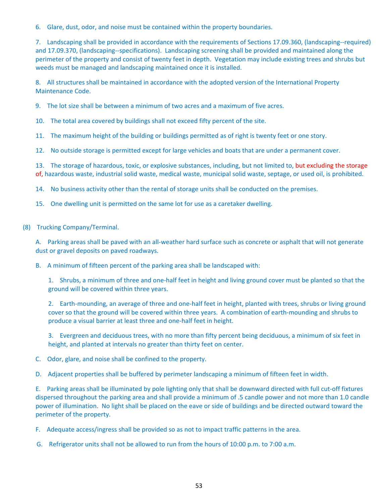6. Glare, dust, odor, and noise must be contained within the property boundaries.

7. Landscaping shall be provided in accordance with the requirements of Sections 17.09.360, (landscaping--required) and 17.09.370, (landscaping‐‐specifications). Landscaping screening shall be provided and maintained along the perimeter of the property and consist of twenty feet in depth. Vegetation may include existing trees and shrubs but weeds must be managed and landscaping maintained once it is installed.

8. All structures shall be maintained in accordance with the adopted version of the International Property Maintenance Code.

9. The lot size shall be between a minimum of two acres and a maximum of five acres.

10. The total area covered by buildings shall not exceed fifty percent of the site.

11. The maximum height of the building or buildings permitted as of right is twenty feet or one story.

12. No outside storage is permitted except for large vehicles and boats that are under a permanent cover.

13. The storage of hazardous, toxic, or explosive substances, including, but not limited to, but excluding the storage of, hazardous waste, industrial solid waste, medical waste, municipal solid waste, septage, or used oil, is prohibited.

14. No business activity other than the rental of storage units shall be conducted on the premises.

15. One dwelling unit is permitted on the same lot for use as a caretaker dwelling.

(8) Trucking Company/Terminal.

A. Parking areas shall be paved with an all-weather hard surface such as concrete or asphalt that will not generate dust or gravel deposits on paved roadways.

B. A minimum of fifteen percent of the parking area shall be landscaped with:

1. Shrubs, a minimum of three and one-half feet in height and living ground cover must be planted so that the ground will be covered within three years.

2. Earth-mounding, an average of three and one-half feet in height, planted with trees, shrubs or living ground cover so that the ground will be covered within three years. A combination of earth-mounding and shrubs to produce a visual barrier at least three and one‐half feet in height.

3. Evergreen and deciduous trees, with no more than fifty percent being deciduous, a minimum of six feet in height, and planted at intervals no greater than thirty feet on center.

- C. Odor, glare, and noise shall be confined to the property.
- D. Adjacent properties shall be buffered by perimeter landscaping a minimum of fifteen feet in width.

E. Parking areas shall be illuminated by pole lighting only that shall be downward directed with full cut‐off fixtures dispersed throughout the parking area and shall provide a minimum of .5 candle power and not more than 1.0 candle power of illumination. No light shall be placed on the eave or side of buildings and be directed outward toward the perimeter of the property.

F. Adequate access/ingress shall be provided so as not to impact traffic patterns in the area.

G. Refrigerator units shall not be allowed to run from the hours of 10:00 p.m. to 7:00 a.m.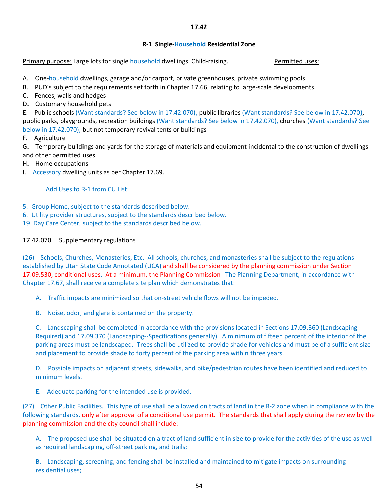## **R‐1 Single‐Household Residential Zone**

Primary purpose: Large lots for single household dwellings. Child-raising. The summary permitted uses:

- A. One‐household dwellings, garage and/or carport, private greenhouses, private swimming pools
- B. PUD's subject to the requirements set forth in Chapter 17.66, relating to large-scale developments.
- C. Fences, walls and hedges
- D. Customary household pets

E. Public schools (Want standards? See below in 17.42.070), public libraries (Want standards? See below in 17.42.070), public parks, playgrounds, recreation buildings (Want standards? See below in 17.42.070), churches (Want standards? See below in 17.42.070), but not temporary revival tents or buildings

F. Agriculture

G. Temporary buildings and yards for the storage of materials and equipment incidental to the construction of dwellings and other permitted uses

- H. Home occupations
- I. Accessory dwelling units as per Chapter 17.69.

Add Uses to R‐1 from CU List:

- 5. Group Home, subject to the standards described below.
- 6. Utility provider structures, subject to the standards described below.

19. Day Care Center, subject to the standards described below.

# 17.42.070 Supplementary regulations

(26) Schools, Churches, Monasteries, Etc. All schools, churches, and monasteries shall be subject to the regulations established by Utah State Code Annotated (UCA) and shall be considered by the planning commission under Section 17.09.530, conditional uses. At a minimum, the Planning Commission The Planning Department, in accordance with Chapter 17.67, shall receive a complete site plan which demonstrates that:

A. Traffic impacts are minimized so that on‐street vehicle flows will not be impeded.

B. Noise, odor, and glare is contained on the property.

C. Landscaping shall be completed in accordance with the provisions located in Sections 17.09.360 (Landscaping‐‐ Required) and 17.09.370 (Landscaping‐‐Specifications generally). A minimum of fifteen percent of the interior of the parking areas must be landscaped. Trees shall be utilized to provide shade for vehicles and must be of a sufficient size and placement to provide shade to forty percent of the parking area within three years.

D. Possible impacts on adjacent streets, sidewalks, and bike/pedestrian routes have been identified and reduced to minimum levels.

E. Adequate parking for the intended use is provided.

(27) Other Public Facilities. This type of use shall be allowed on tracts of land in the R‐2 zone when in compliance with the following standards. only after approval of a conditional use permit. The standards that shall apply during the review by the planning commission and the city council shall include:

A. The proposed use shall be situated on a tract of land sufficient in size to provide for the activities of the use as well as required landscaping, off-street parking, and trails;

B. Landscaping, screening, and fencing shall be installed and maintained to mitigate impacts on surrounding residential uses;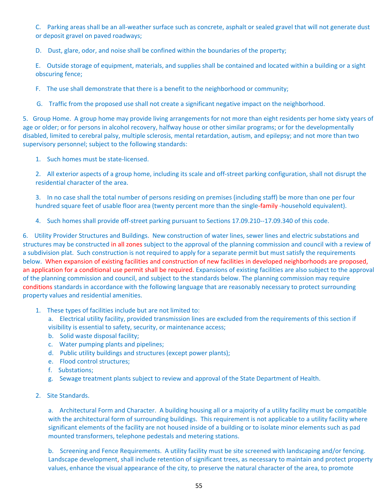C. Parking areas shall be an all‐weather surface such as concrete, asphalt or sealed gravel that will not generate dust or deposit gravel on paved roadways;

D. Dust, glare, odor, and noise shall be confined within the boundaries of the property;

E. Outside storage of equipment, materials, and supplies shall be contained and located within a building or a sight obscuring fence;

F. The use shall demonstrate that there is a benefit to the neighborhood or community;

G. Traffic from the proposed use shall not create a significant negative impact on the neighborhood.

5. Group Home. A group home may provide living arrangements for not more than eight residents per home sixty years of age or older; or for persons in alcohol recovery, halfway house or other similar programs; or for the developmentally disabled, limited to cerebral palsy, multiple sclerosis, mental retardation, autism, and epilepsy; and not more than two supervisory personnel; subject to the following standards:

1. Such homes must be state-licensed.

2. All exterior aspects of a group home, including its scale and off-street parking configuration, shall not disrupt the residential character of the area.

3. In no case shall the total number of persons residing on premises (including staff) be more than one per four hundred square feet of usable floor area (twenty percent more than the single-family -household equivalent).

4. Such homes shall provide off-street parking pursuant to Sections 17.09.210--17.09.340 of this code.

6. Utility Provider Structures and Buildings. New construction of water lines, sewer lines and electric substations and structures may be constructed in all zones subject to the approval of the planning commission and council with a review of a subdivision plat. Such construction is not required to apply for a separate permit but must satisfy the requirements below. When expansion of existing facilities and construction of new facilities in developed neighborhoods are proposed, an application for a conditional use permit shall be required. Expansions of existing facilities are also subject to the approval of the planning commission and council, and subject to the standards below. The planning commission may require conditions standards in accordance with the following language that are reasonably necessary to protect surrounding property values and residential amenities.

1. These types of facilities include but are not limited to:

a. Electrical utility facility, provided transmission lines are excluded from the requirements of this section if visibility is essential to safety, security, or maintenance access;

- b. Solid waste disposal facility;
- c. Water pumping plants and pipelines;
- d. Public utility buildings and structures (except power plants);
- e. Flood control structures;
- f. Substations;
- g. Sewage treatment plants subject to review and approval of the State Department of Health.
- 2. Site Standards.

a. Architectural Form and Character. A building housing all or a majority of a utility facility must be compatible with the architectural form of surrounding buildings. This requirement is not applicable to a utility facility where significant elements of the facility are not housed inside of a building or to isolate minor elements such as pad mounted transformers, telephone pedestals and metering stations.

b. Screening and Fence Requirements. A utility facility must be site screened with landscaping and/or fencing. Landscape development, shall include retention of significant trees, as necessary to maintain and protect property values, enhance the visual appearance of the city, to preserve the natural character of the area, to promote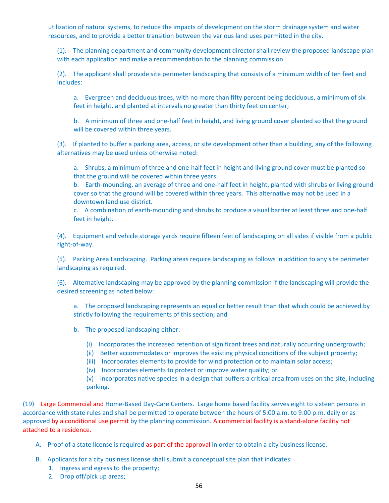utilization of natural systems, to reduce the impacts of development on the storm drainage system and water resources, and to provide a better transition between the various land uses permitted in the city.

(1). The planning department and community development director shall review the proposed landscape plan with each application and make a recommendation to the planning commission.

(2). The applicant shall provide site perimeter landscaping that consists of a minimum width of ten feet and includes:

a. Evergreen and deciduous trees, with no more than fifty percent being deciduous, a minimum of six feet in height, and planted at intervals no greater than thirty feet on center;

b. A minimum of three and one-half feet in height, and living ground cover planted so that the ground will be covered within three years.

(3). If planted to buffer a parking area, access, or site development other than a building, any of the following alternatives may be used unless otherwise noted:

a. Shrubs, a minimum of three and one-half feet in height and living ground cover must be planted so that the ground will be covered within three years.

b. Earth-mounding, an average of three and one-half feet in height, planted with shrubs or living ground cover so that the ground will be covered within three years. This alternative may not be used in a downtown land use district.

c. A combination of earth-mounding and shrubs to produce a visual barrier at least three and one-half feet in height.

(4). Equipment and vehicle storage yards require fifteen feet of landscaping on all sides if visible from a public right‐of‐way.

(5). Parking Area Landscaping. Parking areas require landscaping as follows in addition to any site perimeter landscaping as required.

(6). Alternative landscaping may be approved by the planning commission if the landscaping will provide the desired screening as noted below:

a. The proposed landscaping represents an equal or better result than that which could be achieved by strictly following the requirements of this section; and

b. The proposed landscaping either:

- (i) Incorporates the increased retention of significant trees and naturally occurring undergrowth;
- (ii) Better accommodates or improves the existing physical conditions of the subject property;
- (iii) Incorporates elements to provide for wind protection or to maintain solar access;
- (iv) Incorporates elements to protect or improve water quality; or

(v) Incorporates native species in a design that buffers a critical area from uses on the site, including parking.

(19) Large Commercial and Home‐Based Day‐Care Centers. Large home based facility serves eight to sixteen persons in accordance with state rules and shall be permitted to operate between the hours of 5:00 a.m. to 9:00 p.m. daily or as approved by a conditional use permit by the planning commission. A commercial facility is a stand-alone facility not attached to a residence.

- A. Proof of a state license is required as part of the approval in order to obtain a city business license.
- B. Applicants for a city business license shall submit a conceptual site plan that indicates:
	- 1. Ingress and egress to the property;
	- 2. Drop off/pick up areas;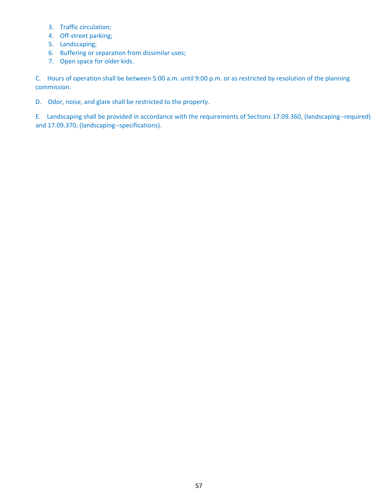- 3. Traffic circulation;
- 4. Off-street parking;
- 5. Landscaping;
- 6. Buffering or separation from dissimilar uses;
- 7. Open space for older kids.

C. Hours of operation shall be between 5:00 a.m. until 9:00 p.m. or as restricted by resolution of the planning commission.

D. Odor, noise, and glare shall be restricted to the property.

E. Landscaping shall be provided in accordance with the requirements of Sections 17.09.360, (landscaping--required) and 17.09.370, (landscaping‐‐specifications).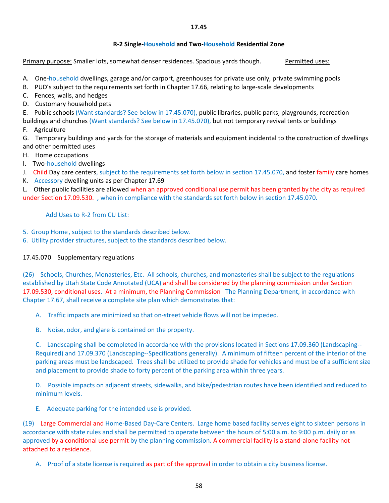## **17.45**

## **R‐2 Single‐Household and Two‐Household Residential Zone**

Primary purpose: Smaller lots, somewhat denser residences. Spacious yards though. Permitted uses:

A. One-household dwellings, garage and/or carport, greenhouses for private use only, private swimming pools

- B. PUD's subject to the requirements set forth in Chapter 17.66, relating to large-scale developments
- C. Fences, walls, and hedges
- D. Customary household pets

E. Public schools (Want standards? See below in 17.45.070), public libraries, public parks, playgrounds, recreation buildings and churches (Want standards? See below in 17.45.070), but not temporary revival tents or buildings

F. Agriculture

G. Temporary buildings and yards for the storage of materials and equipment incidental to the construction of dwellings and other permitted uses

- H. Home occupations
- I. Two-household dwellings
- J. Child Day care centers, subject to the requirements set forth below in section 17.45.070, and foster family care homes
- K. Accessory dwelling units as per Chapter 17.69

L. Other public facilities are allowed when an approved conditional use permit has been granted by the city as required under Section 17.09.530. , when in compliance with the standards set forth below in section 17.45.070.

Add Uses to R‐2 from CU List:

5. Group Home, subject to the standards described below.

6. Utility provider structures, subject to the standards described below.

# 17.45.070 Supplementary regulations

(26) Schools, Churches, Monasteries, Etc. All schools, churches, and monasteries shall be subject to the regulations established by Utah State Code Annotated (UCA) and shall be considered by the planning commission under Section 17.09.530, conditional uses. At a minimum, the Planning Commission The Planning Department, in accordance with Chapter 17.67, shall receive a complete site plan which demonstrates that:

- A. Traffic impacts are minimized so that on‐street vehicle flows will not be impeded.
- B. Noise, odor, and glare is contained on the property.

C. Landscaping shall be completed in accordance with the provisions located in Sections 17.09.360 (Landscaping‐‐ Required) and 17.09.370 (Landscaping‐‐Specifications generally). A minimum of fifteen percent of the interior of the parking areas must be landscaped. Trees shall be utilized to provide shade for vehicles and must be of a sufficient size and placement to provide shade to forty percent of the parking area within three years.

D. Possible impacts on adjacent streets, sidewalks, and bike/pedestrian routes have been identified and reduced to minimum levels.

E. Adequate parking for the intended use is provided.

(19) Large Commercial and Home‐Based Day‐Care Centers. Large home based facility serves eight to sixteen persons in accordance with state rules and shall be permitted to operate between the hours of 5:00 a.m. to 9:00 p.m. daily or as approved by a conditional use permit by the planning commission. A commercial facility is a stand-alone facility not attached to a residence.

A. Proof of a state license is required as part of the approval in order to obtain a city business license.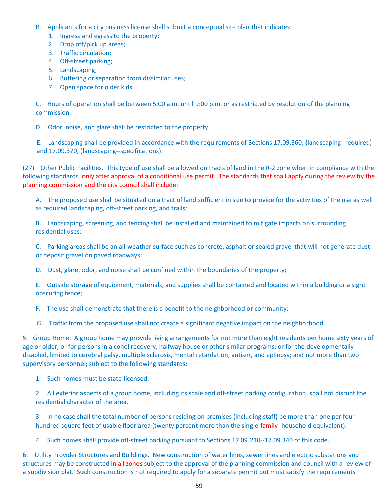- B. Applicants for a city business license shall submit a conceptual site plan that indicates:
	- 1. Ingress and egress to the property;
	- 2. Drop off/pick up areas;
	- 3. Traffic circulation;
	- 4. Off-street parking;
	- 5. Landscaping;
	- 6. Buffering or separation from dissimilar uses;
	- 7. Open space for older kids.

C. Hours of operation shall be between 5:00 a.m. until 9:00 p.m. or as restricted by resolution of the planning commission.

D. Odor, noise, and glare shall be restricted to the property.

E. Landscaping shall be provided in accordance with the requirements of Sections 17.09.360, (landscaping‐‐required) and 17.09.370, (landscaping‐‐specifications).

(27) Other Public Facilities. This type of use shall be allowed on tracts of land in the R‐2 zone when in compliance with the following standards. only after approval of a conditional use permit. The standards that shall apply during the review by the planning commission and the city council shall include:

A. The proposed use shall be situated on a tract of land sufficient in size to provide for the activities of the use as well as required landscaping, off-street parking, and trails;

B. Landscaping, screening, and fencing shall be installed and maintained to mitigate impacts on surrounding residential uses;

C. Parking areas shall be an all‐weather surface such as concrete, asphalt or sealed gravel that will not generate dust or deposit gravel on paved roadways;

D. Dust, glare, odor, and noise shall be confined within the boundaries of the property;

E. Outside storage of equipment, materials, and supplies shall be contained and located within a building or a sight obscuring fence;

F. The use shall demonstrate that there is a benefit to the neighborhood or community;

G. Traffic from the proposed use shall not create a significant negative impact on the neighborhood.

5. Group Home. A group home may provide living arrangements for not more than eight residents per home sixty years of age or older; or for persons in alcohol recovery, halfway house or other similar programs; or for the developmentally disabled, limited to cerebral palsy, multiple sclerosis, mental retardation, autism, and epilepsy; and not more than two supervisory personnel; subject to the following standards:

1. Such homes must be state-licensed.

2. All exterior aspects of a group home, including its scale and off-street parking configuration, shall not disrupt the residential character of the area.

3. In no case shall the total number of persons residing on premises (including staff) be more than one per four hundred square feet of usable floor area (twenty percent more than the single-family -household equivalent).

4. Such homes shall provide off-street parking pursuant to Sections 17.09.210--17.09.340 of this code.

6. Utility Provider Structures and Buildings. New construction of water lines, sewer lines and electric substations and structures may be constructed in all zones subject to the approval of the planning commission and council with a review of a subdivision plat. Such construction is not required to apply for a separate permit but must satisfy the requirements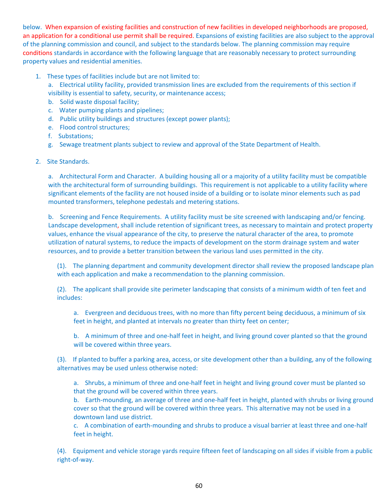below. When expansion of existing facilities and construction of new facilities in developed neighborhoods are proposed, an application for a conditional use permit shall be required. Expansions of existing facilities are also subject to the approval of the planning commission and council, and subject to the standards below. The planning commission may require conditions standards in accordance with the following language that are reasonably necessary to protect surrounding property values and residential amenities.

- 1. These types of facilities include but are not limited to:
	- a. Electrical utility facility, provided transmission lines are excluded from the requirements of this section if
	- visibility is essential to safety, security, or maintenance access;
	- b. Solid waste disposal facility;
	- c. Water pumping plants and pipelines;
	- d. Public utility buildings and structures (except power plants);
	- e. Flood control structures;
	- f. Substations;
	- g. Sewage treatment plants subject to review and approval of the State Department of Health.

## 2. Site Standards.

a. Architectural Form and Character. A building housing all or a majority of a utility facility must be compatible with the architectural form of surrounding buildings. This requirement is not applicable to a utility facility where significant elements of the facility are not housed inside of a building or to isolate minor elements such as pad mounted transformers, telephone pedestals and metering stations.

b. Screening and Fence Requirements. A utility facility must be site screened with landscaping and/or fencing. Landscape development, shall include retention of significant trees, as necessary to maintain and protect property values, enhance the visual appearance of the city, to preserve the natural character of the area, to promote utilization of natural systems, to reduce the impacts of development on the storm drainage system and water resources, and to provide a better transition between the various land uses permitted in the city.

(1). The planning department and community development director shall review the proposed landscape plan with each application and make a recommendation to the planning commission.

(2). The applicant shall provide site perimeter landscaping that consists of a minimum width of ten feet and includes:

a. Evergreen and deciduous trees, with no more than fifty percent being deciduous, a minimum of six feet in height, and planted at intervals no greater than thirty feet on center;

b. A minimum of three and one-half feet in height, and living ground cover planted so that the ground will be covered within three years.

(3). If planted to buffer a parking area, access, or site development other than a building, any of the following alternatives may be used unless otherwise noted:

a. Shrubs, a minimum of three and one-half feet in height and living ground cover must be planted so that the ground will be covered within three years.

b. Earth-mounding, an average of three and one-half feet in height, planted with shrubs or living ground cover so that the ground will be covered within three years. This alternative may not be used in a downtown land use district.

c. A combination of earth-mounding and shrubs to produce a visual barrier at least three and one-half feet in height.

(4). Equipment and vehicle storage yards require fifteen feet of landscaping on all sides if visible from a public right‐of‐way.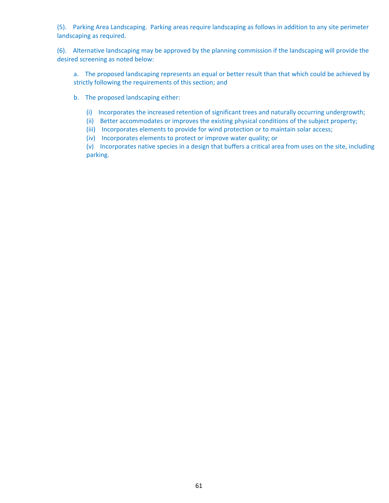(5). Parking Area Landscaping. Parking areas require landscaping as follows in addition to any site perimeter landscaping as required.

(6). Alternative landscaping may be approved by the planning commission if the landscaping will provide the desired screening as noted below:

a. The proposed landscaping represents an equal or better result than that which could be achieved by strictly following the requirements of this section; and

- b. The proposed landscaping either:
	- (i) Incorporates the increased retention of significant trees and naturally occurring undergrowth;
	- (ii) Better accommodates or improves the existing physical conditions of the subject property;
	- (iii) Incorporates elements to provide for wind protection or to maintain solar access;
	- (iv) Incorporates elements to protect or improve water quality; or

(v) Incorporates native species in a design that buffers a critical area from uses on the site, including parking.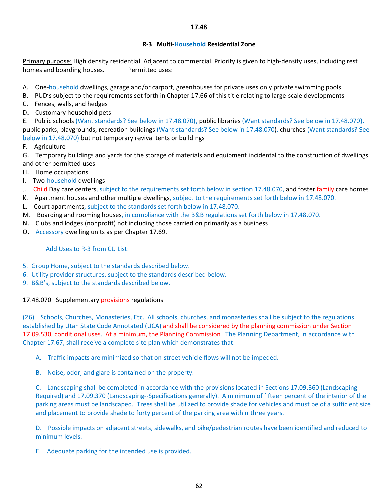## **R‐3 Multi‐Household Residential Zone**

Primary purpose: High density residential. Adjacent to commercial. Priority is given to high-density uses, including rest homes and boarding houses. Permitted uses:

- A. One-household dwellings, garage and/or carport, greenhouses for private uses only private swimming pools
- B. PUD's subject to the requirements set forth in Chapter 17.66 of this title relating to large-scale developments
- C. Fences, walls, and hedges
- D. Customary household pets

E. Public schools (Want standards? See below in 17.48.070), public libraries (Want standards? See below in 17.48.070), public parks, playgrounds, recreation buildings (Want standards? See below in 17.48.070), churches (Want standards? See below in 17.48.070) but not temporary revival tents or buildings

F. Agriculture

G. Temporary buildings and yards for the storage of materials and equipment incidental to the construction of dwellings and other permitted uses

- H. Home occupations
- I. Two-household dwellings
- J. Child Day care centers, subject to the requirements set forth below in section 17.48.070, and foster family care homes
- K. Apartment houses and other multiple dwellings, subject to the requirements set forth below in 17.48.070.
- L. Court apartments, subject to the standards set forth below in 17.48.070.
- M. Boarding and rooming houses, in compliance with the B&B regulations set forth below in 17.48.070.
- N. Clubs and lodges (nonprofit) not including those carried on primarily as a business
- O. Accessory dwelling units as per Chapter 17.69.

## Add Uses to R‐3 from CU List:

- 5. Group Home, subject to the standards described below.
- 6. Utility provider structures, subject to the standards described below.
- 9. B&B's, subject to the standards described below.

## 17.48.070 Supplementary provisions regulations

(26) Schools, Churches, Monasteries, Etc. All schools, churches, and monasteries shall be subject to the regulations established by Utah State Code Annotated (UCA) and shall be considered by the planning commission under Section 17.09.530, conditional uses. At a minimum, the Planning Commission The Planning Department, in accordance with Chapter 17.67, shall receive a complete site plan which demonstrates that:

- A. Traffic impacts are minimized so that on‐street vehicle flows will not be impeded.
- B. Noise, odor, and glare is contained on the property.

C. Landscaping shall be completed in accordance with the provisions located in Sections 17.09.360 (Landscaping‐‐ Required) and 17.09.370 (Landscaping‐‐Specifications generally). A minimum of fifteen percent of the interior of the parking areas must be landscaped. Trees shall be utilized to provide shade for vehicles and must be of a sufficient size and placement to provide shade to forty percent of the parking area within three years.

D. Possible impacts on adjacent streets, sidewalks, and bike/pedestrian routes have been identified and reduced to minimum levels.

E. Adequate parking for the intended use is provided.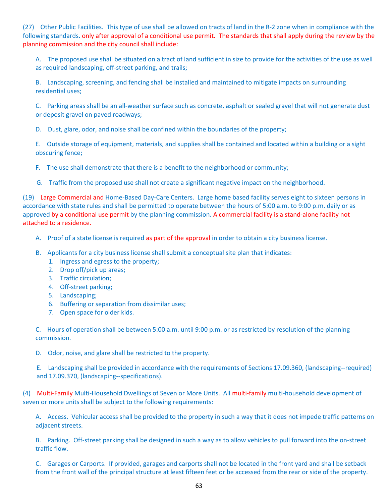(27) Other Public Facilities. This type of use shall be allowed on tracts of land in the R‐2 zone when in compliance with the following standards. only after approval of a conditional use permit. The standards that shall apply during the review by the planning commission and the city council shall include:

A. The proposed use shall be situated on a tract of land sufficient in size to provide for the activities of the use as well as required landscaping, off‐street parking, and trails;

B. Landscaping, screening, and fencing shall be installed and maintained to mitigate impacts on surrounding residential uses;

C. Parking areas shall be an all‐weather surface such as concrete, asphalt or sealed gravel that will not generate dust or deposit gravel on paved roadways;

D. Dust, glare, odor, and noise shall be confined within the boundaries of the property;

E. Outside storage of equipment, materials, and supplies shall be contained and located within a building or a sight obscuring fence;

F. The use shall demonstrate that there is a benefit to the neighborhood or community;

G. Traffic from the proposed use shall not create a significant negative impact on the neighborhood.

(19) Large Commercial and Home‐Based Day‐Care Centers. Large home based facility serves eight to sixteen persons in accordance with state rules and shall be permitted to operate between the hours of 5:00 a.m. to 9:00 p.m. daily or as approved by a conditional use permit by the planning commission. A commercial facility is a stand-alone facility not attached to a residence.

- A. Proof of a state license is required as part of the approval in order to obtain a city business license.
- B. Applicants for a city business license shall submit a conceptual site plan that indicates:
	- 1. Ingress and egress to the property;
	- 2. Drop off/pick up areas;
	- 3. Traffic circulation;
	- 4. Off-street parking;
	- 5. Landscaping;
	- 6. Buffering or separation from dissimilar uses;
	- 7. Open space for older kids.

C. Hours of operation shall be between 5:00 a.m. until 9:00 p.m. or as restricted by resolution of the planning commission.

D. Odor, noise, and glare shall be restricted to the property.

E. Landscaping shall be provided in accordance with the requirements of Sections 17.09.360, (landscaping‐‐required) and 17.09.370, (landscaping‐‐specifications).

(4) Multi‐Family Multi‐Household Dwellings of Seven or More Units. All multi‐family multi‐household development of seven or more units shall be subject to the following requirements:

A. Access. Vehicular access shall be provided to the property in such a way that it does not impede traffic patterns on adjacent streets.

B. Parking. Off-street parking shall be designed in such a way as to allow vehicles to pull forward into the on-street traffic flow.

C. Garages or Carports. If provided, garages and carports shall not be located in the front yard and shall be setback from the front wall of the principal structure at least fifteen feet or be accessed from the rear or side of the property.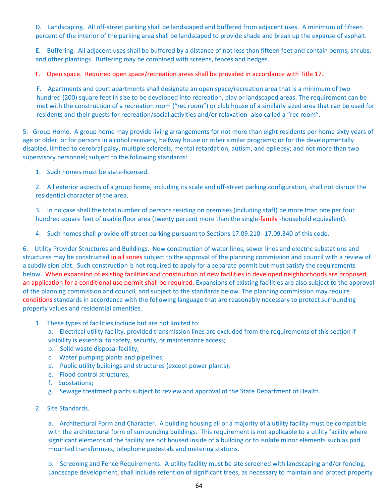D. Landscaping. All off-street parking shall be landscaped and buffered from adjacent uses. A minimum of fifteen percent of the interior of the parking area shall be landscaped to provide shade and break up the expanse of asphalt.

E. Buffering. All adjacent uses shall be buffered by a distance of not less than fifteen feet and contain berms, shrubs, and other plantings. Buffering may be combined with screens, fences and hedges.

F. Open space. Required open space/recreation areas shall be provided in accordance with Title 17.

F. Apartments and court apartments shall designate an open space/recreation area that is a minimum of two hundred (200) square feet in size to be developed into recreation, play or landscaped areas. The requirement can be met with the construction of a recreation room ("rec room") or club house of a similarly sized area that can be used for residents and their guests for recreation/social activities and/or relaxation‐ also called a "rec room".

5. Group Home. A group home may provide living arrangements for not more than eight residents per home sixty years of age or older; or for persons in alcohol recovery, halfway house or other similar programs; or for the developmentally disabled, limited to cerebral palsy, multiple sclerosis, mental retardation, autism, and epilepsy; and not more than two supervisory personnel; subject to the following standards:

1. Such homes must be state-licensed.

2. All exterior aspects of a group home, including its scale and off-street parking configuration, shall not disrupt the residential character of the area.

3. In no case shall the total number of persons residing on premises (including staff) be more than one per four hundred square feet of usable floor area (twenty percent more than the single-family -household equivalent).

4. Such homes shall provide off-street parking pursuant to Sections 17.09.210--17.09.340 of this code.

6. Utility Provider Structures and Buildings. New construction of water lines, sewer lines and electric substations and structures may be constructed in all zones subject to the approval of the planning commission and council with a review of a subdivision plat. Such construction is not required to apply for a separate permit but must satisfy the requirements below. When expansion of existing facilities and construction of new facilities in developed neighborhoods are proposed, an application for a conditional use permit shall be required. Expansions of existing facilities are also subject to the approval of the planning commission and council, and subject to the standards below. The planning commission may require conditions standards in accordance with the following language that are reasonably necessary to protect surrounding property values and residential amenities.

## 1. These types of facilities include but are not limited to:

a. Electrical utility facility, provided transmission lines are excluded from the requirements of this section if visibility is essential to safety, security, or maintenance access;

- b. Solid waste disposal facility;
- c. Water pumping plants and pipelines;
- d. Public utility buildings and structures (except power plants);
- e. Flood control structures;
- f. Substations;
- g. Sewage treatment plants subject to review and approval of the State Department of Health.
- 2. Site Standards.

a. Architectural Form and Character. A building housing all or a majority of a utility facility must be compatible with the architectural form of surrounding buildings. This requirement is not applicable to a utility facility where significant elements of the facility are not housed inside of a building or to isolate minor elements such as pad mounted transformers, telephone pedestals and metering stations.

b. Screening and Fence Requirements. A utility facility must be site screened with landscaping and/or fencing. Landscape development, shall include retention of significant trees, as necessary to maintain and protect property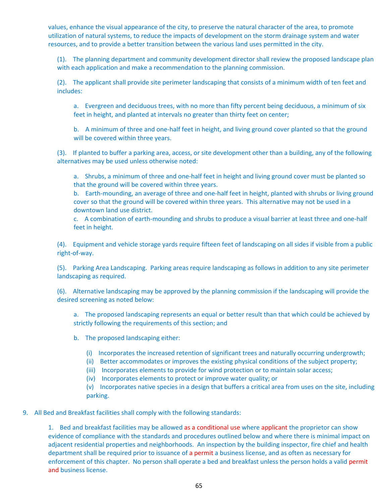values, enhance the visual appearance of the city, to preserve the natural character of the area, to promote utilization of natural systems, to reduce the impacts of development on the storm drainage system and water resources, and to provide a better transition between the various land uses permitted in the city.

(1). The planning department and community development director shall review the proposed landscape plan with each application and make a recommendation to the planning commission.

(2). The applicant shall provide site perimeter landscaping that consists of a minimum width of ten feet and includes:

a. Evergreen and deciduous trees, with no more than fifty percent being deciduous, a minimum of six feet in height, and planted at intervals no greater than thirty feet on center;

b. A minimum of three and one-half feet in height, and living ground cover planted so that the ground will be covered within three years.

(3). If planted to buffer a parking area, access, or site development other than a building, any of the following alternatives may be used unless otherwise noted:

a. Shrubs, a minimum of three and one-half feet in height and living ground cover must be planted so that the ground will be covered within three years.

b. Earth-mounding, an average of three and one-half feet in height, planted with shrubs or living ground cover so that the ground will be covered within three years. This alternative may not be used in a downtown land use district.

c. A combination of earth-mounding and shrubs to produce a visual barrier at least three and one-half feet in height.

(4). Equipment and vehicle storage yards require fifteen feet of landscaping on all sides if visible from a public right‐of‐way.

(5). Parking Area Landscaping. Parking areas require landscaping as follows in addition to any site perimeter landscaping as required.

(6). Alternative landscaping may be approved by the planning commission if the landscaping will provide the desired screening as noted below:

a. The proposed landscaping represents an equal or better result than that which could be achieved by strictly following the requirements of this section; and

- b. The proposed landscaping either:
	- (i) Incorporates the increased retention of significant trees and naturally occurring undergrowth;
	- (ii) Better accommodates or improves the existing physical conditions of the subject property;
	- (iii) Incorporates elements to provide for wind protection or to maintain solar access;
	- (iv) Incorporates elements to protect or improve water quality; or

(v) Incorporates native species in a design that buffers a critical area from uses on the site, including parking.

## 9. All Bed and Breakfast facilities shall comply with the following standards:

1. Bed and breakfast facilities may be allowed as a conditional use where applicant the proprietor can show evidence of compliance with the standards and procedures outlined below and where there is minimal impact on adjacent residential properties and neighborhoods. An inspection by the building inspector, fire chief and health department shall be required prior to issuance of a permit a business license, and as often as necessary for enforcement of this chapter. No person shall operate a bed and breakfast unless the person holds a valid permit and business license.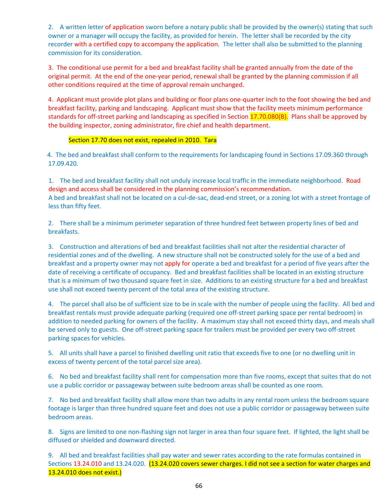2. A written letter of application sworn before a notary public shall be provided by the owner(s) stating that such owner or a manager will occupy the facility, as provided for herein. The letter shall be recorded by the city recorder with a certified copy to accompany the application. The letter shall also be submitted to the planning commission for its consideration.

3. The conditional use permit for a bed and breakfast facility shall be granted annually from the date of the original permit. At the end of the one‐year period, renewal shall be granted by the planning commission if all other conditions required at the time of approval remain unchanged.

4. Applicant must provide plot plans and building or floor plans one‐quarter inch to the foot showing the bed and breakfast facility, parking and landscaping. Applicant must show that the facility meets minimum performance standards for off-street parking and landscaping as specified in Section 17.70.080(B). Plans shall be approved by the building inspector, zoning administrator, fire chief and health department.

## Section 17.70 does not exist, repealed in 2010. Tara

 4. The bed and breakfast shall conform to the requirements for landscaping found in Sections 17.09.360 through 17.09.420.

1. The bed and breakfast facility shall not unduly increase local traffic in the immediate neighborhood. Road design and access shall be considered in the planning commission's recommendation. A bed and breakfast shall not be located on a cul‐de‐sac, dead‐end street, or a zoning lot with a street frontage of less than fifty feet.

2. There shall be a minimum perimeter separation of three hundred feet between property lines of bed and breakfasts.

3. Construction and alterations of bed and breakfast facilities shall not alter the residential character of residential zones and of the dwelling. A new structure shall not be constructed solely for the use of a bed and breakfast and a property owner may not apply for operate a bed and breakfast for a period of five years after the date of receiving a certificate of occupancy. Bed and breakfast facilities shall be located in an existing structure that is a minimum of two thousand square feet in size. Additions to an existing structure for a bed and breakfast use shall not exceed twenty percent of the total area of the existing structure.

4. The parcel shall also be of sufficient size to be in scale with the number of people using the facility. All bed and breakfast rentals must provide adequate parking (required one off‐street parking space per rental bedroom) in addition to needed parking for owners of the facility. A maximum stay shall not exceed thirty days, and meals shall be served only to guests. One off‐street parking space for trailers must be provided per every two off‐street parking spaces for vehicles.

5. All units shall have a parcel to finished dwelling unit ratio that exceeds five to one (or no dwelling unit in excess of twenty percent of the total parcel size area).

6. No bed and breakfast facility shall rent for compensation more than five rooms, except that suites that do not use a public corridor or passageway between suite bedroom areas shall be counted as one room.

7. No bed and breakfast facility shall allow more than two adults in any rental room unless the bedroom square footage is larger than three hundred square feet and does not use a public corridor or passageway between suite bedroom areas.

8. Signs are limited to one non-flashing sign not larger in area than four square feet. If lighted, the light shall be diffused or shielded and downward directed.

9. All bed and breakfast facilities shall pay water and sewer rates according to the rate formulas contained in Sections 13.24.010 and 13.24.020. (13.24.020 covers sewer charges. I did not see a section for water charges and 13.24.010 does not exist.)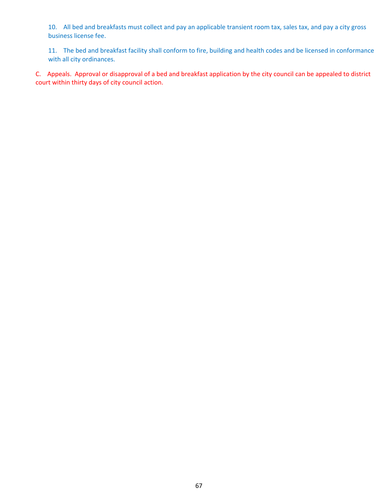10. All bed and breakfasts must collect and pay an applicable transient room tax, sales tax, and pay a city gross business license fee.

11. The bed and breakfast facility shall conform to fire, building and health codes and be licensed in conformance with all city ordinances.

C. Appeals. Approval or disapproval of a bed and breakfast application by the city council can be appealed to district court within thirty days of city council action.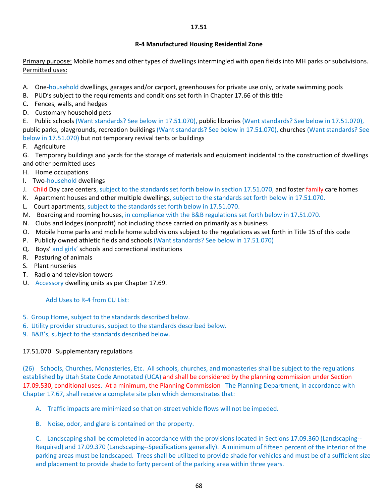## **R‐4 Manufactured Housing Residential Zone**

Primary purpose: Mobile homes and other types of dwellings intermingled with open fields into MH parks or subdivisions. Permitted uses:

- A. One-household dwellings, garages and/or carport, greenhouses for private use only, private swimming pools
- B. PUD's subject to the requirements and conditions set forth in Chapter 17.66 of this title
- C. Fences, walls, and hedges
- D. Customary household pets

E. Public schools (Want standards? See below in 17.51.070), public libraries (Want standards? See below in 17.51.070), public parks, playgrounds, recreation buildings (Want standards? See below in 17.51.070), churches (Want standards? See below in 17.51.070) but not temporary revival tents or buildings

F. Agriculture

G. Temporary buildings and yards for the storage of materials and equipment incidental to the construction of dwellings and other permitted uses

- H. Home occupations
- I. Two-household dwellings
- J. Child Day care centers, subject to the standards set forth below in section 17.51.070, and foster family care homes
- K. Apartment houses and other multiple dwellings, subject to the standards set forth below in 17.51.070.
- L. Court apartments, subject to the standards set forth below in 17.51.070.
- M. Boarding and rooming houses, in compliance with the B&B regulations set forth below in 17.51.070.
- N. Clubs and lodges (nonprofit) not including those carried on primarily as a business
- O. Mobile home parks and mobile home subdivisions subject to the regulations as set forth in Title 15 of this code
- P. Publicly owned athletic fields and schools (Want standards? See below in 17.51.070)
- Q. Boys' and girls' schools and correctional institutions
- R. Pasturing of animals
- S. Plant nurseries
- T. Radio and television towers
- U. Accessory dwelling units as per Chapter 17.69.

## Add Uses to R‐4 from CU List:

- 5. Group Home, subject to the standards described below.
- 6. Utility provider structures, subject to the standards described below.
- 9. B&B's, subject to the standards described below.

## 17.51.070 Supplementary regulations

(26) Schools, Churches, Monasteries, Etc. All schools, churches, and monasteries shall be subject to the regulations established by Utah State Code Annotated (UCA) and shall be considered by the planning commission under Section 17.09.530, conditional uses. At a minimum, the Planning Commission The Planning Department, in accordance with Chapter 17.67, shall receive a complete site plan which demonstrates that:

- A. Traffic impacts are minimized so that on-street vehicle flows will not be impeded.
- B. Noise, odor, and glare is contained on the property.

C. Landscaping shall be completed in accordance with the provisions located in Sections 17.09.360 (Landscaping‐‐ Required) and 17.09.370 (Landscaping‐‐Specifications generally). A minimum of fifteen percent of the interior of the parking areas must be landscaped. Trees shall be utilized to provide shade for vehicles and must be of a sufficient size and placement to provide shade to forty percent of the parking area within three years.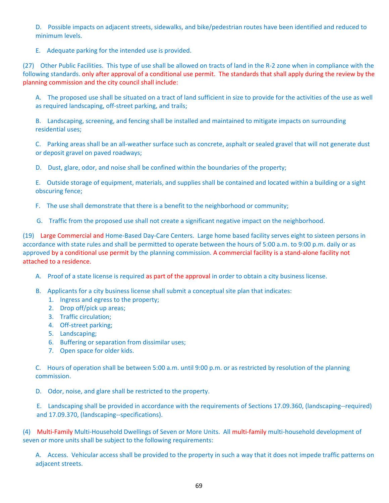D. Possible impacts on adjacent streets, sidewalks, and bike/pedestrian routes have been identified and reduced to minimum levels.

E. Adequate parking for the intended use is provided.

(27) Other Public Facilities. This type of use shall be allowed on tracts of land in the R‐2 zone when in compliance with the following standards, only after approval of a conditional use permit. The standards that shall apply during the review by the planning commission and the city council shall include:

A. The proposed use shall be situated on a tract of land sufficient in size to provide for the activities of the use as well as required landscaping, off‐street parking, and trails;

B. Landscaping, screening, and fencing shall be installed and maintained to mitigate impacts on surrounding residential uses;

C. Parking areas shall be an all‐weather surface such as concrete, asphalt or sealed gravel that will not generate dust or deposit gravel on paved roadways;

D. Dust, glare, odor, and noise shall be confined within the boundaries of the property;

E. Outside storage of equipment, materials, and supplies shall be contained and located within a building or a sight obscuring fence;

- F. The use shall demonstrate that there is a benefit to the neighborhood or community;
- G. Traffic from the proposed use shall not create a significant negative impact on the neighborhood.

(19) Large Commercial and Home‐Based Day‐Care Centers. Large home based facility serves eight to sixteen persons in accordance with state rules and shall be permitted to operate between the hours of 5:00 a.m. to 9:00 p.m. daily or as approved by a conditional use permit by the planning commission. A commercial facility is a stand-alone facility not attached to a residence.

- A. Proof of a state license is required as part of the approval in order to obtain a city business license.
- B. Applicants for a city business license shall submit a conceptual site plan that indicates:
	- 1. Ingress and egress to the property;
	- 2. Drop off/pick up areas;
	- 3. Traffic circulation;
	- 4. Off-street parking;
	- 5. Landscaping;
	- 6. Buffering or separation from dissimilar uses;
	- 7. Open space for older kids.

C. Hours of operation shall be between 5:00 a.m. until 9:00 p.m. or as restricted by resolution of the planning commission.

D. Odor, noise, and glare shall be restricted to the property.

E. Landscaping shall be provided in accordance with the requirements of Sections 17.09.360, (landscaping‐‐required) and 17.09.370, (landscaping‐‐specifications).

(4) Multi‐Family Multi‐Household Dwellings of Seven or More Units. All multi‐family multi‐household development of seven or more units shall be subject to the following requirements:

A. Access. Vehicular access shall be provided to the property in such a way that it does not impede traffic patterns on adjacent streets.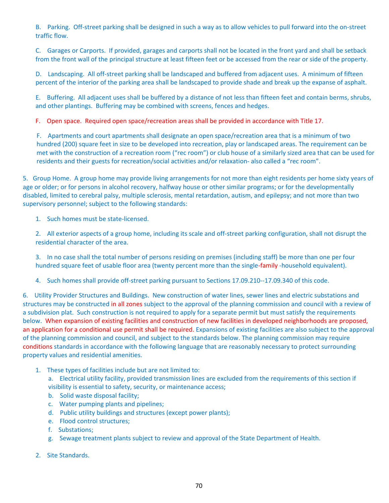B. Parking. Off-street parking shall be designed in such a way as to allow vehicles to pull forward into the on-street traffic flow.

C. Garages or Carports. If provided, garages and carports shall not be located in the front yard and shall be setback from the front wall of the principal structure at least fifteen feet or be accessed from the rear or side of the property.

D. Landscaping. All off-street parking shall be landscaped and buffered from adjacent uses. A minimum of fifteen percent of the interior of the parking area shall be landscaped to provide shade and break up the expanse of asphalt.

E. Buffering. All adjacent uses shall be buffered by a distance of not less than fifteen feet and contain berms, shrubs, and other plantings. Buffering may be combined with screens, fences and hedges.

F. Open space. Required open space/recreation areas shall be provided in accordance with Title 17.

F. Apartments and court apartments shall designate an open space/recreation area that is a minimum of two hundred (200) square feet in size to be developed into recreation, play or landscaped areas. The requirement can be met with the construction of a recreation room ("rec room") or club house of a similarly sized area that can be used for residents and their guests for recreation/social activities and/or relaxation‐ also called a "rec room".

5. Group Home. A group home may provide living arrangements for not more than eight residents per home sixty years of age or older; or for persons in alcohol recovery, halfway house or other similar programs; or for the developmentally disabled, limited to cerebral palsy, multiple sclerosis, mental retardation, autism, and epilepsy; and not more than two supervisory personnel; subject to the following standards:

1. Such homes must be state-licensed.

2. All exterior aspects of a group home, including its scale and off-street parking configuration, shall not disrupt the residential character of the area.

3. In no case shall the total number of persons residing on premises (including staff) be more than one per four hundred square feet of usable floor area (twenty percent more than the single-family -household equivalent).

4. Such homes shall provide off-street parking pursuant to Sections 17.09.210--17.09.340 of this code.

6. Utility Provider Structures and Buildings. New construction of water lines, sewer lines and electric substations and structures may be constructed in all zones subject to the approval of the planning commission and council with a review of a subdivision plat. Such construction is not required to apply for a separate permit but must satisfy the requirements below. When expansion of existing facilities and construction of new facilities in developed neighborhoods are proposed, an application for a conditional use permit shall be required. Expansions of existing facilities are also subject to the approval of the planning commission and council, and subject to the standards below. The planning commission may require conditions standards in accordance with the following language that are reasonably necessary to protect surrounding property values and residential amenities.

1. These types of facilities include but are not limited to:

a. Electrical utility facility, provided transmission lines are excluded from the requirements of this section if visibility is essential to safety, security, or maintenance access;

- b. Solid waste disposal facility;
- c. Water pumping plants and pipelines;
- d. Public utility buildings and structures (except power plants);
- e. Flood control structures;
- f. Substations;
- g. Sewage treatment plants subject to review and approval of the State Department of Health.
- 2. Site Standards.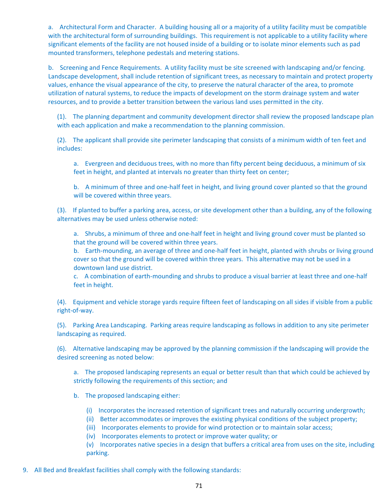a. Architectural Form and Character. A building housing all or a majority of a utility facility must be compatible with the architectural form of surrounding buildings. This requirement is not applicable to a utility facility where significant elements of the facility are not housed inside of a building or to isolate minor elements such as pad mounted transformers, telephone pedestals and metering stations.

b. Screening and Fence Requirements. A utility facility must be site screened with landscaping and/or fencing. Landscape development, shall include retention of significant trees, as necessary to maintain and protect property values, enhance the visual appearance of the city, to preserve the natural character of the area, to promote utilization of natural systems, to reduce the impacts of development on the storm drainage system and water resources, and to provide a better transition between the various land uses permitted in the city.

(1). The planning department and community development director shall review the proposed landscape plan with each application and make a recommendation to the planning commission.

(2). The applicant shall provide site perimeter landscaping that consists of a minimum width of ten feet and includes:

a. Evergreen and deciduous trees, with no more than fifty percent being deciduous, a minimum of six feet in height, and planted at intervals no greater than thirty feet on center;

b. A minimum of three and one-half feet in height, and living ground cover planted so that the ground will be covered within three years.

(3). If planted to buffer a parking area, access, or site development other than a building, any of the following alternatives may be used unless otherwise noted:

a. Shrubs, a minimum of three and one-half feet in height and living ground cover must be planted so that the ground will be covered within three years.

b. Earth-mounding, an average of three and one-half feet in height, planted with shrubs or living ground cover so that the ground will be covered within three years. This alternative may not be used in a downtown land use district.

c. A combination of earth-mounding and shrubs to produce a visual barrier at least three and one-half feet in height.

(4). Equipment and vehicle storage yards require fifteen feet of landscaping on all sides if visible from a public right‐of‐way.

(5). Parking Area Landscaping. Parking areas require landscaping as follows in addition to any site perimeter landscaping as required.

(6). Alternative landscaping may be approved by the planning commission if the landscaping will provide the desired screening as noted below:

a. The proposed landscaping represents an equal or better result than that which could be achieved by strictly following the requirements of this section; and

b. The proposed landscaping either:

- (i) Incorporates the increased retention of significant trees and naturally occurring undergrowth;
- (ii) Better accommodates or improves the existing physical conditions of the subject property;
- (iii) Incorporates elements to provide for wind protection or to maintain solar access;
- (iv) Incorporates elements to protect or improve water quality; or

(v) Incorporates native species in a design that buffers a critical area from uses on the site, including parking.

9. All Bed and Breakfast facilities shall comply with the following standards: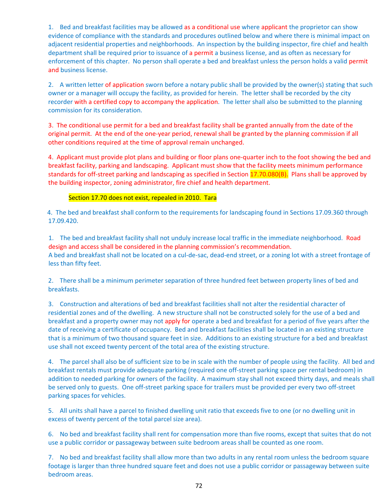1. Bed and breakfast facilities may be allowed as a conditional use where applicant the proprietor can show evidence of compliance with the standards and procedures outlined below and where there is minimal impact on adjacent residential properties and neighborhoods. An inspection by the building inspector, fire chief and health department shall be required prior to issuance of a permit a business license, and as often as necessary for enforcement of this chapter. No person shall operate a bed and breakfast unless the person holds a valid permit and business license.

2. A written letter of application sworn before a notary public shall be provided by the owner(s) stating that such owner or a manager will occupy the facility, as provided for herein. The letter shall be recorded by the city recorder with a certified copy to accompany the application. The letter shall also be submitted to the planning commission for its consideration.

3. The conditional use permit for a bed and breakfast facility shall be granted annually from the date of the original permit. At the end of the one‐year period, renewal shall be granted by the planning commission if all other conditions required at the time of approval remain unchanged.

4. Applicant must provide plot plans and building or floor plans one‐quarter inch to the foot showing the bed and breakfast facility, parking and landscaping. Applicant must show that the facility meets minimum performance standards for off-street parking and landscaping as specified in Section 17.70.080(B). Plans shall be approved by the building inspector, zoning administrator, fire chief and health department.

### Section 17.70 does not exist, repealed in 2010. Tara

 4. The bed and breakfast shall conform to the requirements for landscaping found in Sections 17.09.360 through 17.09.420.

1. The bed and breakfast facility shall not unduly increase local traffic in the immediate neighborhood. Road design and access shall be considered in the planning commission's recommendation. A bed and breakfast shall not be located on a cul-de-sac, dead-end street, or a zoning lot with a street frontage of less than fifty feet.

2. There shall be a minimum perimeter separation of three hundred feet between property lines of bed and breakfasts.

3. Construction and alterations of bed and breakfast facilities shall not alter the residential character of residential zones and of the dwelling. A new structure shall not be constructed solely for the use of a bed and breakfast and a property owner may not apply for operate a bed and breakfast for a period of five years after the date of receiving a certificate of occupancy. Bed and breakfast facilities shall be located in an existing structure that is a minimum of two thousand square feet in size. Additions to an existing structure for a bed and breakfast use shall not exceed twenty percent of the total area of the existing structure.

4. The parcel shall also be of sufficient size to be in scale with the number of people using the facility. All bed and breakfast rentals must provide adequate parking (required one off‐street parking space per rental bedroom) in addition to needed parking for owners of the facility. A maximum stay shall not exceed thirty days, and meals shall be served only to guests. One off‐street parking space for trailers must be provided per every two off‐street parking spaces for vehicles.

5. All units shall have a parcel to finished dwelling unit ratio that exceeds five to one (or no dwelling unit in excess of twenty percent of the total parcel size area).

6. No bed and breakfast facility shall rent for compensation more than five rooms, except that suites that do not use a public corridor or passageway between suite bedroom areas shall be counted as one room.

7. No bed and breakfast facility shall allow more than two adults in any rental room unless the bedroom square footage is larger than three hundred square feet and does not use a public corridor or passageway between suite bedroom areas.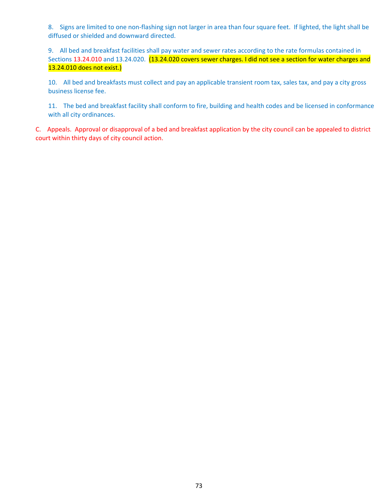8. Signs are limited to one non-flashing sign not larger in area than four square feet. If lighted, the light shall be diffused or shielded and downward directed.

9. All bed and breakfast facilities shall pay water and sewer rates according to the rate formulas contained in Sections 13.24.010 and 13.24.020. (13.24.020 covers sewer charges. I did not see a section for water charges and 13.24.010 does not exist.)

10. All bed and breakfasts must collect and pay an applicable transient room tax, sales tax, and pay a city gross business license fee.

11. The bed and breakfast facility shall conform to fire, building and health codes and be licensed in conformance with all city ordinances.

C. Appeals. Approval or disapproval of a bed and breakfast application by the city council can be appealed to district court within thirty days of city council action.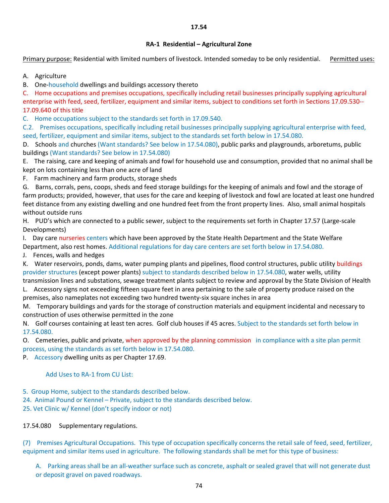### **17.54**

### **RA‐1 Residential – Agricultural Zone**

Primary purpose: Residential with limited numbers of livestock. Intended someday to be only residential. Permitted uses:

A. Agriculture

B. One-household dwellings and buildings accessory thereto

C. Home occupations and premises occupations, specifically including retail businesses principally supplying agricultural enterprise with feed, seed, fertilizer, equipment and similar items, subject to conditions set forth in Sections 17.09.530‐‐ 17.09.640 of this title

C. Home occupations subject to the standards set forth in 17.09.540.

C.2. Premises occupations, specifically including retail businesses principally supplying agricultural enterprise with feed, seed, fertilizer, equipment and similar items, subject to the standards set forth below in 17.54.080.

D. Schools and churches (Want standards? See below in 17.54.080), public parks and playgrounds, arboretums, public buildings (Want standards? See below in 17.54.080)

E. The raising, care and keeping of animals and fowl for household use and consumption, provided that no animal shall be kept on lots containing less than one acre of land

F. Farm machinery and farm products, storage sheds

G. Barns, corrals, pens, coops, sheds and feed storage buildings for the keeping of animals and fowl and the storage of farm products; provided, however, that uses for the care and keeping of livestock and fowl are located at least one hundred feet distance from any existing dwelling and one hundred feet from the front property lines. Also, small animal hospitals without outside runs

H. PUD's which are connected to a public sewer, subject to the requirements set forth in Chapter 17.57 (Large‐scale Developments)

I. Day care nurseries centers which have been approved by the State Health Department and the State Welfare Department, also rest homes. Additional regulations for day care centers are set forth below in 17.54.080.

J. Fences, walls and hedges

K. Water reservoirs, ponds, dams, water pumping plants and pipelines, flood control structures, public utility buildings provider structures (except power plants) subject to standards described below in 17.54.080, water wells, utility transmission lines and substations, sewage treatment plants subject to review and approval by the State Division of Health

L. Accessory signs not exceeding fifteen square feet in area pertaining to the sale of property produce raised on the premises, also nameplates not exceeding two hundred twenty‐six square inches in area

M. Temporary buildings and yards for the storage of construction materials and equipment incidental and necessary to construction of uses otherwise permitted in the zone

N. Golf courses containing at least ten acres. Golf club houses if 45 acres. Subject to the standards set forth below in 17.54.080.

O. Cemeteries, public and private, when approved by the planning commission in compliance with a site plan permit process, using the standards as set forth below in 17.54.080.

P. Accessory dwelling units as per Chapter 17.69.

### Add Uses to RA-1 from CU List:

- 5. Group Home, subject to the standards described below.
- 24. Animal Pound or Kennel Private, subject to the standards described below.

25. Vet Clinic w/ Kennel (don't specify indoor or not)

17.54.080 Supplementary regulations.

(7) Premises Agricultural Occupations. This type of occupation specifically concerns the retail sale of feed, seed, fertilizer, equipment and similar items used in agriculture. The following standards shall be met for this type of business:

A. Parking areas shall be an all-weather surface such as concrete, asphalt or sealed gravel that will not generate dust or deposit gravel on paved roadways.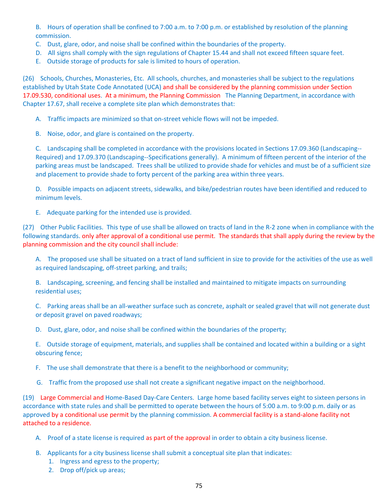B. Hours of operation shall be confined to 7:00 a.m. to 7:00 p.m. or established by resolution of the planning commission.

- C. Dust, glare, odor, and noise shall be confined within the boundaries of the property.
- D. All signs shall comply with the sign regulations of Chapter 15.44 and shall not exceed fifteen square feet.
- E. Outside storage of products for sale is limited to hours of operation.

(26) Schools, Churches, Monasteries, Etc. All schools, churches, and monasteries shall be subject to the regulations established by Utah State Code Annotated (UCA) and shall be considered by the planning commission under Section 17.09.530, conditional uses. At a minimum, the Planning Commission The Planning Department, in accordance with Chapter 17.67, shall receive a complete site plan which demonstrates that:

A. Traffic impacts are minimized so that on-street vehicle flows will not be impeded.

B. Noise, odor, and glare is contained on the property.

C. Landscaping shall be completed in accordance with the provisions located in Sections 17.09.360 (Landscaping‐‐ Required) and 17.09.370 (Landscaping‐‐Specifications generally). A minimum of fifteen percent of the interior of the parking areas must be landscaped. Trees shall be utilized to provide shade for vehicles and must be of a sufficient size and placement to provide shade to forty percent of the parking area within three years.

D. Possible impacts on adjacent streets, sidewalks, and bike/pedestrian routes have been identified and reduced to minimum levels.

E. Adequate parking for the intended use is provided.

(27) Other Public Facilities. This type of use shall be allowed on tracts of land in the R‐2 zone when in compliance with the following standards. only after approval of a conditional use permit. The standards that shall apply during the review by the planning commission and the city council shall include:

A. The proposed use shall be situated on a tract of land sufficient in size to provide for the activities of the use as well as required landscaping, off‐street parking, and trails;

B. Landscaping, screening, and fencing shall be installed and maintained to mitigate impacts on surrounding residential uses;

C. Parking areas shall be an all‐weather surface such as concrete, asphalt or sealed gravel that will not generate dust or deposit gravel on paved roadways;

D. Dust, glare, odor, and noise shall be confined within the boundaries of the property;

E. Outside storage of equipment, materials, and supplies shall be contained and located within a building or a sight obscuring fence;

F. The use shall demonstrate that there is a benefit to the neighborhood or community;

G. Traffic from the proposed use shall not create a significant negative impact on the neighborhood.

(19) Large Commercial and Home‐Based Day‐Care Centers. Large home based facility serves eight to sixteen persons in accordance with state rules and shall be permitted to operate between the hours of 5:00 a.m. to 9:00 p.m. daily or as approved by a conditional use permit by the planning commission. A commercial facility is a stand‐alone facility not attached to a residence.

- A. Proof of a state license is required as part of the approval in order to obtain a city business license.
- B. Applicants for a city business license shall submit a conceptual site plan that indicates:
	- 1. Ingress and egress to the property;
	- 2. Drop off/pick up areas;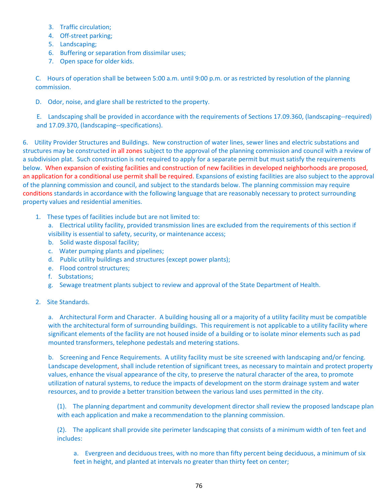- 3. Traffic circulation;
- 4. Off-street parking;
- 5. Landscaping;
- 6. Buffering or separation from dissimilar uses;
- 7. Open space for older kids.

C. Hours of operation shall be between 5:00 a.m. until 9:00 p.m. or as restricted by resolution of the planning commission.

D. Odor, noise, and glare shall be restricted to the property.

E. Landscaping shall be provided in accordance with the requirements of Sections 17.09.360, (landscaping‐‐required) and 17.09.370, (landscaping‐‐specifications).

6. Utility Provider Structures and Buildings. New construction of water lines, sewer lines and electric substations and structures may be constructed in all zones subject to the approval of the planning commission and council with a review of a subdivision plat. Such construction is not required to apply for a separate permit but must satisfy the requirements below. When expansion of existing facilities and construction of new facilities in developed neighborhoods are proposed, an application for a conditional use permit shall be required. Expansions of existing facilities are also subject to the approval of the planning commission and council, and subject to the standards below. The planning commission may require conditions standards in accordance with the following language that are reasonably necessary to protect surrounding property values and residential amenities.

1. These types of facilities include but are not limited to:

a. Electrical utility facility, provided transmission lines are excluded from the requirements of this section if visibility is essential to safety, security, or maintenance access;

- b. Solid waste disposal facility;
- c. Water pumping plants and pipelines;
- d. Public utility buildings and structures (except power plants);
- e. Flood control structures;
- f. Substations;
- g. Sewage treatment plants subject to review and approval of the State Department of Health.
- 2. Site Standards.

a. Architectural Form and Character. A building housing all or a majority of a utility facility must be compatible with the architectural form of surrounding buildings. This requirement is not applicable to a utility facility where significant elements of the facility are not housed inside of a building or to isolate minor elements such as pad mounted transformers, telephone pedestals and metering stations.

b. Screening and Fence Requirements. A utility facility must be site screened with landscaping and/or fencing. Landscape development, shall include retention of significant trees, as necessary to maintain and protect property values, enhance the visual appearance of the city, to preserve the natural character of the area, to promote utilization of natural systems, to reduce the impacts of development on the storm drainage system and water resources, and to provide a better transition between the various land uses permitted in the city.

(1). The planning department and community development director shall review the proposed landscape plan with each application and make a recommendation to the planning commission.

(2). The applicant shall provide site perimeter landscaping that consists of a minimum width of ten feet and includes:

a. Evergreen and deciduous trees, with no more than fifty percent being deciduous, a minimum of six feet in height, and planted at intervals no greater than thirty feet on center;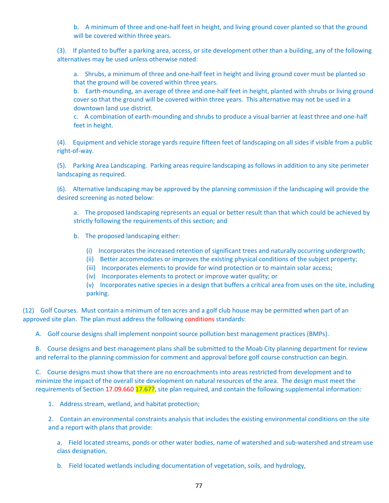b. A minimum of three and one-half feet in height, and living ground cover planted so that the ground will be covered within three years.

(3). If planted to buffer a parking area, access, or site development other than a building, any of the following alternatives may be used unless otherwise noted:

a. Shrubs, a minimum of three and one-half feet in height and living ground cover must be planted so that the ground will be covered within three years.

b. Earth-mounding, an average of three and one-half feet in height, planted with shrubs or living ground cover so that the ground will be covered within three years. This alternative may not be used in a downtown land use district.

c. A combination of earth-mounding and shrubs to produce a visual barrier at least three and one-half feet in height.

(4). Equipment and vehicle storage yards require fifteen feet of landscaping on all sides if visible from a public right‐of‐way.

(5). Parking Area Landscaping. Parking areas require landscaping as follows in addition to any site perimeter landscaping as required.

(6). Alternative landscaping may be approved by the planning commission if the landscaping will provide the desired screening as noted below:

a. The proposed landscaping represents an equal or better result than that which could be achieved by strictly following the requirements of this section; and

b. The proposed landscaping either:

- (i) Incorporates the increased retention of significant trees and naturally occurring undergrowth;
- (ii) Better accommodates or improves the existing physical conditions of the subject property;
- (iii) Incorporates elements to provide for wind protection or to maintain solar access;
- (iv) Incorporates elements to protect or improve water quality; or

(v) Incorporates native species in a design that buffers a critical area from uses on the site, including parking.

(12) Golf Courses. Must contain a minimum of ten acres and a golf club house may be permitted when part of an approved site plan. The plan must address the following conditions standards:

A. Golf course designs shall implement nonpoint source pollution best management practices (BMPs).

B. Course designs and best management plans shall be submitted to the Moab City planning department for review and referral to the planning commission for comment and approval before golf course construction can begin.

C. Course designs must show that there are no encroachments into areas restricted from development and to minimize the impact of the overall site development on natural resources of the area. The design must meet the requirements of Section 17.09.660 17.67?, site plan required, and contain the following supplemental information:

1. Address stream, wetland, and habitat protection;

2. Contain an environmental constraints analysis that includes the existing environmental conditions on the site and a report with plans that provide:

a. Field located streams, ponds or other water bodies, name of watershed and sub‐watershed and stream use class designation,

b. Field located wetlands including documentation of vegetation, soils, and hydrology,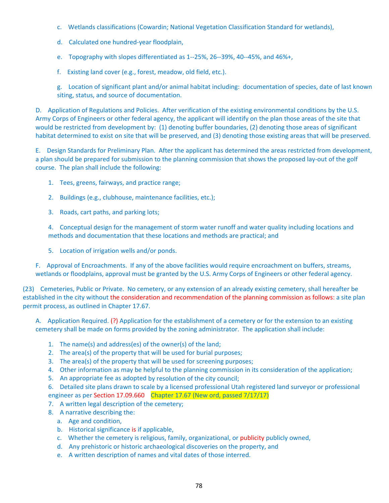- c. Wetlands classifications (Cowardin; National Vegetation Classification Standard for wetlands),
- d. Calculated one hundred‐year floodplain,
- e. Topography with slopes differentiated as 1‐‐25%, 26‐‐39%, 40‐‐45%, and 46%+,
- f. Existing land cover (e.g., forest, meadow, old field, etc.).

g. Location of significant plant and/or animal habitat including: documentation of species, date of last known siting, status, and source of documentation.

D. Application of Regulations and Policies. After verification of the existing environmental conditions by the U.S. Army Corps of Engineers or other federal agency, the applicant will identify on the plan those areas of the site that would be restricted from development by: (1) denoting buffer boundaries, (2) denoting those areas of significant habitat determined to exist on site that will be preserved, and (3) denoting those existing areas that will be preserved.

E. Design Standards for Preliminary Plan. After the applicant has determined the areas restricted from development, a plan should be prepared for submission to the planning commission that shows the proposed lay‐out of the golf course. The plan shall include the following:

- 1. Tees, greens, fairways, and practice range;
- 2. Buildings (e.g., clubhouse, maintenance facilities, etc.);
- 3. Roads, cart paths, and parking lots;

4. Conceptual design for the management of storm water runoff and water quality including locations and methods and documentation that these locations and methods are practical; and

5. Location of irrigation wells and/or ponds.

F. Approval of Encroachments. If any of the above facilities would require encroachment on buffers, streams, wetlands or floodplains, approval must be granted by the U.S. Army Corps of Engineers or other federal agency.

(23) Cemeteries, Public or Private. No cemetery, or any extension of an already existing cemetery, shall hereafter be established in the city without the consideration and recommendation of the planning commission as follows: a site plan permit process, as outlined in Chapter 17.67.

A. Application Required. (?) Application for the establishment of a cemetery or for the extension to an existing cemetery shall be made on forms provided by the zoning administrator. The application shall include:

- 1. The name(s) and address(es) of the owner(s) of the land;
- 2. The area(s) of the property that will be used for burial purposes;
- 3. The area(s) of the property that will be used for screening purposes;
- 4. Other information as may be helpful to the planning commission in its consideration of the application;
- 5. An appropriate fee as adopted by resolution of the city council;

6. Detailed site plans drawn to scale by a licensed professional Utah registered land surveyor or professional engineer as per Section 17.09.660 Chapter 17.67 (New ord, passed 7/17/17)

- 7. A written legal description of the cemetery;
- 8. A narrative describing the:
	- a. Age and condition,
	- b. Historical significance is if applicable,
	- c. Whether the cemetery is religious, family, organizational, or publicity publicly owned,
	- d. Any prehistoric or historic archaeological discoveries on the property, and
	- e. A written description of names and vital dates of those interred.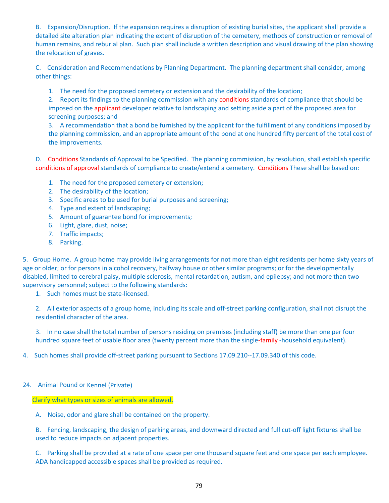B. Expansion/Disruption. If the expansion requires a disruption of existing burial sites, the applicant shall provide a detailed site alteration plan indicating the extent of disruption of the cemetery, methods of construction or removal of human remains, and reburial plan. Such plan shall include a written description and visual drawing of the plan showing the relocation of graves.

C. Consideration and Recommendations by Planning Department. The planning department shall consider, among other things:

1. The need for the proposed cemetery or extension and the desirability of the location;

2. Report its findings to the planning commission with any conditions standards of compliance that should be imposed on the applicant developer relative to landscaping and setting aside a part of the proposed area for screening purposes; and

3. A recommendation that a bond be furnished by the applicant for the fulfillment of any conditions imposed by the planning commission, and an appropriate amount of the bond at one hundred fifty percent of the total cost of the improvements.

D. Conditions Standards of Approval to be Specified. The planning commission, by resolution, shall establish specific conditions of approval standards of compliance to create/extend a cemetery. Conditions These shall be based on:

- 1. The need for the proposed cemetery or extension;
- 2. The desirability of the location;
- 3. Specific areas to be used for burial purposes and screening;
- 4. Type and extent of landscaping;
- 5. Amount of guarantee bond for improvements;
- 6. Light, glare, dust, noise;
- 7. Traffic impacts;
- 8. Parking.

5. Group Home. A group home may provide living arrangements for not more than eight residents per home sixty years of age or older; or for persons in alcohol recovery, halfway house or other similar programs; or for the developmentally disabled, limited to cerebral palsy, multiple sclerosis, mental retardation, autism, and epilepsy; and not more than two supervisory personnel; subject to the following standards:

1. Such homes must be state-licensed.

2. All exterior aspects of a group home, including its scale and off-street parking configuration, shall not disrupt the residential character of the area.

3. In no case shall the total number of persons residing on premises (including staff) be more than one per four hundred square feet of usable floor area (twenty percent more than the single-family -household equivalent).

4. Such homes shall provide off-street parking pursuant to Sections 17.09.210--17.09.340 of this code.

### 24. Animal Pound or Kennel (Private)

Clarify what types or sizes of animals are allowed.

A. Noise, odor and glare shall be contained on the property.

B. Fencing, landscaping, the design of parking areas, and downward directed and full cut-off light fixtures shall be used to reduce impacts on adjacent properties.

C. Parking shall be provided at a rate of one space per one thousand square feet and one space per each employee. ADA handicapped accessible spaces shall be provided as required.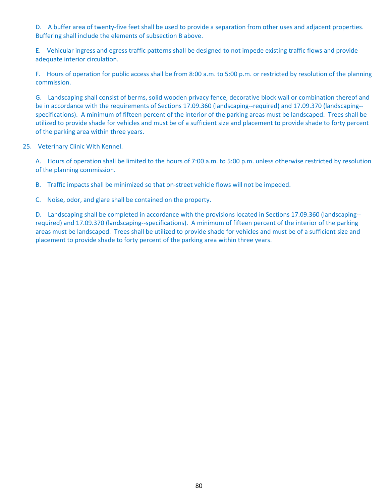D. A buffer area of twenty-five feet shall be used to provide a separation from other uses and adjacent properties. Buffering shall include the elements of subsection B above.

E. Vehicular ingress and egress traffic patterns shall be designed to not impede existing traffic flows and provide adequate interior circulation.

F. Hours of operation for public access shall be from 8:00 a.m. to 5:00 p.m. or restricted by resolution of the planning commission.

G. Landscaping shall consist of berms, solid wooden privacy fence, decorative block wall or combination thereof and be in accordance with the requirements of Sections 17.09.360 (landscaping--required) and 17.09.370 (landscaping-specifications). A minimum of fifteen percent of the interior of the parking areas must be landscaped. Trees shall be utilized to provide shade for vehicles and must be of a sufficient size and placement to provide shade to forty percent of the parking area within three years.

### 25. Veterinary Clinic With Kennel.

A. Hours of operation shall be limited to the hours of 7:00 a.m. to 5:00 p.m. unless otherwise restricted by resolution of the planning commission.

B. Traffic impacts shall be minimized so that on-street vehicle flows will not be impeded.

C. Noise, odor, and glare shall be contained on the property.

D. Landscaping shall be completed in accordance with the provisions located in Sections 17.09.360 (landscaping-required) and 17.09.370 (landscaping‐‐specifications). A minimum of fifteen percent of the interior of the parking areas must be landscaped. Trees shall be utilized to provide shade for vehicles and must be of a sufficient size and placement to provide shade to forty percent of the parking area within three years.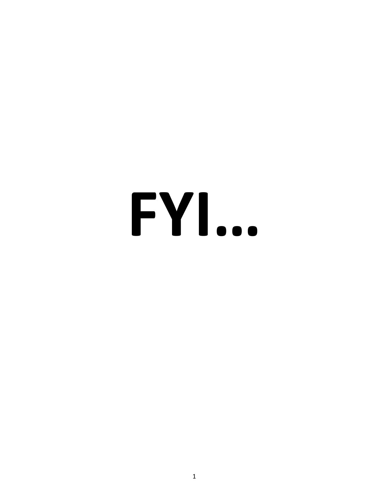# **FYI…**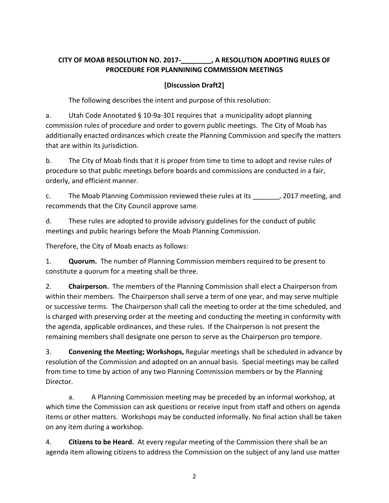# **CITY OF MOAB RESOLUTION NO. 2017‐\_\_\_\_\_\_\_\_, A RESOLUTION ADOPTING RULES OF PROCEDURE FOR PLANNINING COMMISSION MEETINGS**

## **[Discussion Draft2]**

The following describes the intent and purpose of this resolution:

a. Utah Code Annotated § 10-9a-301 requires that a municipality adopt planning commission rules of procedure and order to govern public meetings. The City of Moab has additionally enacted ordinances which create the Planning Commission and specify the matters that are within its jurisdiction.

b. The City of Moab finds that it is proper from time to time to adopt and revise rules of procedure so that public meetings before boards and commissions are conducted in a fair, orderly, and efficient manner.

c. The Moab Planning Commission reviewed these rules at its [100], 2017 meeting, and recommends that the City Council approve same.

d. These rules are adopted to provide advisory guidelines for the conduct of public meetings and public hearings before the Moab Planning Commission.

Therefore, the City of Moab enacts as follows:

1. **Quorum.** The number of Planning Commission members required to be present to constitute a quorum for a meeting shall be three.

2. **Chairperson.** The members of the Planning Commission shall elect a Chairperson from within their members. The Chairperson shall serve a term of one year, and may serve multiple or successive terms. The Chairperson shall call the meeting to order at the time scheduled, and is charged with preserving order at the meeting and conducting the meeting in conformity with the agenda, applicable ordinances, and these rules. If the Chairperson is not present the remaining members shall designate one person to serve as the Chairperson pro tempore.

3. **Convening the Meeting; Workshops,** Regular meetings shall be scheduled in advance by resolution of the Commission and adopted on an annual basis. Special meetings may be called from time to time by action of any two Planning Commission members or by the Planning Director.

a. A Planning Commission meeting may be preceded by an informal workshop, at which time the Commission can ask questions or receive input from staff and others on agenda items or other matters. Workshops may be conducted informally. No final action shall be taken on any item during a workshop.

4. **Citizens to be Heard.** At every regular meeting of the Commission there shall be an agenda item allowing citizens to address the Commission on the subject of any land use matter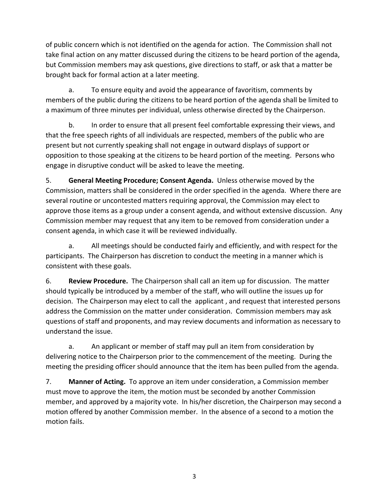of public concern which is not identified on the agenda for action. The Commission shall not take final action on any matter discussed during the citizens to be heard portion of the agenda, but Commission members may ask questions, give directions to staff, or ask that a matter be brought back for formal action at a later meeting.

a. To ensure equity and avoid the appearance of favoritism, comments by members of the public during the citizens to be heard portion of the agenda shall be limited to a maximum of three minutes per individual, unless otherwise directed by the Chairperson.

b. In order to ensure that all present feel comfortable expressing their views, and that the free speech rights of all individuals are respected, members of the public who are present but not currently speaking shall not engage in outward displays of support or opposition to those speaking at the citizens to be heard portion of the meeting. Persons who engage in disruptive conduct will be asked to leave the meeting.

5. **General Meeting Procedure; Consent Agenda.** Unless otherwise moved by the Commission, matters shall be considered in the order specified in the agenda. Where there are several routine or uncontested matters requiring approval, the Commission may elect to approve those items as a group under a consent agenda, and without extensive discussion. Any Commission member may request that any item to be removed from consideration under a consent agenda, in which case it will be reviewed individually.

a. All meetings should be conducted fairly and efficiently, and with respect for the participants. The Chairperson has discretion to conduct the meeting in a manner which is consistent with these goals.

6. **Review Procedure.** The Chairperson shall call an item up for discussion. The matter should typically be introduced by a member of the staff, who will outline the issues up for decision. The Chairperson may elect to call the applicant , and request that interested persons address the Commission on the matter under consideration. Commission members may ask questions of staff and proponents, and may review documents and information as necessary to understand the issue.

a. An applicant or member of staff may pull an item from consideration by delivering notice to the Chairperson prior to the commencement of the meeting. During the meeting the presiding officer should announce that the item has been pulled from the agenda.

7. **Manner of Acting.** To approve an item under consideration, a Commission member must move to approve the item, the motion must be seconded by another Commission member, and approved by a majority vote. In his/her discretion, the Chairperson may second a motion offered by another Commission member. In the absence of a second to a motion the motion fails.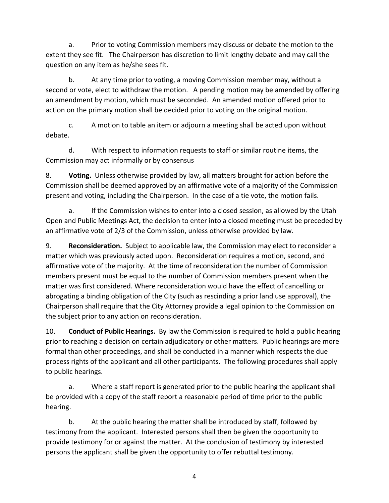a. Prior to voting Commission members may discuss or debate the motion to the extent they see fit. The Chairperson has discretion to limit lengthy debate and may call the question on any item as he/she sees fit.

b. At any time prior to voting, a moving Commission member may, without a second or vote, elect to withdraw the motion. A pending motion may be amended by offering an amendment by motion, which must be seconded. An amended motion offered prior to action on the primary motion shall be decided prior to voting on the original motion.

c. A motion to table an item or adjourn a meeting shall be acted upon without debate.

d. With respect to information requests to staff or similar routine items, the Commission may act informally or by consensus

8. **Voting.** Unless otherwise provided by law, all matters brought for action before the Commission shall be deemed approved by an affirmative vote of a majority of the Commission present and voting, including the Chairperson. In the case of a tie vote, the motion fails.

a. If the Commission wishes to enter into a closed session, as allowed by the Utah Open and Public Meetings Act, the decision to enter into a closed meeting must be preceded by an affirmative vote of 2/3 of the Commission, unless otherwise provided by law.

9. **Reconsideration.** Subject to applicable law, the Commission may elect to reconsider a matter which was previously acted upon. Reconsideration requires a motion, second, and affirmative vote of the majority. At the time of reconsideration the number of Commission members present must be equal to the number of Commission members present when the matter was first considered. Where reconsideration would have the effect of cancelling or abrogating a binding obligation of the City (such as rescinding a prior land use approval), the Chairperson shall require that the City Attorney provide a legal opinion to the Commission on the subject prior to any action on reconsideration.

10. **Conduct of Public Hearings.** By law the Commission is required to hold a public hearing prior to reaching a decision on certain adjudicatory or other matters. Public hearings are more formal than other proceedings, and shall be conducted in a manner which respects the due process rights of the applicant and all other participants. The following procedures shall apply to public hearings.

a. Where a staff report is generated prior to the public hearing the applicant shall be provided with a copy of the staff report a reasonable period of time prior to the public hearing.

b. At the public hearing the matter shall be introduced by staff, followed by testimony from the applicant. Interested persons shall then be given the opportunity to provide testimony for or against the matter. At the conclusion of testimony by interested persons the applicant shall be given the opportunity to offer rebuttal testimony.

4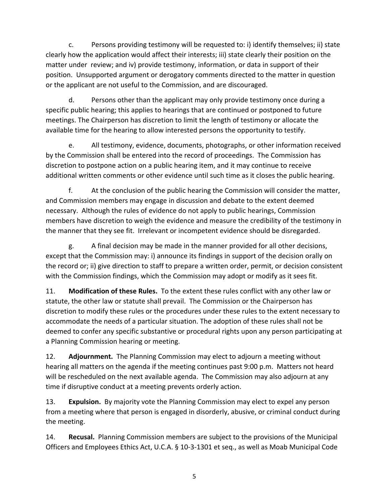c. Persons providing testimony will be requested to: i) identify themselves; ii) state clearly how the application would affect their interests; iii) state clearly their position on the matter under review; and iv) provide testimony, information, or data in support of their position. Unsupported argument or derogatory comments directed to the matter in question or the applicant are not useful to the Commission, and are discouraged.

d. Persons other than the applicant may only provide testimony once during a specific public hearing; this applies to hearings that are continued or postponed to future meetings. The Chairperson has discretion to limit the length of testimony or allocate the available time for the hearing to allow interested persons the opportunity to testify.

e. All testimony, evidence, documents, photographs, or other information received by the Commission shall be entered into the record of proceedings. The Commission has discretion to postpone action on a public hearing item, and it may continue to receive additional written comments or other evidence until such time as it closes the public hearing.

f. At the conclusion of the public hearing the Commission will consider the matter, and Commission members may engage in discussion and debate to the extent deemed necessary. Although the rules of evidence do not apply to public hearings, Commission members have discretion to weigh the evidence and measure the credibility of the testimony in the manner that they see fit. Irrelevant or incompetent evidence should be disregarded.

g. A final decision may be made in the manner provided for all other decisions, except that the Commission may: i) announce its findings in support of the decision orally on the record or; ii) give direction to staff to prepare a written order, permit, or decision consistent with the Commission findings, which the Commission may adopt or modify as it sees fit.

11. **Modification of these Rules.** To the extent these rules conflict with any other law or statute, the other law or statute shall prevail. The Commission or the Chairperson has discretion to modify these rules or the procedures under these rules to the extent necessary to accommodate the needs of a particular situation. The adoption of these rules shall not be deemed to confer any specific substantive or procedural rights upon any person participating at a Planning Commission hearing or meeting.

12. **Adjournment.** The Planning Commission may elect to adjourn a meeting without hearing all matters on the agenda if the meeting continues past 9:00 p.m. Matters not heard will be rescheduled on the next available agenda. The Commission may also adjourn at any time if disruptive conduct at a meeting prevents orderly action.

13. **Expulsion.** By majority vote the Planning Commission may elect to expel any person from a meeting where that person is engaged in disorderly, abusive, or criminal conduct during the meeting.

14. **Recusal.** Planning Commission members are subject to the provisions of the Municipal Officers and Employees Ethics Act, U.C.A. § 10‐3‐1301 et seq., as well as Moab Municipal Code